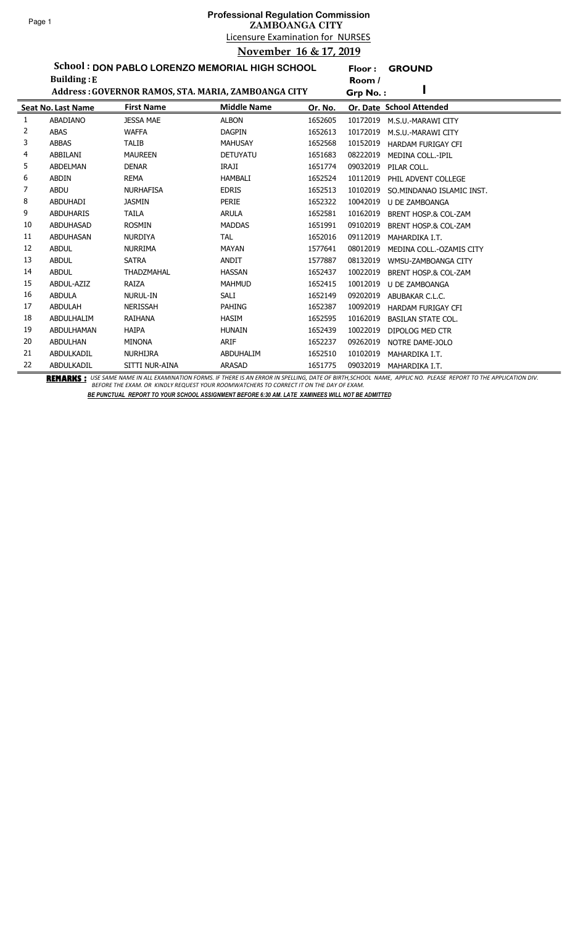**Floor : GROUND**

**School : DON PABLO LORENZO MEMORIAL HIGH SCHOOL**

|    | <b>Building: E</b>        |                                                     |                    |         | Room /   |                                 |
|----|---------------------------|-----------------------------------------------------|--------------------|---------|----------|---------------------------------|
|    |                           | Address: GOVERNOR RAMOS, STA. MARIA, ZAMBOANGA CITY |                    |         | Grp No.: |                                 |
|    | <b>Seat No. Last Name</b> | <b>First Name</b>                                   | <b>Middle Name</b> | Or. No. |          | Or. Date School Attended        |
| 1  | ABADIANO                  | <b>JESSA MAE</b>                                    | <b>ALBON</b>       | 1652605 | 10172019 | M.S.U.-MARAWI CITY              |
| 2  | <b>ABAS</b>               | <b>WAFFA</b>                                        | <b>DAGPIN</b>      | 1652613 | 10172019 | M.S.U.-MARAWI CITY              |
| 3  | <b>ABBAS</b>              | <b>TALIB</b>                                        | <b>MAHUSAY</b>     | 1652568 | 10152019 | <b>HARDAM FURIGAY CFI</b>       |
| 4  | ABBILANI                  | <b>MAUREEN</b>                                      | <b>DETUYATU</b>    | 1651683 | 08222019 | <b>MEDINA COLL.-IPIL</b>        |
| 5  | <b>ABDELMAN</b>           | <b>DENAR</b>                                        | IRAJI              | 1651774 | 09032019 | PILAR COLL.                     |
| 6  | <b>ABDIN</b>              | REMA                                                | <b>HAMBALI</b>     | 1652524 | 10112019 | PHIL ADVENT COLLEGE             |
| 7  | ABDU                      | <b>NURHAFISA</b>                                    | <b>EDRIS</b>       | 1652513 | 10102019 | SO.MINDANAO ISLAMIC INST.       |
| 8  | <b>ABDUHADI</b>           | <b>JASMIN</b>                                       | <b>PERIE</b>       | 1652322 | 10042019 | U DE ZAMBOANGA                  |
| 9  | <b>ABDUHARIS</b>          | <b>TAILA</b>                                        | <b>ARULA</b>       | 1652581 | 10162019 | <b>BRENT HOSP.&amp; COL-ZAM</b> |
| 10 | <b>ABDUHASAD</b>          | <b>ROSMIN</b>                                       | <b>MADDAS</b>      | 1651991 | 09102019 | <b>BRENT HOSP.&amp; COL-ZAM</b> |
| 11 | <b>ABDUHASAN</b>          | <b>NURDIYA</b>                                      | <b>TAL</b>         | 1652016 | 09112019 | MAHARDIKA I.T.                  |
| 12 | <b>ABDUL</b>              | <b>NURRIMA</b>                                      | <b>MAYAN</b>       | 1577641 | 08012019 | MEDINA COLL.-OZAMIS CITY        |
| 13 | <b>ABDUL</b>              | <b>SATRA</b>                                        | <b>ANDIT</b>       | 1577887 | 08132019 | WMSU-ZAMBOANGA CITY             |
| 14 | <b>ABDUL</b>              | <b>THADZMAHAL</b>                                   | <b>HASSAN</b>      | 1652437 | 10022019 | BRENT HOSP.& COL-ZAM            |
| 15 | ABDUL-AZIZ                | RAIZA                                               | <b>MAHMUD</b>      | 1652415 | 10012019 | <b>U DE ZAMBOANGA</b>           |
| 16 | <b>ABDULA</b>             | NURUL-IN                                            | SALI               | 1652149 | 09202019 | ABUBAKAR C.L.C.                 |
| 17 | <b>ABDULAH</b>            | <b>NERISSAH</b>                                     | <b>PAHING</b>      | 1652387 | 10092019 | <b>HARDAM FURIGAY CFI</b>       |
| 18 | ABDULHALIM                | RAIHANA                                             | <b>HASIM</b>       | 1652595 | 10162019 | <b>BASILAN STATE COL.</b>       |
| 19 | ABDULHAMAN                | <b>HAIPA</b>                                        | <b>HUNAIN</b>      | 1652439 | 10022019 | DIPOLOG MED CTR                 |
| 20 | <b>ABDULHAN</b>           | <b>MINONA</b>                                       | ARIF               | 1652237 | 09262019 | NOTRE DAME-JOLO                 |
| 21 | ABDULKADIL                | <b>NURHIJRA</b>                                     | ABDUHALIM          | 1652510 | 10102019 | MAHARDIKA I.T.                  |
| 22 | ABDULKADIL                | SITTI NUR-AINA                                      | <b>ARASAD</b>      | 1651775 | 09032019 | MAHARDIKA I.T.                  |

BEMARKS : USE SAME NAME IN ALL EXAMINATION FORMS. IF THERE IS AN ERROR IN SPELLING, DATE OF BIRTH,SCHOOL NAME, APPLIC NO. PLEASE REPORT TO THE APPLICATION DIV.<br>BEFORE THE EXAM. OR KINDLY REQUEST YOUR ROOMWATCHERS TO CORREC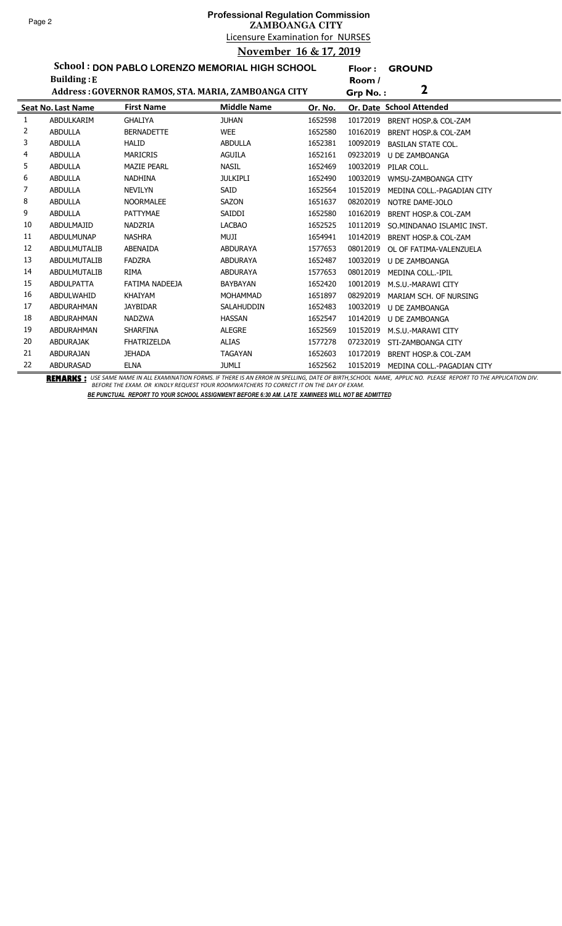ř.

# Licensure Examination for NURSES **Professional Regulation Commission ZAMBOANGA CITY November 16 & 17, 2019**

**Floor : GROUND**

**School : DON PABLO LORENZO MEMORIAL HIGH SCHOOL**

|    | <b>Building: E</b>        |                                                     |                    |         | Room /   |                            |
|----|---------------------------|-----------------------------------------------------|--------------------|---------|----------|----------------------------|
|    |                           | Address: GOVERNOR RAMOS, STA. MARIA, ZAMBOANGA CITY |                    |         | Grp No.: | 2                          |
|    | <b>Seat No. Last Name</b> | <b>First Name</b>                                   | <b>Middle Name</b> | Or. No. |          | Or. Date School Attended   |
| 1  | ABDULKARIM                | <b>GHALIYA</b>                                      | <b>JUHAN</b>       | 1652598 | 10172019 | BRENT HOSP.& COL-ZAM       |
| 2  | <b>ABDULLA</b>            | <b>BERNADETTE</b>                                   | <b>WEE</b>         | 1652580 | 10162019 | BRENT HOSP.& COL-ZAM       |
| 3  | <b>ABDULLA</b>            | <b>HALID</b>                                        | <b>ABDULLA</b>     | 1652381 | 10092019 | <b>BASILAN STATE COL.</b>  |
| 4  | <b>ABDULLA</b>            | <b>MARICRIS</b>                                     | <b>AGUILA</b>      | 1652161 | 09232019 | U DE ZAMBOANGA             |
| 5  | <b>ABDULLA</b>            | <b>MAZIE PEARL</b>                                  | <b>NASIL</b>       | 1652469 | 10032019 | PILAR COLL.                |
| 6  | <b>ABDULLA</b>            | <b>NADHINA</b>                                      | <b>JULKIPLI</b>    | 1652490 | 10032019 | WMSU-ZAMBOANGA CITY        |
| 7  | <b>ABDULLA</b>            | <b>NEVILYN</b>                                      | <b>SAID</b>        | 1652564 | 10152019 | MEDINA COLL.-PAGADIAN CITY |
| 8  | <b>ABDULLA</b>            | <b>NOORMALEE</b>                                    | <b>SAZON</b>       | 1651637 | 08202019 | NOTRE DAME-JOLO            |
| 9  | <b>ABDULLA</b>            | <b>PATTYMAE</b>                                     | SAIDDI             | 1652580 | 10162019 | BRENT HOSP.& COL-ZAM       |
| 10 | ABDULMAJID                | <b>NADZRIA</b>                                      | <b>LACBAO</b>      | 1652525 | 10112019 | SO.MINDANAO ISLAMIC INST.  |
| 11 | <b>ABDULMUNAP</b>         | <b>NASHRA</b>                                       | <b>MUJI</b>        | 1654941 | 10142019 | BRENT HOSP.& COL-ZAM       |
| 12 | ABDULMUTALIB              | ABENAIDA                                            | <b>ABDURAYA</b>    | 1577653 | 08012019 | OL OF FATIMA-VALENZUELA    |
| 13 | ABDULMUTALIB              | <b>FADZRA</b>                                       | <b>ABDURAYA</b>    | 1652487 | 10032019 | <b>U DE ZAMBOANGA</b>      |
| 14 | ABDULMUTALIB              | <b>RIMA</b>                                         | <b>ABDURAYA</b>    | 1577653 | 08012019 | MEDINA COLL.-IPIL          |
| 15 | <b>ABDULPATTA</b>         | FATIMA NADEEJA                                      | BAYBAYAN           | 1652420 | 10012019 | M.S.U.-MARAWI CITY         |
| 16 | ABDULWAHID                | KHAIYAM                                             | <b>MOHAMMAD</b>    | 1651897 | 08292019 | MARIAM SCH. OF NURSING     |
| 17 | ABDURAHMAN                | <b>JAYBIDAR</b>                                     | <b>SALAHUDDIN</b>  | 1652483 | 10032019 | U DE ZAMBOANGA             |
| 18 | ABDURAHMAN                | <b>NADZWA</b>                                       | <b>HASSAN</b>      | 1652547 | 10142019 | <b>U DE ZAMBOANGA</b>      |
| 19 | ABDURAHMAN                | <b>SHARFINA</b>                                     | <b>ALEGRE</b>      | 1652569 | 10152019 | M.S.U.-MARAWI CITY         |
| 20 | ABDURAJAK                 | <b>FHATRIZELDA</b>                                  | <b>ALIAS</b>       | 1577278 | 07232019 | STI-ZAMBOANGA CITY         |
| 21 | <b>ABDURAJAN</b>          | <b>JEHADA</b>                                       | <b>TAGAYAN</b>     | 1652603 | 10172019 | BRENT HOSP.& COL-ZAM       |
| 22 | <b>ABDURASAD</b>          | <b>ELNA</b>                                         | JUMLI              | 1652562 | 10152019 | MEDINA COLL.-PAGADIAN CITY |

BEMARKS : USE SAME NAME IN ALL EXAMINATION FORMS. IF THERE IS AN ERROR IN SPELLING, DATE OF BIRTH,SCHOOL NAME, APPLIC NO. PLEASE REPORT TO THE APPLICATION DIV.<br>BEFORE THE EXAM. OR KINDLY REQUEST YOUR ROOMWATCHERS TO CORREC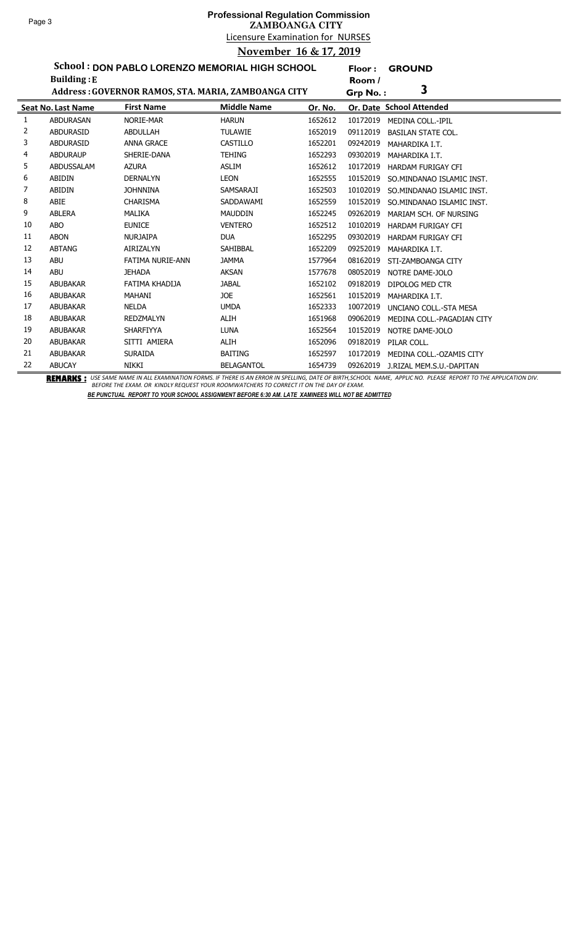**Floor : GROUND**

**School : DON PABLO LORENZO MEMORIAL HIGH SCHOOL**

|    | <b>Building: E</b>        |                                                     |                    |         | Room /   |                            |
|----|---------------------------|-----------------------------------------------------|--------------------|---------|----------|----------------------------|
|    |                           | Address: GOVERNOR RAMOS, STA. MARIA, ZAMBOANGA CITY |                    |         | Grp No.: | 3                          |
|    | <b>Seat No. Last Name</b> | <b>First Name</b>                                   | <b>Middle Name</b> | Or. No. |          | Or. Date School Attended   |
|    | <b>ABDURASAN</b>          | NORIE-MAR                                           | <b>HARUN</b>       | 1652612 | 10172019 | <b>MEDINA COLL.-IPIL</b>   |
| 2  | <b>ABDURASID</b>          | <b>ABDULLAH</b>                                     | <b>TULAWIE</b>     | 1652019 | 09112019 | <b>BASILAN STATE COL.</b>  |
| 3  | <b>ABDURASID</b>          | <b>ANNA GRACE</b>                                   | <b>CASTILLO</b>    | 1652201 | 09242019 | MAHARDIKA I.T.             |
| 4  | <b>ABDURAUP</b>           | SHERIE-DANA                                         | <b>TEHING</b>      | 1652293 | 09302019 | MAHARDIKA I.T.             |
| 5  | ABDUSSALAM                | <b>AZURA</b>                                        | <b>ASLIM</b>       | 1652612 | 10172019 | <b>HARDAM FURIGAY CFI</b>  |
| 6  | ABIDIN                    | <b>DERNALYN</b>                                     | LEON               | 1652555 | 10152019 | SO. MINDANAO ISLAMIC INST. |
| 7  | <b>ABIDIN</b>             | <b>JOHNNINA</b>                                     | SAMSARAJI          | 1652503 | 10102019 | SO. MINDANAO ISLAMIC INST. |
| 8  | ABIE                      | <b>CHARISMA</b>                                     | SADDAWAMI          | 1652559 | 10152019 | SO. MINDANAO ISLAMIC INST. |
| 9  | <b>ABLERA</b>             | MALIKA                                              | <b>MAUDDIN</b>     | 1652245 | 09262019 | MARIAM SCH. OF NURSING     |
| 10 | <b>ABO</b>                | <b>EUNICE</b>                                       | <b>VENTERO</b>     | 1652512 | 10102019 | HARDAM FURIGAY CFI         |
| 11 | <b>ABON</b>               | <b>NURJAIPA</b>                                     | <b>DUA</b>         | 1652295 | 09302019 | <b>HARDAM FURIGAY CFI</b>  |
| 12 | <b>ABTANG</b>             | AIRIZALYN                                           | SAHIBBAL           | 1652209 | 09252019 | MAHARDIKA I.T.             |
| 13 | <b>ABU</b>                | FATIMA NURIE-ANN                                    | <b>JAMMA</b>       | 1577964 | 08162019 | STI-ZAMBOANGA CITY         |
| 14 | <b>ABU</b>                | <b>JEHADA</b>                                       | <b>AKSAN</b>       | 1577678 | 08052019 | NOTRE DAME-JOLO            |
| 15 | <b>ABUBAKAR</b>           | FATIMA KHADIJA                                      | <b>JABAL</b>       | 1652102 | 09182019 | DIPOLOG MED CTR            |
| 16 | ABUBAKAR                  | MAHANI                                              | JOE                | 1652561 | 10152019 | MAHARDIKA I.T.             |
| 17 | <b>ABUBAKAR</b>           | <b>NELDA</b>                                        | <b>UMDA</b>        | 1652333 | 10072019 | UNCIANO COLL.-STA MESA     |
| 18 | <b>ABUBAKAR</b>           | <b>REDZMALYN</b>                                    | ALIH               | 1651968 | 09062019 | MEDINA COLL.-PAGADIAN CITY |
| 19 | <b>ABUBAKAR</b>           | SHARFIYYA                                           | <b>LUNA</b>        | 1652564 | 10152019 | NOTRE DAME-JOLO            |
| 20 | <b>ABUBAKAR</b>           | SITTI AMIERA                                        | ALIH               | 1652096 | 09182019 | PILAR COLL.                |
| 21 | ABUBAKAR                  | <b>SURAIDA</b>                                      | <b>BAITING</b>     | 1652597 | 10172019 | MEDINA COLL.-OZAMIS CITY   |
| 22 | <b>ABUCAY</b>             | NIKKI                                               | BELAGANTOL         | 1654739 | 09262019 | J.RIZAL MEM.S.U.-DAPITAN   |

BEMARKS : USE SAME NAME IN ALL EXAMINATION FORMS. IF THERE IS AN ERROR IN SPELLING, DATE OF BIRTH,SCHOOL NAME, APPLIC NO. PLEASE REPORT TO THE APPLICATION DIV.<br>BEFORE THE EXAM. OR KINDLY REQUEST YOUR ROOMWATCHERS TO CORREC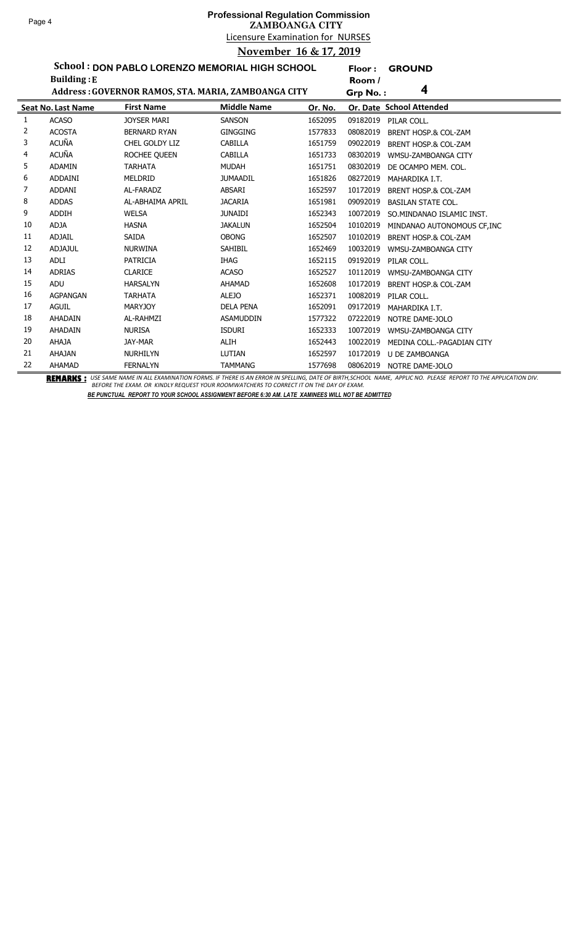## Licensure Examination for NURSES **Professional Regulation Commission ZAMBOANGA CITY November 16 & 17, 2019**

**Floor : GROUND**

**School : DON PABLO LORENZO MEMORIAL HIGH SCHOOL**

|    | <b>Building: E</b>        |                                                     |                    |         | Room /   |                                 |
|----|---------------------------|-----------------------------------------------------|--------------------|---------|----------|---------------------------------|
|    |                           | Address: GOVERNOR RAMOS, STA. MARIA, ZAMBOANGA CITY |                    |         | Grp No.: | 4                               |
|    | <b>Seat No. Last Name</b> | <b>First Name</b>                                   | <b>Middle Name</b> | Or. No. |          | Or. Date School Attended        |
| 1  | <b>ACASO</b>              | <b>JOYSER MARI</b>                                  | <b>SANSON</b>      | 1652095 | 09182019 | PILAR COLL.                     |
| 2  | <b>ACOSTA</b>             | <b>BERNARD RYAN</b>                                 | <b>GINGGING</b>    | 1577833 | 08082019 | BRENT HOSP.& COL-ZAM            |
| 3  | <b>ACUÑA</b>              | CHEL GOLDY LIZ                                      | CABILLA            | 1651759 | 09022019 | BRENT HOSP.& COL-ZAM            |
| 4  | <b>ACUÑA</b>              | ROCHEE QUEEN                                        | CABILLA            | 1651733 | 08302019 | WMSU-ZAMBOANGA CITY             |
| 5  | <b>ADAMIN</b>             | <b>TARHATA</b>                                      | <b>MUDAH</b>       | 1651751 | 08302019 | DE OCAMPO MEM. COL.             |
| 6  | ADDAINI                   | MELDRID                                             | <b>JUMAADIL</b>    | 1651826 | 08272019 | MAHARDIKA I.T.                  |
| 7  | <b>ADDANI</b>             | AL-FARADZ                                           | <b>ABSARI</b>      | 1652597 | 10172019 | BRENT HOSP.& COL-ZAM            |
| 8  | <b>ADDAS</b>              | AL-ABHAIMA APRIL                                    | <b>JACARIA</b>     | 1651981 | 09092019 | <b>BASILAN STATE COL.</b>       |
| 9  | <b>ADDIH</b>              | <b>WELSA</b>                                        | <b>JUNAIDI</b>     | 1652343 | 10072019 | SO.MINDANAO ISLAMIC INST.       |
| 10 | <b>ADJA</b>               | <b>HASNA</b>                                        | <b>JAKALUN</b>     | 1652504 | 10102019 | MINDANAO AUTONOMOUS CF, INC     |
| 11 | <b>ADJAIL</b>             | <b>SAIDA</b>                                        | <b>OBONG</b>       | 1652507 | 10102019 | BRENT HOSP.& COL-ZAM            |
| 12 | <b>ADJAJUL</b>            | <b>NURWINA</b>                                      | SAHIBIL            | 1652469 | 10032019 | WMSU-ZAMBOANGA CITY             |
| 13 | <b>ADLI</b>               | <b>PATRICIA</b>                                     | <b>IHAG</b>        | 1652115 | 09192019 | PILAR COLL.                     |
| 14 | <b>ADRIAS</b>             | <b>CLARICE</b>                                      | <b>ACASO</b>       | 1652527 | 10112019 | WMSU-ZAMBOANGA CITY             |
| 15 | ADU                       | <b>HARSALYN</b>                                     | AHAMAD             | 1652608 | 10172019 | <b>BRENT HOSP.&amp; COL-ZAM</b> |
| 16 | <b>AGPANGAN</b>           | <b>TARHATA</b>                                      | <b>ALEJO</b>       | 1652371 | 10082019 | PILAR COLL.                     |
| 17 | <b>AGUIL</b>              | <b>MARYJOY</b>                                      | <b>DELA PENA</b>   | 1652091 | 09172019 | MAHARDIKA I.T.                  |
| 18 | AHADAIN                   | AL-RAHMZI                                           | <b>ASAMUDDIN</b>   | 1577322 | 07222019 | NOTRE DAME-JOLO                 |
| 19 | AHADAIN                   | <b>NURISA</b>                                       | <b>ISDURI</b>      | 1652333 | 10072019 | WMSU-ZAMBOANGA CITY             |
| 20 | <b>AHAJA</b>              | <b>JAY-MAR</b>                                      | ALIH               | 1652443 | 10022019 | MEDINA COLL.-PAGADIAN CITY      |
| 21 | <b>AHAJAN</b>             | <b>NURHILYN</b>                                     | LUTIAN             | 1652597 | 10172019 | U DE ZAMBOANGA                  |
| 22 | AHAMAD                    | <b>FERNALYN</b>                                     | <b>TAMMANG</b>     | 1577698 | 08062019 | NOTRE DAME-JOLO                 |

BEMARKS : USE SAME NAME IN ALL EXAMINATION FORMS. IF THERE IS AN ERROR IN SPELLING, DATE OF BIRTH,SCHOOL NAME, APPLIC NO. PLEASE REPORT TO THE APPLICATION DIV.<br>BEFORE THE EXAM. OR KINDLY REQUEST YOUR ROOMWATCHERS TO CORREC *BE PUNCTUAL REPORT TO YOUR SCHOOL ASSIGNMENT BEFORE 6:30 AM. LATE XAMINEES WILL NOT BE ADMITTED*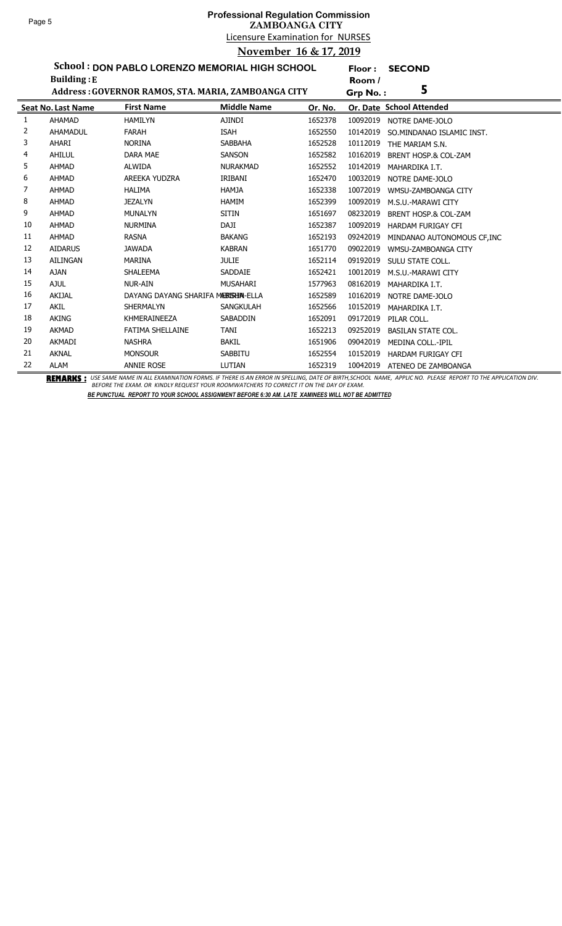**Floor : SECOND**

**School : DON PABLO LORENZO MEMORIAL HIGH SCHOOL**

|    | <b>Building:</b> E        |                                                     |                    |         | Room /   |                                 |
|----|---------------------------|-----------------------------------------------------|--------------------|---------|----------|---------------------------------|
|    |                           | Address: GOVERNOR RAMOS, STA. MARIA, ZAMBOANGA CITY |                    |         | Grp No.: | 5                               |
|    | <b>Seat No. Last Name</b> | <b>First Name</b>                                   | <b>Middle Name</b> | Or. No. |          | Or. Date School Attended        |
| 1  | <b>AHAMAD</b>             | <b>HAMILYN</b>                                      | <b>AJINDI</b>      | 1652378 | 10092019 | NOTRE DAME-JOLO                 |
| 2  | AHAMADUL                  | <b>FARAH</b>                                        | <b>ISAH</b>        | 1652550 | 10142019 | SO.MINDANAO ISLAMIC INST.       |
| 3  | AHARI                     | <b>NORINA</b>                                       | <b>SABBAHA</b>     | 1652528 | 10112019 | THE MARIAM S.N.                 |
| 4  | AHILUL                    | <b>DARA MAE</b>                                     | <b>SANSON</b>      | 1652582 | 10162019 | <b>BRENT HOSP.&amp; COL-ZAM</b> |
| 5  | <b>AHMAD</b>              | <b>ALWIDA</b>                                       | NURAKMAD           | 1652552 | 10142019 | MAHARDIKA I.T.                  |
| 6  | <b>AHMAD</b>              | AREEKA YUDZRA                                       | IRIBANI            | 1652470 | 10032019 | NOTRE DAME-JOLO                 |
| 7  | <b>AHMAD</b>              | <b>HALIMA</b>                                       | <b>HAMJA</b>       | 1652338 | 10072019 | WMSU-ZAMBOANGA CITY             |
| 8  | <b>AHMAD</b>              | <b>JEZALYN</b>                                      | <b>HAMIM</b>       | 1652399 | 10092019 | M.S.U.-MARAWI CITY              |
| 9  | <b>AHMAD</b>              | <b>MUNALYN</b>                                      | <b>SITIN</b>       | 1651697 | 08232019 | BRENT HOSP.& COL-ZAM            |
| 10 | <b>AHMAD</b>              | <b>NURMINA</b>                                      | DAJI               | 1652387 | 10092019 | <b>HARDAM FURIGAY CFI</b>       |
| 11 | <b>AHMAD</b>              | <b>RASNA</b>                                        | <b>BAKANG</b>      | 1652193 | 09242019 | MINDANAO AUTONOMOUS CF, INC     |
| 12 | <b>AIDARUS</b>            | <b>JAWADA</b>                                       | <b>KABRAN</b>      | 1651770 | 09022019 | WMSU-ZAMBOANGA CITY             |
| 13 | <b>AILINGAN</b>           | <b>MARINA</b>                                       | <b>JULIE</b>       | 1652114 | 09192019 | SULU STATE COLL.                |
| 14 | <b>AJAN</b>               | <b>SHALEEMA</b>                                     | <b>SADDAIE</b>     | 1652421 | 10012019 | M.S.U.-MARAWI CITY              |
| 15 | <b>AJUL</b>               | <b>NUR-AIN</b>                                      | <b>MUSAHARI</b>    | 1577963 | 08162019 | MAHARDIKA I.T.                  |
| 16 | AKIJAL                    | DAYANG DAYANG SHARIFA MERISHIN-ELLA                 |                    | 1652589 | 10162019 | NOTRE DAME-JOLO                 |
| 17 | AKIL                      | SHERMALYN                                           | <b>SANGKULAH</b>   | 1652566 | 10152019 | MAHARDIKA I.T.                  |
| 18 | <b>AKING</b>              | KHMERAINEEZA                                        | <b>SABADDIN</b>    | 1652091 | 09172019 | PILAR COLL.                     |
| 19 | <b>AKMAD</b>              | FATIMA SHELLAINE                                    | <b>TANI</b>        | 1652213 | 09252019 | <b>BASILAN STATE COL.</b>       |
| 20 | <b>AKMADI</b>             | <b>NASHRA</b>                                       | <b>BAKIL</b>       | 1651906 | 09042019 | <b>MEDINA COLL.-IPIL</b>        |
| 21 | <b>AKNAL</b>              | <b>MONSOUR</b>                                      | <b>SABBITU</b>     | 1652554 | 10152019 | <b>HARDAM FURIGAY CFI</b>       |
| 22 | <b>ALAM</b>               | <b>ANNIE ROSE</b>                                   | LUTIAN             | 1652319 | 10042019 | ATENEO DE ZAMBOANGA             |

BEMARKS : USE SAME NAME IN ALL EXAMINATION FORMS. IF THERE IS AN ERROR IN SPELLING, DATE OF BIRTH,SCHOOL NAME, APPLIC NO. PLEASE REPORT TO THE APPLICATION DIV.<br>BEFORE THE EXAM. OR KINDLY REQUEST YOUR ROOMWATCHERS TO CORREC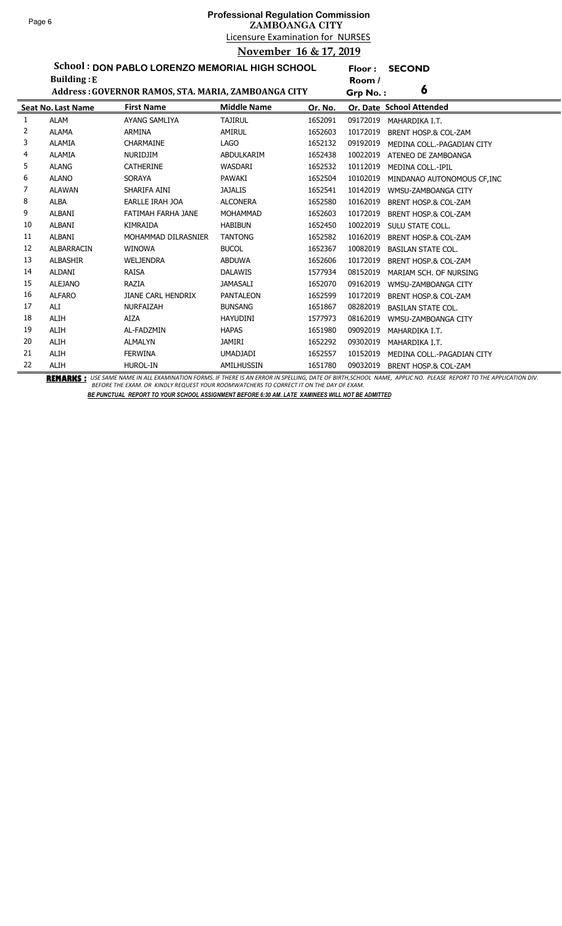**Floor : SECOND**

**School : DON PABLO LORENZO MEMORIAL HIGH SCHOOL**

|    | <b>Building: E</b>        |                                                     |                    |         | Room /   |                                                                                                                                                                       |
|----|---------------------------|-----------------------------------------------------|--------------------|---------|----------|-----------------------------------------------------------------------------------------------------------------------------------------------------------------------|
|    |                           | Address: GOVERNOR RAMOS, STA. MARIA, ZAMBOANGA CITY |                    |         | Grp No.: | 6                                                                                                                                                                     |
|    | <b>Seat No. Last Name</b> | <b>First Name</b>                                   | <b>Middle Name</b> | Or. No. |          | Or. Date School Attended                                                                                                                                              |
| 1  | <b>ALAM</b>               | AYANG SAMLIYA                                       | <b>TAJIRUL</b>     | 1652091 | 09172019 | MAHARDIKA I.T.                                                                                                                                                        |
| 2  | <b>ALAMA</b>              | <b>ARMINA</b>                                       | AMIRUL             | 1652603 | 10172019 | BRENT HOSP.& COL-ZAM                                                                                                                                                  |
| 3  | ALAMIA                    | <b>CHARMAINE</b>                                    | <b>LAGO</b>        | 1652132 | 09192019 | MEDINA COLL.-PAGADIAN CITY                                                                                                                                            |
| 4  | <b>ALAMIA</b>             | <b>NURIDJIM</b>                                     | ABDULKARIM         | 1652438 | 10022019 | ATENEO DE ZAMBOANGA                                                                                                                                                   |
| 5  | <b>ALANG</b>              | <b>CATHERINE</b>                                    | WASDARI            | 1652532 | 10112019 | MEDINA COLL.-IPIL                                                                                                                                                     |
| 6  | <b>ALANO</b>              | SORAYA                                              | PAWAKI             | 1652504 | 10102019 | MINDANAO AUTONOMOUS CF, INC                                                                                                                                           |
| 7  | <b>ALAWAN</b>             | SHARIFA AINI                                        | <b>JAJALIS</b>     | 1652541 | 10142019 | WMSU-ZAMBOANGA CITY                                                                                                                                                   |
| 8  | <b>ALBA</b>               | EARLLE IRAH JOA                                     | <b>ALCONERA</b>    | 1652580 | 10162019 | <b>BRENT HOSP.&amp; COL-ZAM</b>                                                                                                                                       |
| 9  | ALBANI                    | FATIMAH FARHA JANE                                  | <b>MOHAMMAD</b>    | 1652603 | 10172019 | BRENT HOSP.& COL-ZAM                                                                                                                                                  |
| 10 | <b>ALBANI</b>             | <b>KIMRAIDA</b>                                     | <b>HABIBUN</b>     | 1652450 | 10022019 | SULU STATE COLL.                                                                                                                                                      |
| 11 | ALBANI                    | MOHAMMAD DILRASNIER                                 | <b>TANTONG</b>     | 1652582 | 10162019 | BRENT HOSP.& COL-ZAM                                                                                                                                                  |
| 12 | <b>ALBARRACIN</b>         | <b>WINOWA</b>                                       | <b>BUCOL</b>       | 1652367 | 10082019 | <b>BASILAN STATE COL.</b>                                                                                                                                             |
| 13 | <b>ALBASHIR</b>           | <b>WELJENDRA</b>                                    | ABDUWA             | 1652606 | 10172019 | BRENT HOSP.& COL-ZAM                                                                                                                                                  |
| 14 | ALDANI                    | RAISA                                               | <b>DALAWIS</b>     | 1577934 | 08152019 | MARIAM SCH. OF NURSING                                                                                                                                                |
| 15 | <b>ALEJANO</b>            | RAZIA                                               | <b>JAMASALI</b>    | 1652070 | 09162019 | WMSU-ZAMBOANGA CITY                                                                                                                                                   |
| 16 | <b>ALFARO</b>             | <b>JIANE CARL HENDRIX</b>                           | <b>PANTALEON</b>   | 1652599 | 10172019 | BRENT HOSP.& COL-ZAM                                                                                                                                                  |
| 17 | ALI                       | <b>NURFAIZAH</b>                                    | <b>BUNSANG</b>     | 1651867 | 08282019 | <b>BASILAN STATE COL.</b>                                                                                                                                             |
| 18 | <b>ALIH</b>               | <b>AIZA</b>                                         | <b>HAYUDINI</b>    | 1577973 | 08162019 | WMSU-ZAMBOANGA CITY                                                                                                                                                   |
| 19 | <b>ALIH</b>               | AL-FADZMIN                                          | <b>HAPAS</b>       | 1651980 | 09092019 | MAHARDIKA I.T.                                                                                                                                                        |
| 20 | <b>ALIH</b>               | <b>ALMALYN</b>                                      | JAMIRI             | 1652292 | 09302019 | MAHARDIKA I.T.                                                                                                                                                        |
| 21 | <b>ALIH</b>               | <b>FERWINA</b>                                      | <b>UMADJADI</b>    | 1652557 | 10152019 | MEDINA COLL.-PAGADIAN CITY                                                                                                                                            |
| 22 | ALIH                      | <b>HUROL-IN</b>                                     | AMILHUSSIN         | 1651780 | 09032019 | BRENT HOSP.& COL-ZAM<br>BEMERILA . UCCAMENIMENTALLEVAMUSTION CONACTETICOLOGIALCOGIA INCORPLINIC DATE OF DITU COUOQUAMALE ADDUCAJO. DIEACE DEDORTTO TUE ADDUCATION DIL |

BEMARKS : USE SAME NAME IN ALL EXAMINATION FORMS. IF THERE IS AN ERROR IN SPELLING, DATE OF BIRTH,SCHOOL NAME, APPLIC NO. PLEASE REPORT TO THE APPLICATION DIV.<br>BEFORE THE EXAM. OR KINDLY REQUEST YOUR ROOMWATCHERS TO CORREC *BE PUNCTUAL REPORT TO YOUR SCHOOL ASSIGNMENT BEFORE 6:30 AM. LATE XAMINEES WILL NOT BE ADMITTED*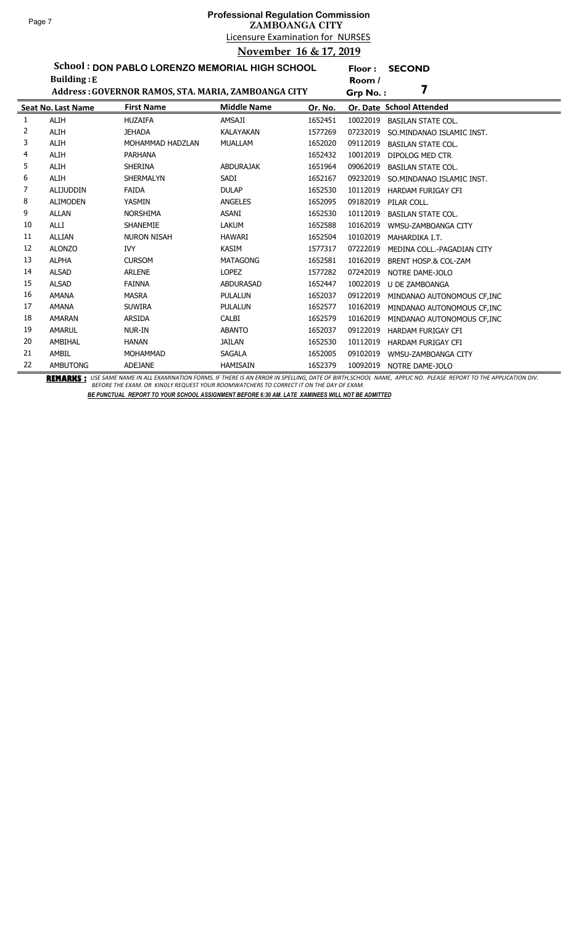ř. Ĭ.

## Licensure Examination for NURSES **Professional Regulation Commission ZAMBOANGA CITY November 16 & 17, 2019**

**Floor : SECOND**

**School : DON PABLO LORENZO MEMORIAL HIGH SCHOOL Building :E**

|    | <b>Building:E</b>         |                                                     |                    |         | Room /   |                             |
|----|---------------------------|-----------------------------------------------------|--------------------|---------|----------|-----------------------------|
|    |                           | Address: GOVERNOR RAMOS, STA. MARIA, ZAMBOANGA CITY |                    |         | Grp No.: |                             |
|    | <b>Seat No. Last Name</b> | <b>First Name</b>                                   | <b>Middle Name</b> | Or. No. |          | Or. Date School Attended    |
| 1  | <b>ALIH</b>               | <b>HUZAIFA</b>                                      | AMSAJI             | 1652451 | 10022019 | <b>BASILAN STATE COL.</b>   |
| 2  | <b>ALIH</b>               | <b>JEHADA</b>                                       | <b>KALAYAKAN</b>   | 1577269 | 07232019 | SO.MINDANAO ISLAMIC INST.   |
| 3  | <b>ALIH</b>               | MOHAMMAD HADZLAN                                    | <b>MUALLAM</b>     | 1652020 | 09112019 | <b>BASILAN STATE COL.</b>   |
| 4  | <b>ALIH</b>               | <b>PARHANA</b>                                      |                    | 1652432 | 10012019 | DIPOLOG MED CTR             |
| 5  | <b>ALIH</b>               | <b>SHERINA</b>                                      | <b>ABDURAJAK</b>   | 1651964 | 09062019 | <b>BASILAN STATE COL.</b>   |
| 6  | <b>ALIH</b>               | <b>SHERMALYN</b>                                    | SADI               | 1652167 | 09232019 | SO.MINDANAO ISLAMIC INST.   |
| 7  | <b>ALIJUDDIN</b>          | <b>FAIDA</b>                                        | <b>DULAP</b>       | 1652530 | 10112019 | HARDAM FURIGAY CFI          |
| 8  | <b>ALIMODEN</b>           | YASMIN                                              | <b>ANGELES</b>     | 1652095 | 09182019 | PILAR COLL.                 |
| 9  | <b>ALLAN</b>              | <b>NORSHIMA</b>                                     | <b>ASANI</b>       | 1652530 | 10112019 | <b>BASILAN STATE COL.</b>   |
| 10 | <b>ALLI</b>               | SHANEMIE                                            | <b>LAKUM</b>       | 1652588 | 10162019 | WMSU-ZAMBOANGA CITY         |
| 11 | <b>ALLIAN</b>             | <b>NURON NISAH</b>                                  | <b>HAWARI</b>      | 1652504 | 10102019 | MAHARDIKA I.T.              |
| 12 | <b>ALONZO</b>             | <b>IVY</b>                                          | <b>KASIM</b>       | 1577317 | 07222019 | MEDINA COLL.-PAGADIAN CITY  |
| 13 | <b>ALPHA</b>              | <b>CURSOM</b>                                       | <b>MATAGONG</b>    | 1652581 | 10162019 | BRENT HOSP.& COL-ZAM        |
| 14 | <b>ALSAD</b>              | <b>ARLENE</b>                                       | <b>LOPEZ</b>       | 1577282 | 07242019 | NOTRE DAME-JOLO             |
| 15 | <b>ALSAD</b>              | <b>FAINNA</b>                                       | <b>ABDURASAD</b>   | 1652447 | 10022019 | <b>U DE ZAMBOANGA</b>       |
| 16 | <b>AMANA</b>              | <b>MASRA</b>                                        | <b>PULALUN</b>     | 1652037 | 09122019 | MINDANAO AUTONOMOUS CF, INC |
| 17 | <b>AMANA</b>              | <b>SUWIRA</b>                                       | <b>PULALUN</b>     | 1652577 | 10162019 | MINDANAO AUTONOMOUS CF, INC |
| 18 | <b>AMARAN</b>             | <b>ARSIDA</b>                                       | CALBI              | 1652579 | 10162019 | MINDANAO AUTONOMOUS CF, INC |
| 19 | AMARUL                    | NUR-IN                                              | <b>ABANTO</b>      | 1652037 | 09122019 | <b>HARDAM FURIGAY CFI</b>   |
| 20 | AMBIHAL                   | <b>HANAN</b>                                        | <b>JAILAN</b>      | 1652530 | 10112019 | <b>HARDAM FURIGAY CFI</b>   |
| 21 | AMBIL                     | <b>MOHAMMAD</b>                                     | <b>SAGALA</b>      | 1652005 | 09102019 | WMSU-ZAMBOANGA CITY         |
| 22 | <b>AMBUTONG</b>           | <b>ADEJANE</b>                                      | <b>HAMISAIN</b>    | 1652379 | 10092019 | NOTRE DAME-JOLO             |

BEMARKS : USE SAME NAME IN ALL EXAMINATION FORMS. IF THERE IS AN ERROR IN SPELLING, DATE OF BIRTH,SCHOOL NAME, APPLIC NO. PLEASE REPORT TO THE APPLICATION DIV.<br>BEFORE THE EXAM. OR KINDLY REQUEST YOUR ROOMWATCHERS TO CORREC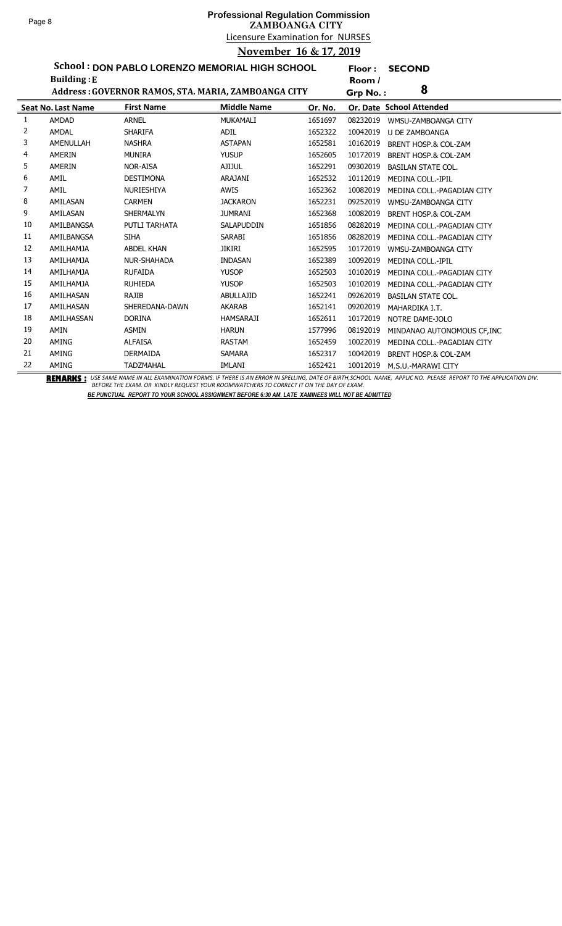ř. Ĭ.

### Licensure Examination for NURSES **Professional Regulation Commission ZAMBOANGA CITY November 16 & 17, 2019**

**Floor : SECOND**

**School : DON PABLO LORENZO MEMORIAL HIGH SCHOOL**

|    | <b>Building: E</b>        |                                                     |                    |         | Room /   |                                 |
|----|---------------------------|-----------------------------------------------------|--------------------|---------|----------|---------------------------------|
|    |                           | Address: GOVERNOR RAMOS, STA. MARIA, ZAMBOANGA CITY |                    |         | Grp No.: | 8                               |
|    | <b>Seat No. Last Name</b> | <b>First Name</b>                                   | <b>Middle Name</b> | Or. No. |          | Or. Date School Attended        |
| 1  | <b>AMDAD</b>              | <b>ARNEL</b>                                        | MUKAMALI           | 1651697 | 08232019 | WMSU-ZAMBOANGA CITY             |
| 2  | <b>AMDAL</b>              | <b>SHARIFA</b>                                      | <b>ADIL</b>        | 1652322 | 10042019 | <b>U DE ZAMBOANGA</b>           |
| 3  | AMENULLAH                 | <b>NASHRA</b>                                       | <b>ASTAPAN</b>     | 1652581 | 10162019 | BRENT HOSP.& COL-ZAM            |
| 4  | AMERIN                    | <b>MUNIRA</b>                                       | <b>YUSUP</b>       | 1652605 | 10172019 | <b>BRENT HOSP.&amp; COL-ZAM</b> |
| 5  | AMERIN                    | <b>NOR-AISA</b>                                     | <b>AJIJUL</b>      | 1652291 | 09302019 | <b>BASILAN STATE COL.</b>       |
| 6  | AMIL                      | <b>DESTIMONA</b>                                    | ARAJANI            | 1652532 | 10112019 | MEDINA COLL.-IPIL               |
| 7  | AMIL                      | <b>NURIESHIYA</b>                                   | AWIS               | 1652362 | 10082019 | MEDINA COLL.-PAGADIAN CITY      |
| 8  | AMILASAN                  | <b>CARMEN</b>                                       | <b>JACKARON</b>    | 1652231 | 09252019 | WMSU-ZAMBOANGA CITY             |
| 9  | AMILASAN                  | <b>SHERMALYN</b>                                    | <b>JUMRANI</b>     | 1652368 | 10082019 | BRENT HOSP.& COL-ZAM            |
| 10 | AMILBANGSA                | PUTLI TARHATA                                       | <b>SALAPUDDIN</b>  | 1651856 | 08282019 | MEDINA COLL.-PAGADIAN CITY      |
| 11 | AMILBANGSA                | <b>SIHA</b>                                         | <b>SARABI</b>      | 1651856 | 08282019 | MEDINA COLL.-PAGADIAN CITY      |
| 12 | AMILHAMJA                 | <b>ABDEL KHAN</b>                                   | JIKIRI             | 1652595 | 10172019 | WMSU-ZAMBOANGA CITY             |
| 13 | AMILHAMJA                 | <b>NUR-SHAHADA</b>                                  | <b>INDASAN</b>     | 1652389 | 10092019 | MEDINA COLL.-IPIL               |
| 14 | AMILHAMJA                 | <b>RUFAIDA</b>                                      | <b>YUSOP</b>       | 1652503 | 10102019 | MEDINA COLL.-PAGADIAN CITY      |
| 15 | AMILHAMJA                 | <b>RUHIEDA</b>                                      | <b>YUSOP</b>       | 1652503 | 10102019 | MEDINA COLL.-PAGADIAN CITY      |
| 16 | AMILHASAN                 | <b>RAJIB</b>                                        | ABULLAJID          | 1652241 | 09262019 | <b>BASILAN STATE COL.</b>       |
| 17 | AMILHASAN                 | SHEREDANA-DAWN                                      | <b>AKARAB</b>      | 1652141 | 09202019 | MAHARDIKA I.T.                  |
| 18 | AMILHASSAN                | <b>DORINA</b>                                       | <b>HAMSARAJI</b>   | 1652611 | 10172019 | NOTRE DAME-JOLO                 |
| 19 | AMIN                      | <b>ASMIN</b>                                        | <b>HARUN</b>       | 1577996 | 08192019 | MINDANAO AUTONOMOUS CF, INC     |
| 20 | <b>AMING</b>              | <b>ALFAISA</b>                                      | <b>RASTAM</b>      | 1652459 | 10022019 | MEDINA COLL.-PAGADIAN CITY      |
| 21 | AMING                     | <b>DERMAIDA</b>                                     | <b>SAMARA</b>      | 1652317 | 10042019 | <b>BRENT HOSP.&amp; COL-ZAM</b> |
| 22 | AMING                     | <b>TADZMAHAL</b>                                    | IMLANI             | 1652421 | 10012019 | M.S.U.-MARAWI CITY              |

BEMARKS : USE SAME NAME IN ALL EXAMINATION FORMS. IF THERE IS AN ERROR IN SPELLING, DATE OF BIRTH,SCHOOL NAME, APPLIC NO. PLEASE REPORT TO THE APPLICATION DIV.<br>BEFORE THE EXAM. OR KINDLY REQUEST YOUR ROOMWATCHERS TO CORREC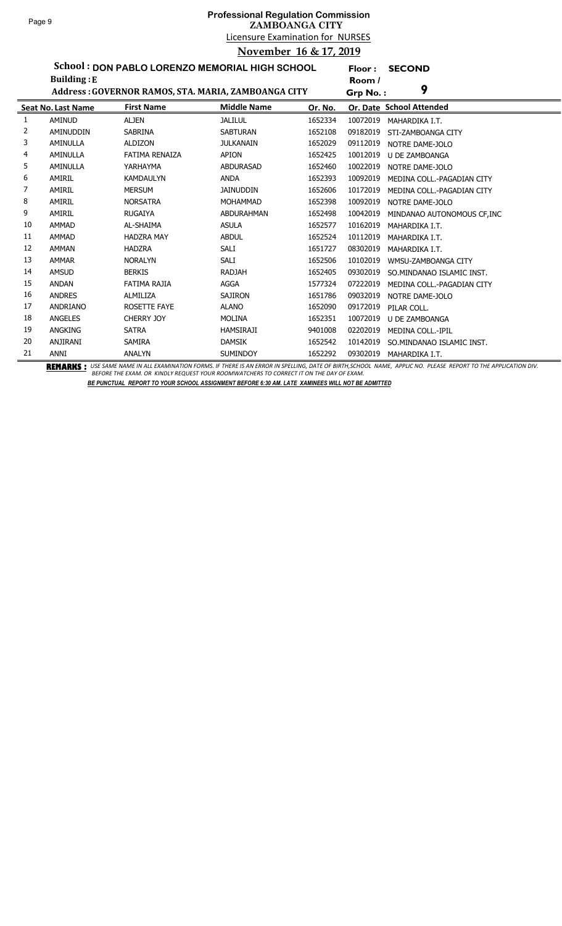**Floor : SECOND**

**School : DON PABLO LORENZO MEMORIAL HIGH SCHOOL Building :E**

|    | <b>Building:</b> E        |                                                     |                    |         | Room /   |                             |
|----|---------------------------|-----------------------------------------------------|--------------------|---------|----------|-----------------------------|
|    |                           | Address: GOVERNOR RAMOS, STA. MARIA, ZAMBOANGA CITY |                    |         | Grp No.: | 9                           |
|    | <b>Seat No. Last Name</b> | <b>First Name</b>                                   | <b>Middle Name</b> | Or. No. |          | Or. Date School Attended    |
| 1  | <b>AMINUD</b>             | <b>ALJEN</b>                                        | <b>JALILUL</b>     | 1652334 | 10072019 | MAHARDIKA I.T.              |
| 2  | <b>AMINUDDIN</b>          | <b>SABRINA</b>                                      | <b>SABTURAN</b>    | 1652108 | 09182019 | STI-ZAMBOANGA CITY          |
| 3  | <b>AMINULLA</b>           | <b>ALDIZON</b>                                      | <b>JULKANAIN</b>   | 1652029 | 09112019 | NOTRE DAME-JOLO             |
| 4  | <b>AMINULLA</b>           | <b>FATIMA RENAIZA</b>                               | <b>APION</b>       | 1652425 | 10012019 | <b>U DE ZAMBOANGA</b>       |
| 5  | AMINULLA                  | YARHAYMA                                            | <b>ABDURASAD</b>   | 1652460 | 10022019 | NOTRE DAME-JOLO             |
| 6  | AMIRIL                    | <b>KAMDAULYN</b>                                    | <b>ANDA</b>        | 1652393 | 10092019 | MEDINA COLL.-PAGADIAN CITY  |
| 7  | AMIRIL                    | <b>MERSUM</b>                                       | <b>JAINUDDIN</b>   | 1652606 | 10172019 | MEDINA COLL.-PAGADIAN CITY  |
| 8  | AMIRIL                    | <b>NORSATRA</b>                                     | <b>MOHAMMAD</b>    | 1652398 | 10092019 | NOTRE DAME-JOLO             |
| 9  | AMIRIL                    | <b>RUGAIYA</b>                                      | <b>ABDURAHMAN</b>  | 1652498 | 10042019 | MINDANAO AUTONOMOUS CF, INC |
| 10 | <b>AMMAD</b>              | AL-SHAIMA                                           | <b>ASULA</b>       | 1652577 | 10162019 | MAHARDIKA I.T.              |
| 11 | <b>AMMAD</b>              | <b>HADZRA MAY</b>                                   | <b>ABDUL</b>       | 1652524 | 10112019 | MAHARDIKA I.T.              |
| 12 | <b>AMMAN</b>              | <b>HADZRA</b>                                       | SALI               | 1651727 | 08302019 | MAHARDIKA I.T.              |
| 13 | <b>AMMAR</b>              | <b>NORALYN</b>                                      | SALI               | 1652506 | 10102019 | WMSU-ZAMBOANGA CITY         |
| 14 | <b>AMSUD</b>              | <b>BERKIS</b>                                       | RADJAH             | 1652405 | 09302019 | SO. MINDANAO ISLAMIC INST.  |
| 15 | <b>ANDAN</b>              | FATIMA RAJIA                                        | <b>AGGA</b>        | 1577324 | 07222019 | MEDINA COLL.-PAGADIAN CITY  |
| 16 | <b>ANDRES</b>             | <b>ALMILIZA</b>                                     | <b>SAJIRON</b>     | 1651786 | 09032019 | NOTRE DAME-JOLO             |
| 17 | ANDRIANO                  | ROSETTE FAYE                                        | <b>ALANO</b>       | 1652090 | 09172019 | PILAR COLL.                 |
| 18 | <b>ANGELES</b>            | <b>CHERRY JOY</b>                                   | <b>MOLINA</b>      | 1652351 | 10072019 | <b>U DE ZAMBOANGA</b>       |
| 19 | <b>ANGKING</b>            | <b>SATRA</b>                                        | HAMSIRAJI          | 9401008 | 02202019 | <b>MEDINA COLL.-IPIL</b>    |
| 20 | ANJIRANI                  | SAMIRA                                              | <b>DAMSIK</b>      | 1652542 | 10142019 | SO.MINDANAO ISLAMIC INST.   |
| 21 | ANNI                      | <b>ANALYN</b>                                       | <b>SUMINDOY</b>    | 1652292 | 09302019 | MAHARDIKA I.T.              |

BEMARKS : USE SAME NAME IN ALL EXAMINATION FORMS. IF THERE IS AN ERROR IN SPELLING, DATE OF BIRTH,SCHOOL NAME, APPLIC NO. PLEASE REPORT TO THE APPLICATION DIV.<br>BEFORE THE EXAM. OR KINDLY REQUEST YOUR ROOMWATCHERS TO CORREC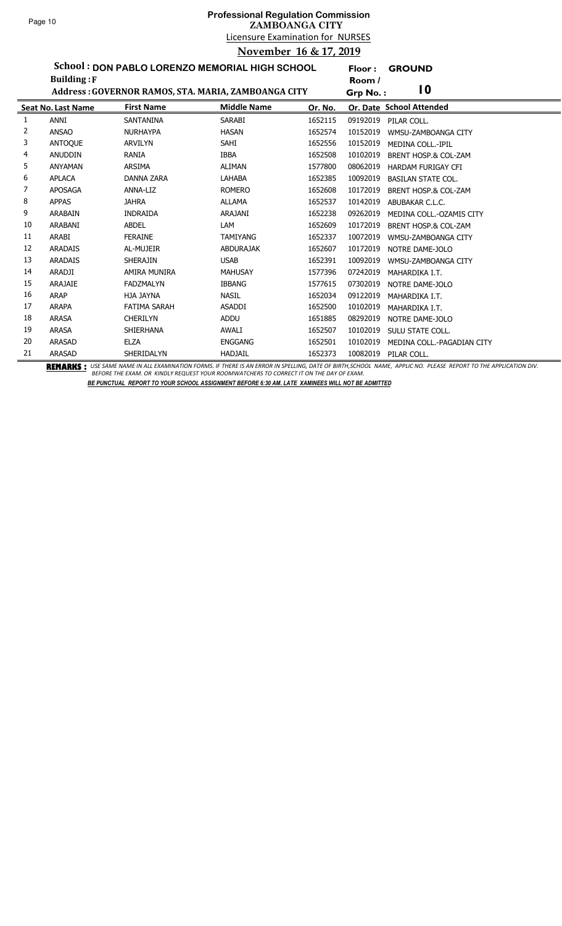## Licensure Examination for NURSES **Professional Regulation Commission ZAMBOANGA CITY November 16 & 17, 2019**

**Floor : GROUND**

**School : DON PABLO LORENZO MEMORIAL HIGH SCHOOL**

|    | <b>Building: F</b>        |                     |                                                     |         | Room /   |                                 |
|----|---------------------------|---------------------|-----------------------------------------------------|---------|----------|---------------------------------|
|    |                           |                     | Address: GOVERNOR RAMOS, STA. MARIA, ZAMBOANGA CITY |         | Grp No.: | $\overline{10}$                 |
|    | <b>Seat No. Last Name</b> | <b>First Name</b>   | <b>Middle Name</b>                                  | Or. No. |          | Or. Date School Attended        |
| 1  | ANNI                      | <b>SANTANINA</b>    | <b>SARABI</b>                                       | 1652115 | 09192019 | PILAR COLL.                     |
| 2  | <b>ANSAO</b>              | <b>NURHAYPA</b>     | <b>HASAN</b>                                        | 1652574 | 10152019 | WMSU-ZAMBOANGA CITY             |
| 3  | ANTOQUE                   | <b>ARVILYN</b>      | SAHI                                                | 1652556 | 10152019 | <b>MEDINA COLL.-IPIL</b>        |
| 4  | <b>ANUDDIN</b>            | <b>RANIA</b>        | <b>IBBA</b>                                         | 1652508 | 10102019 | <b>BRENT HOSP.&amp; COL-ZAM</b> |
| 5  | <b>ANYAMAN</b>            | ARSIMA              | ALIMAN                                              | 1577800 | 08062019 | <b>HARDAM FURIGAY CFI</b>       |
| 6  | <b>APLACA</b>             | <b>DANNA ZARA</b>   | <b>LAHABA</b>                                       | 1652385 | 10092019 | <b>BASILAN STATE COL.</b>       |
|    | <b>APOSAGA</b>            | ANNA-LIZ            | <b>ROMERO</b>                                       | 1652608 | 10172019 | BRENT HOSP.& COL-ZAM            |
| 8  | <b>APPAS</b>              | <b>JAHRA</b>        | <b>ALLAMA</b>                                       | 1652537 | 10142019 | ABUBAKAR C.L.C.                 |
| 9  | <b>ARABAIN</b>            | <b>INDRAIDA</b>     | ARAJANI                                             | 1652238 | 09262019 | MEDINA COLL.-OZAMIS CITY        |
| 10 | ARABANI                   | <b>ABDEL</b>        | LAM                                                 | 1652609 | 10172019 | <b>BRENT HOSP.&amp; COL-ZAM</b> |
| 11 | ARABI                     | <b>FERAINE</b>      | <b>TAMIYANG</b>                                     | 1652337 | 10072019 | WMSU-ZAMBOANGA CITY             |
| 12 | <b>ARADAIS</b>            | AL-MUJEIR           | <b>ABDURAJAK</b>                                    | 1652607 | 10172019 | NOTRE DAME-JOLO                 |
| 13 | <b>ARADAIS</b>            | <b>SHERAJIN</b>     | <b>USAB</b>                                         | 1652391 | 10092019 | WMSU-ZAMBOANGA CITY             |
| 14 | <b>ARADJI</b>             | AMIRA MUNIRA        | <b>MAHUSAY</b>                                      | 1577396 | 07242019 | MAHARDIKA I.T.                  |
| 15 | ARAJAIE                   | <b>FADZMALYN</b>    | <b>IBBANG</b>                                       | 1577615 | 07302019 | NOTRE DAME-JOLO                 |
| 16 | <b>ARAP</b>               | HJA JAYNA           | <b>NASIL</b>                                        | 1652034 | 09122019 | MAHARDIKA I.T.                  |
| 17 | <b>ARAPA</b>              | <b>FATIMA SARAH</b> | <b>ASADDI</b>                                       | 1652500 | 10102019 | MAHARDIKA I.T.                  |
| 18 | <b>ARASA</b>              | <b>CHERILYN</b>     | <b>ADDU</b>                                         | 1651885 | 08292019 | NOTRE DAME-JOLO                 |
| 19 | <b>ARASA</b>              | <b>SHIERHANA</b>    | <b>AWALI</b>                                        | 1652507 | 10102019 | SULU STATE COLL.                |
| 20 | <b>ARASAD</b>             | <b>ELZA</b>         | <b>ENGGANG</b>                                      | 1652501 | 10102019 | MEDINA COLL.-PAGADIAN CITY      |
| 21 | <b>ARASAD</b>             | SHERIDALYN          | <b>HADJAIL</b>                                      | 1652373 | 10082019 | PILAR COLL.                     |

BEMARKS : USE SAME NAME IN ALL EXAMINATION FORMS. IF THERE IS AN ERROR IN SPELLING, DATE OF BIRTH,SCHOOL NAME, APPLIC NO. PLEASE REPORT TO THE APPLICATION DIV.<br>BEFORE THE EXAM. OR KINDLY REQUEST YOUR ROOMWATCHERS TO CORREC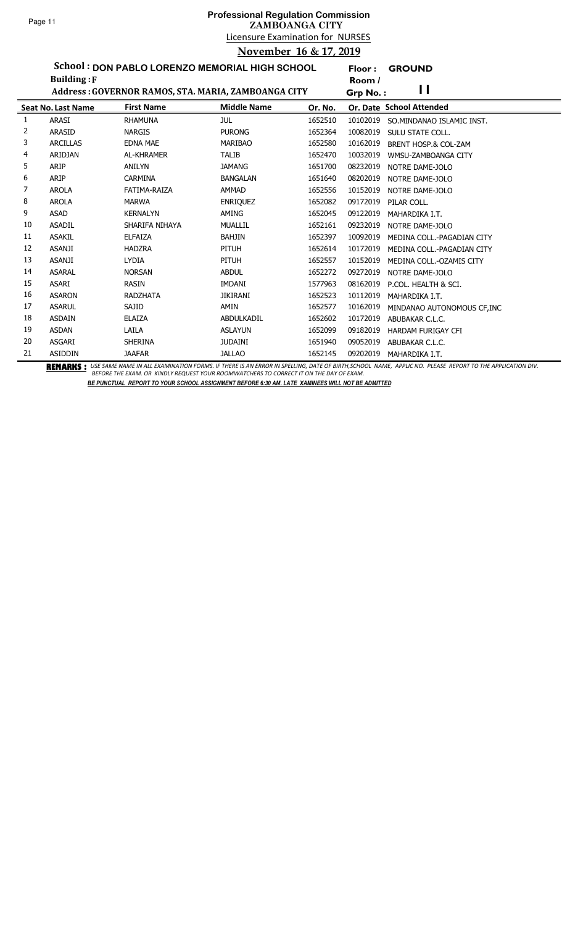**Floor : GROUND**

**School : DON PABLO LORENZO MEMORIAL HIGH SCHOOL**

|    | <b>Building: F</b>        |                                                     |                    |         | Room /   |                             |
|----|---------------------------|-----------------------------------------------------|--------------------|---------|----------|-----------------------------|
|    |                           | Address: GOVERNOR RAMOS, STA. MARIA, ZAMBOANGA CITY |                    |         | Grp No.: | П                           |
|    | <b>Seat No. Last Name</b> | <b>First Name</b>                                   | <b>Middle Name</b> | Or. No. |          | Or. Date School Attended    |
| 1  | ARASI                     | <b>RHAMUNA</b>                                      | jul                | 1652510 | 10102019 | SO.MINDANAO ISLAMIC INST.   |
| 2  | <b>ARASID</b>             | <b>NARGIS</b>                                       | <b>PURONG</b>      | 1652364 | 10082019 | SULU STATE COLL.            |
| 3  | <b>ARCILLAS</b>           | <b>EDNA MAE</b>                                     | <b>MARIBAO</b>     | 1652580 | 10162019 | BRENT HOSP.& COL-ZAM        |
| 4  | <b>ARIDJAN</b>            | <b>AL-KHRAMER</b>                                   | <b>TALIB</b>       | 1652470 | 10032019 | WMSU-ZAMBOANGA CITY         |
| 5  | ARIP                      | <b>ANILYN</b>                                       | <b>JAMANG</b>      | 1651700 | 08232019 | NOTRE DAME-JOLO             |
| 6  | ARIP                      | <b>CARMINA</b>                                      | <b>BANGALAN</b>    | 1651640 | 08202019 | NOTRE DAME-JOLO             |
| 7  | <b>AROLA</b>              | FATIMA-RAIZA                                        | <b>AMMAD</b>       | 1652556 | 10152019 | NOTRE DAME-JOLO             |
| 8  | <b>AROLA</b>              | <b>MARWA</b>                                        | <b>ENRIQUEZ</b>    | 1652082 | 09172019 | PILAR COLL.                 |
| 9  | <b>ASAD</b>               | <b>KERNALYN</b>                                     | AMING              | 1652045 | 09122019 | MAHARDIKA I.T.              |
| 10 | <b>ASADIL</b>             | SHARIFA NIHAYA                                      | <b>MUALLIL</b>     | 1652161 | 09232019 | NOTRE DAME-JOLO             |
| 11 | <b>ASAKIL</b>             | <b>ELFAIZA</b>                                      | <b>BAHJIN</b>      | 1652397 | 10092019 | MEDINA COLL.-PAGADIAN CITY  |
| 12 | <b>ASANJI</b>             | <b>HADZRA</b>                                       | PITUH              | 1652614 | 10172019 | MEDINA COLL.-PAGADIAN CITY  |
| 13 | <b>ASANJI</b>             | <b>LYDIA</b>                                        | PITUH              | 1652557 | 10152019 | MEDINA COLL.-OZAMIS CITY    |
| 14 | <b>ASARAL</b>             | <b>NORSAN</b>                                       | <b>ABDUL</b>       | 1652272 | 09272019 | NOTRE DAME-JOLO             |
| 15 | <b>ASARI</b>              | <b>RASIN</b>                                        | <b>IMDANI</b>      | 1577963 | 08162019 | P.COL. HEALTH & SCI.        |
| 16 | <b>ASARON</b>             | <b>RADZHATA</b>                                     | <b>JIKIRANI</b>    | 1652523 | 10112019 | MAHARDIKA I.T.              |
| 17 | <b>ASARUL</b>             | SAJID                                               | AMIN               | 1652577 | 10162019 | MINDANAO AUTONOMOUS CF, INC |
| 18 | <b>ASDAIN</b>             | <b>ELAIZA</b>                                       | ABDULKADIL         | 1652602 | 10172019 | ABUBAKAR C.L.C.             |
| 19 | <b>ASDAN</b>              | LAILA                                               | <b>ASLAYUN</b>     | 1652099 | 09182019 | <b>HARDAM FURIGAY CFI</b>   |
| 20 | <b>ASGARI</b>             | <b>SHERINA</b>                                      | <b>JUDAINI</b>     | 1651940 | 09052019 | ABUBAKAR C.L.C.             |
| 21 | <b>ASIDDIN</b>            | <b>JAAFAR</b>                                       | <b>JALLAO</b>      | 1652145 | 09202019 | MAHARDIKA I.T.              |

BEMARKS : USE SAME NAME IN ALL EXAMINATION FORMS. IF THERE IS AN ERROR IN SPELLING, DATE OF BIRTH,SCHOOL NAME, APPLIC NO. PLEASE REPORT TO THE APPLICATION DIV.<br>BEFORE THE EXAM. OR KINDLY REQUEST YOUR ROOMWATCHERS TO CORREC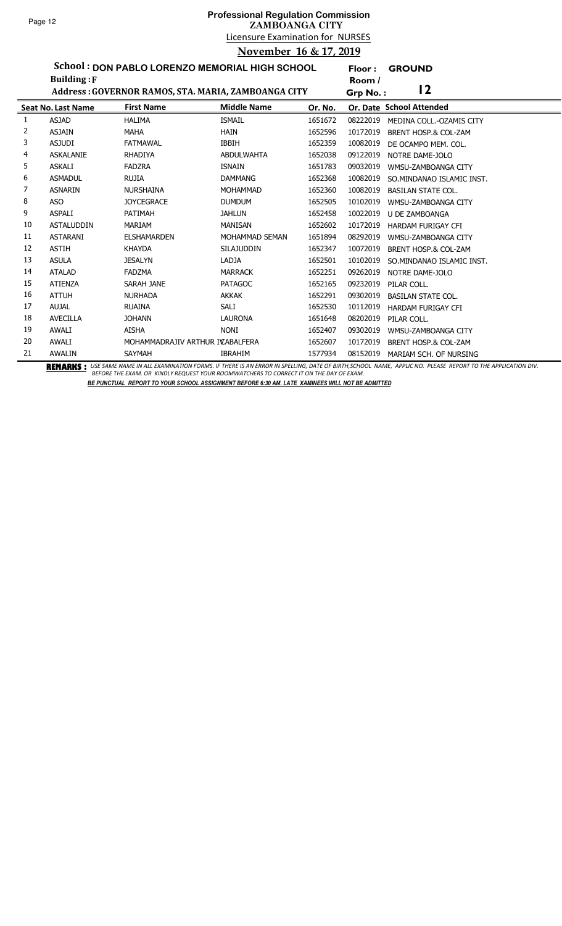**Floor : GROUND**

**School : DON PABLO LORENZO MEMORIAL HIGH SCHOOL**

|    | <b>Building: F</b>        |                                                     |                    |         | Room /   |                                 |
|----|---------------------------|-----------------------------------------------------|--------------------|---------|----------|---------------------------------|
|    |                           | Address: GOVERNOR RAMOS, STA. MARIA, ZAMBOANGA CITY |                    |         | Grp No.: | 12                              |
|    | <b>Seat No. Last Name</b> | <b>First Name</b>                                   | <b>Middle Name</b> | Or. No. |          | Or. Date School Attended        |
| 1  | <b>ASJAD</b>              | <b>HALIMA</b>                                       | <b>ISMAIL</b>      | 1651672 | 08222019 | MEDINA COLL.-OZAMIS CITY        |
| 2  | <b>ASJAIN</b>             | <b>MAHA</b>                                         | <b>HAIN</b>        | 1652596 | 10172019 | BRENT HOSP.& COL-ZAM            |
| 3  | <b>ASJUDI</b>             | <b>FATMAWAL</b>                                     | <b>IBBIH</b>       | 1652359 | 10082019 | DE OCAMPO MEM. COL.             |
| 4  | <b>ASKALANIE</b>          | <b>RHADIYA</b>                                      | <b>ABDULWAHTA</b>  | 1652038 | 09122019 | NOTRE DAME-JOLO                 |
| 5  | <b>ASKALI</b>             | <b>FADZRA</b>                                       | <b>ISNAIN</b>      | 1651783 | 09032019 | WMSU-ZAMBOANGA CITY             |
| 6  | <b>ASMADUL</b>            | <b>RUJIA</b>                                        | <b>DAMMANG</b>     | 1652368 | 10082019 | SO.MINDANAO ISLAMIC INST.       |
| 7  | <b>ASNARIN</b>            | <b>NURSHAINA</b>                                    | <b>MOHAMMAD</b>    | 1652360 | 10082019 | <b>BASILAN STATE COL.</b>       |
| 8  | <b>ASO</b>                | <b>JOYCEGRACE</b>                                   | <b>DUMDUM</b>      | 1652505 | 10102019 | WMSU-ZAMBOANGA CITY             |
| 9  | <b>ASPALI</b>             | PATIMAH                                             | <b>JAHLUN</b>      | 1652458 | 10022019 | U DE ZAMBOANGA                  |
| 10 | <b>ASTALUDDIN</b>         | <b>MARIAM</b>                                       | <b>MANISAN</b>     | 1652602 | 10172019 | <b>HARDAM FURIGAY CFI</b>       |
| 11 | <b>ASTARANI</b>           | <b>ELSHAMARDEN</b>                                  | MOHAMMAD SEMAN     | 1651894 | 08292019 | WMSU-ZAMBOANGA CITY             |
| 12 | <b>ASTIH</b>              | <b>KHAYDA</b>                                       | <b>SILAJUDDIN</b>  | 1652347 | 10072019 | <b>BRENT HOSP.&amp; COL-ZAM</b> |
| 13 | <b>ASULA</b>              | <b>JESALYN</b>                                      | <b>LADJA</b>       | 1652501 | 10102019 | SO.MINDANAO ISLAMIC INST.       |
| 14 | <b>ATALAD</b>             | <b>FADZMA</b>                                       | <b>MARRACK</b>     | 1652251 | 09262019 | NOTRE DAME-JOLO                 |
| 15 | <b>ATIENZA</b>            | SARAH JANE                                          | <b>PATAGOC</b>     | 1652165 | 09232019 | PILAR COLL.                     |
| 16 | <b>ATTUH</b>              | <b>NURHADA</b>                                      | <b>AKKAK</b>       | 1652291 | 09302019 | <b>BASILAN STATE COL.</b>       |
| 17 | <b>AUJAL</b>              | <b>RUAINA</b>                                       | SALI               | 1652530 | 10112019 | <b>HARDAM FURIGAY CFI</b>       |
| 18 | <b>AVECILLA</b>           | <b>JOHANN</b>                                       | <b>LAURONA</b>     | 1651648 | 08202019 | PILAR COLL.                     |
| 19 | <b>AWALI</b>              | <b>AISHA</b>                                        | <b>NONI</b>        | 1652407 | 09302019 | WMSU-ZAMBOANGA CITY             |
| 20 | <b>AWALI</b>              | MOHAMMADRAJIV ARTHUR IVABALFERA                     |                    | 1652607 | 10172019 | <b>BRENT HOSP.&amp; COL-ZAM</b> |
| 21 | AWALIN                    | SAYMAH                                              | <b>IBRAHIM</b>     | 1577934 | 08152019 | MARIAM SCH. OF NURSING          |

BEMARKS : USE SAME NAME IN ALL EXAMINATION FORMS. IF THERE IS AN ERROR IN SPELLING, DATE OF BIRTH,SCHOOL NAME, APPLIC NO. PLEASE REPORT TO THE APPLICATION DIV.<br>BEFORE THE EXAM. OR KINDLY REQUEST YOUR ROOMWATCHERS TO CORREC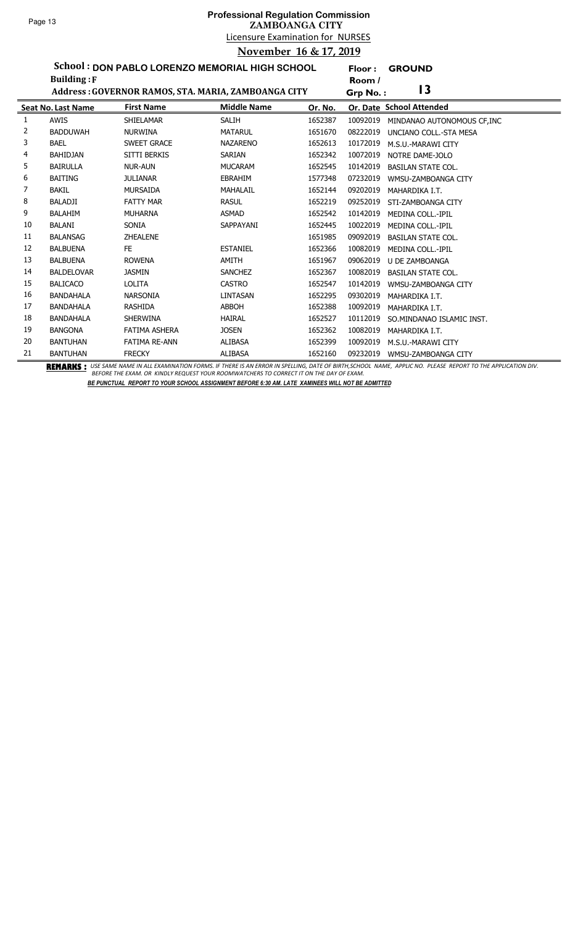# Licensure Examination for NURSES **Professional Regulation Commission ZAMBOANGA CITY November 16 & 17, 2019**

**Floor : GROUND**

**School : DON PABLO LORENZO MEMORIAL HIGH SCHOOL**

|    | <b>Building: F</b>        |                      |                                                     |         | Room /                                  |  |
|----|---------------------------|----------------------|-----------------------------------------------------|---------|-----------------------------------------|--|
|    |                           |                      | Address: GOVERNOR RAMOS, STA. MARIA, ZAMBOANGA CITY |         | $\overline{13}$<br>Grp No.:             |  |
|    | <b>Seat No. Last Name</b> | <b>First Name</b>    | <b>Middle Name</b>                                  | Or. No. | Or. Date School Attended                |  |
| 1  | AWIS                      | SHIELAMAR            | <b>SALIH</b>                                        | 1652387 | 10092019<br>MINDANAO AUTONOMOUS CF, INC |  |
| 2  | <b>BADDUWAH</b>           | <b>NURWINA</b>       | <b>MATARUL</b>                                      | 1651670 | 08222019<br>UNCIANO COLL.-STA MESA      |  |
| 3  | <b>BAEL</b>               | <b>SWEET GRACE</b>   | <b>NAZARENO</b>                                     | 1652613 | 10172019<br>M.S.U.-MARAWI CITY          |  |
| 4  | <b>BAHIDJAN</b>           | SITTI BERKIS         | SARIAN                                              | 1652342 | 10072019<br>NOTRE DAME-JOLO             |  |
| 5. | <b>BAIRULLA</b>           | <b>NUR-AUN</b>       | <b>MUCARAM</b>                                      | 1652545 | 10142019<br><b>BASILAN STATE COL.</b>   |  |
| 6  | <b>BAITING</b>            | <b>JULIANAR</b>      | <b>EBRAHIM</b>                                      | 1577348 | 07232019<br>WMSU-ZAMBOANGA CITY         |  |
| 7  | <b>BAKIL</b>              | MURSAIDA             | <b>MAHALAIL</b>                                     | 1652144 | 09202019<br>MAHARDIKA I.T.              |  |
| 8  | <b>BALADJI</b>            | <b>FATTY MAR</b>     | <b>RASUL</b>                                        | 1652219 | 09252019<br>STI-ZAMBOANGA CITY          |  |
| 9  | <b>BALAHIM</b>            | <b>MUHARNA</b>       | <b>ASMAD</b>                                        | 1652542 | 10142019<br><b>MEDINA COLL.-IPIL</b>    |  |
| 10 | <b>BALANI</b>             | <b>SONIA</b>         | SAPPAYANI                                           | 1652445 | 10022019<br><b>MEDINA COLL.-IPIL</b>    |  |
| 11 | <b>BALANSAG</b>           | <b>ZHEALENE</b>      |                                                     | 1651985 | 09092019<br><b>BASILAN STATE COL.</b>   |  |
| 12 | <b>BALBUENA</b>           | FE.                  | <b>ESTANIEL</b>                                     | 1652366 | 10082019<br><b>MEDINA COLL.-IPIL</b>    |  |
| 13 | <b>BALBUENA</b>           | <b>ROWENA</b>        | <b>AMITH</b>                                        | 1651967 | 09062019<br><b>U DE ZAMBOANGA</b>       |  |
| 14 | <b>BALDELOVAR</b>         | <b>JASMIN</b>        | <b>SANCHEZ</b>                                      | 1652367 | 10082019<br><b>BASILAN STATE COL.</b>   |  |
| 15 | <b>BALICACO</b>           | <b>LOLITA</b>        | <b>CASTRO</b>                                       | 1652547 | 10142019<br>WMSU-ZAMBOANGA CITY         |  |
| 16 | <b>BANDAHALA</b>          | <b>NARSONIA</b>      | <b>LINTASAN</b>                                     | 1652295 | 09302019<br>MAHARDIKA I.T.              |  |
| 17 | <b>BANDAHALA</b>          | <b>RASHIDA</b>       | <b>ABBOH</b>                                        | 1652388 | 10092019<br>MAHARDIKA I.T.              |  |
| 18 | <b>BANDAHALA</b>          | SHERWINA             | <b>HAIRAL</b>                                       | 1652527 | 10112019<br>SO.MINDANAO ISLAMIC INST.   |  |
| 19 | <b>BANGONA</b>            | FATIMA ASHERA        | <b>JOSEN</b>                                        | 1652362 | 10082019<br>MAHARDIKA I.T.              |  |
| 20 | <b>BANTUHAN</b>           | <b>FATIMA RE-ANN</b> | <b>ALIBASA</b>                                      | 1652399 | 10092019<br>M.S.U.-MARAWI CITY          |  |
| 21 | <b>BANTUHAN</b>           | <b>FRECKY</b>        | <b>ALIBASA</b>                                      | 1652160 | 09232019<br>WMSU-ZAMBOANGA CITY         |  |

BEMARKS : USE SAME NAME IN ALL EXAMINATION FORMS. IF THERE IS AN ERROR IN SPELLING, DATE OF BIRTH,SCHOOL NAME, APPLIC NO. PLEASE REPORT TO THE APPLICATION DIV.<br>BEFORE THE EXAM. OR KINDLY REQUEST YOUR ROOMWATCHERS TO CORREC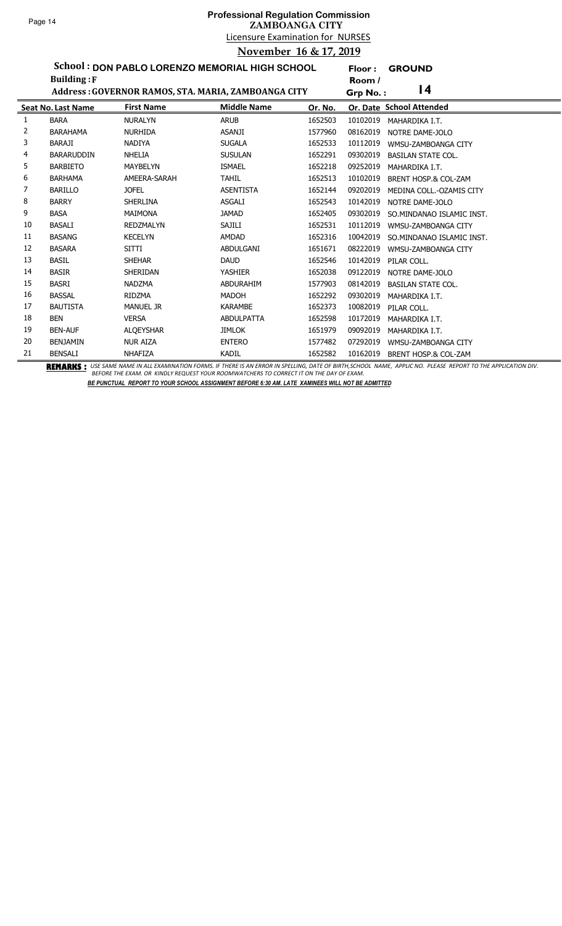l,

## Licensure Examination for NURSES **Professional Regulation Commission ZAMBOANGA CITY November 16 & 17, 2019**

**Floor : GROUND**

**School : DON PABLO LORENZO MEMORIAL HIGH SCHOOL**

|    | <b>Building: F</b>        |                                                     |                    |         | Room /   |                           |
|----|---------------------------|-----------------------------------------------------|--------------------|---------|----------|---------------------------|
|    |                           | Address: GOVERNOR RAMOS, STA. MARIA, ZAMBOANGA CITY |                    |         | Grp No.: | 4                         |
|    | <b>Seat No. Last Name</b> | <b>First Name</b>                                   | <b>Middle Name</b> | Or. No. |          | Or. Date School Attended  |
| 1  | <b>BARA</b>               | <b>NURALYN</b>                                      | <b>ARUB</b>        | 1652503 | 10102019 | MAHARDIKA I.T.            |
| 2  | <b>BARAHAMA</b>           | <b>NURHIDA</b>                                      | <b>ASANJI</b>      | 1577960 | 08162019 | NOTRE DAME-JOLO           |
| 3  | <b>BARAJI</b>             | <b>NADIYA</b>                                       | <b>SUGALA</b>      | 1652533 | 10112019 | WMSU-ZAMBOANGA CITY       |
| 4  | <b>BARARUDDIN</b>         | <b>NHELIA</b>                                       | <b>SUSULAN</b>     | 1652291 | 09302019 | <b>BASILAN STATE COL.</b> |
| 5  | <b>BARBIETO</b>           | MAYBELYN                                            | <b>ISMAEL</b>      | 1652218 | 09252019 | MAHARDIKA I.T.            |
| 6  | <b>BARHAMA</b>            | AMEERA-SARAH                                        | <b>TAHIL</b>       | 1652513 | 10102019 | BRENT HOSP.& COL-ZAM      |
| 7  | <b>BARILLO</b>            | <b>JOFEL</b>                                        | <b>ASENTISTA</b>   | 1652144 | 09202019 | MEDINA COLL.-OZAMIS CITY  |
| 8  | <b>BARRY</b>              | <b>SHERLINA</b>                                     | <b>ASGALI</b>      | 1652543 | 10142019 | NOTRE DAME-JOLO           |
| 9  | <b>BASA</b>               | MAIMONA                                             | <b>JAMAD</b>       | 1652405 | 09302019 | SO.MINDANAO ISLAMIC INST. |
| 10 | <b>BASALI</b>             | <b>REDZMALYN</b>                                    | SAJILI             | 1652531 | 10112019 | WMSU-ZAMBOANGA CITY       |
| 11 | <b>BASANG</b>             | <b>KECELYN</b>                                      | AMDAD              | 1652316 | 10042019 | SO.MINDANAO ISLAMIC INST. |
| 12 | <b>BASARA</b>             | <b>SITTI</b>                                        | ABDULGANI          | 1651671 | 08222019 | WMSU-ZAMBOANGA CITY       |
| 13 | <b>BASIL</b>              | <b>SHEHAR</b>                                       | <b>DAUD</b>        | 1652546 | 10142019 | PILAR COLL.               |
| 14 | <b>BASIR</b>              | <b>SHERIDAN</b>                                     | <b>YASHIER</b>     | 1652038 | 09122019 | NOTRE DAME-JOLO           |
| 15 | <b>BASRI</b>              | <b>NADZMA</b>                                       | <b>ABDURAHIM</b>   | 1577903 | 08142019 | <b>BASILAN STATE COL.</b> |
| 16 | <b>BASSAL</b>             | <b>RIDZMA</b>                                       | <b>MADOH</b>       | 1652292 | 09302019 | MAHARDIKA I.T.            |
| 17 | <b>BAUTISTA</b>           | <b>MANUEL JR</b>                                    | <b>KARAMBE</b>     | 1652373 | 10082019 | PILAR COLL.               |
| 18 | <b>BEN</b>                | <b>VERSA</b>                                        | ABDULPATTA         | 1652598 | 10172019 | MAHARDIKA I.T.            |
| 19 | <b>BEN-AUF</b>            | <b>ALOEYSHAR</b>                                    | <b>JIMLOK</b>      | 1651979 | 09092019 | MAHARDIKA I.T.            |
| 20 | <b>BENJAMIN</b>           | <b>NUR AIZA</b>                                     | <b>ENTERO</b>      | 1577482 | 07292019 | WMSU-ZAMBOANGA CITY       |
| 21 | <b>BENSALI</b>            | <b>NHAFIZA</b>                                      | <b>KADIL</b>       | 1652582 | 10162019 | BRENT HOSP.& COL-ZAM      |

BEMARKS : USE SAME NAME IN ALL EXAMINATION FORMS. IF THERE IS AN ERROR IN SPELLING, DATE OF BIRTH,SCHOOL NAME, APPLIC NO. PLEASE REPORT TO THE APPLICATION DIV.<br>BEFORE THE EXAM. OR KINDLY REQUEST YOUR ROOMWATCHERS TO CORREC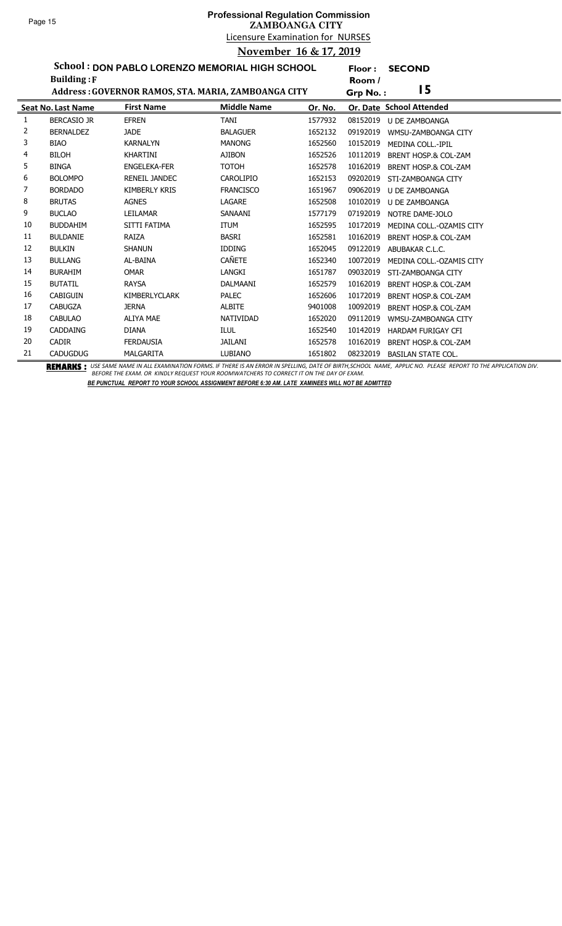**Floor : SECOND**

**School : DON PABLO LORENZO MEMORIAL HIGH SCHOOL**

|    | <b>Building: F</b>        |                                                     |                    |         | Room /                                      |  |
|----|---------------------------|-----------------------------------------------------|--------------------|---------|---------------------------------------------|--|
|    |                           | Address: GOVERNOR RAMOS, STA. MARIA, ZAMBOANGA CITY |                    |         | 15<br>Grp No.:                              |  |
|    | <b>Seat No. Last Name</b> | <b>First Name</b>                                   | <b>Middle Name</b> | Or. No. | Or. Date School Attended                    |  |
| 1  | <b>BERCASIO JR</b>        | <b>EFREN</b>                                        | <b>TANI</b>        | 1577932 | 08152019<br>U DE ZAMBOANGA                  |  |
| 2  | <b>BERNALDEZ</b>          | <b>JADE</b>                                         | <b>BALAGUER</b>    | 1652132 | 09192019<br>WMSU-ZAMBOANGA CITY             |  |
| 3  | <b>BIAO</b>               | <b>KARNALYN</b>                                     | <b>MANONG</b>      | 1652560 | 10152019<br><b>MEDINA COLL.-IPIL</b>        |  |
| 4  | <b>BILOH</b>              | <b>KHARTINI</b>                                     | <b>AJIBON</b>      | 1652526 | 10112019<br>BRENT HOSP.& COL-ZAM            |  |
| 5  | <b>BINGA</b>              | <b>ENGELEKA-FER</b>                                 | <b>TOTOH</b>       | 1652578 | 10162019<br>BRENT HOSP.& COL-ZAM            |  |
| 6  | <b>BOLOMPO</b>            | RENEIL JANDEC                                       | CAROLIPIO          | 1652153 | 09202019<br>STI-ZAMBOANGA CITY              |  |
| 7  | <b>BORDADO</b>            | <b>KIMBERLY KRIS</b>                                | <b>FRANCISCO</b>   | 1651967 | 09062019<br><b>U DE ZAMBOANGA</b>           |  |
| 8  | <b>BRUTAS</b>             | <b>AGNES</b>                                        | LAGARE             | 1652508 | 10102019<br>U DE ZAMBOANGA                  |  |
| 9  | <b>BUCLAO</b>             | LEILAMAR                                            | SANAANI            | 1577179 | 07192019<br>NOTRE DAME-JOLO                 |  |
| 10 | <b>BUDDAHIM</b>           | SITTI FATIMA                                        | <b>ITUM</b>        | 1652595 | 10172019<br>MEDINA COLL.-OZAMIS CITY        |  |
| 11 | <b>BULDANIE</b>           | RAIZA                                               | <b>BASRI</b>       | 1652581 | 10162019<br><b>BRENT HOSP.&amp; COL-ZAM</b> |  |
| 12 | <b>BULKIN</b>             | <b>SHANUN</b>                                       | <b>IDDING</b>      | 1652045 | 09122019<br>ABUBAKAR C.L.C.                 |  |
| 13 | <b>BULLANG</b>            | AL-BAINA                                            | <b>CAÑETE</b>      | 1652340 | 10072019<br>MEDINA COLL.-OZAMIS CITY        |  |
| 14 | <b>BURAHIM</b>            | <b>OMAR</b>                                         | <b>LANGKI</b>      | 1651787 | 09032019<br>STI-ZAMBOANGA CITY              |  |
| 15 | <b>BUTATIL</b>            | <b>RAYSA</b>                                        | DALMAANI           | 1652579 | 10162019<br>BRENT HOSP.& COL-ZAM            |  |
| 16 | <b>CABIGUIN</b>           | <b>KIMBERLYCLARK</b>                                | <b>PALEC</b>       | 1652606 | 10172019<br><b>BRENT HOSP.&amp; COL-ZAM</b> |  |
| 17 | <b>CABUGZA</b>            | <b>JERNA</b>                                        | <b>ALBITE</b>      | 9401008 | 10092019<br>BRENT HOSP.& COL-ZAM            |  |
| 18 | <b>CABULAO</b>            | <b>ALIYA MAE</b>                                    | <b>NATIVIDAD</b>   | 1652020 | 09112019<br>WMSU-ZAMBOANGA CITY             |  |
| 19 | <b>CADDAING</b>           | <b>DIANA</b>                                        | <b>ILUL</b>        | 1652540 | 10142019<br><b>HARDAM FURIGAY CFI</b>       |  |
| 20 | <b>CADIR</b>              | <b>FERDAUSIA</b>                                    | JAILANI            | 1652578 | 10162019<br>BRENT HOSP.& COL-ZAM            |  |
| 21 | <b>CADUGDUG</b>           | <b>MALGARITA</b>                                    | <b>LUBIANO</b>     | 1651802 | 08232019<br><b>BASILAN STATE COL.</b>       |  |

BEMARKS : USE SAME NAME IN ALL EXAMINATION FORMS. IF THERE IS AN ERROR IN SPELLING, DATE OF BIRTH,SCHOOL NAME, APPLIC NO. PLEASE REPORT TO THE APPLICATION DIV.<br>BEFORE THE EXAM. OR KINDLY REQUEST YOUR ROOMWATCHERS TO CORREC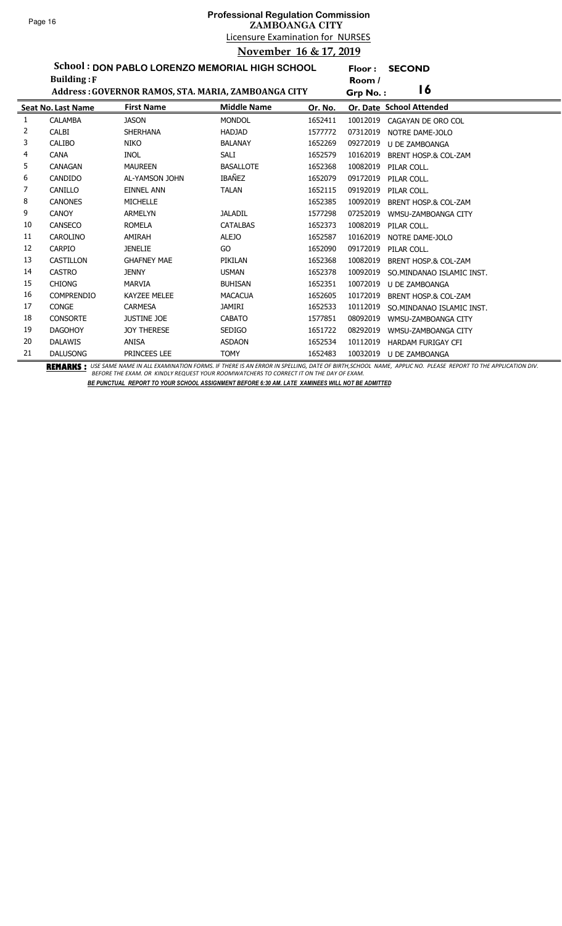## Licensure Examination for NURSES **Professional Regulation Commission ZAMBOANGA CITY November 16 & 17, 2019**

**Floor : SECOND**

**School : DON PABLO LORENZO MEMORIAL HIGH SCHOOL Building :F**

|    | <b>Building:</b> F        |                                                     |                    |         | Room /                                 |
|----|---------------------------|-----------------------------------------------------|--------------------|---------|----------------------------------------|
|    |                           | Address: GOVERNOR RAMOS, STA. MARIA, ZAMBOANGA CITY |                    |         | $\overline{16}$<br>Grp No.:            |
|    | <b>Seat No. Last Name</b> | <b>First Name</b>                                   | <b>Middle Name</b> | Or. No. | Or. Date School Attended               |
| 1  | <b>CALAMBA</b>            | <b>JASON</b>                                        | <b>MONDOL</b>      | 1652411 | 10012019<br>CAGAYAN DE ORO COL         |
| 2  | <b>CALBI</b>              | <b>SHERHANA</b>                                     | <b>HADJAD</b>      | 1577772 | 07312019<br>NOTRE DAME-JOLO            |
| 3  | <b>CALIBO</b>             | <b>NIKO</b>                                         | <b>BALANAY</b>     | 1652269 | 09272019<br>U DE ZAMBOANGA             |
| 4  | <b>CANA</b>               | <b>INOL</b>                                         | SALI               | 1652579 | 10162019<br>BRENT HOSP.& COL-ZAM       |
| 5  | <b>CANAGAN</b>            | <b>MAUREEN</b>                                      | <b>BASALLOTE</b>   | 1652368 | 10082019<br>PILAR COLL.                |
| 6  | CANDIDO                   | AL-YAMSON JOHN                                      | IBAÑEZ             | 1652079 | 09172019<br>PILAR COLL.                |
| 7  | CANILLO                   | <b>EINNEL ANN</b>                                   | <b>TALAN</b>       | 1652115 | 09192019<br>PILAR COLL.                |
| 8  | <b>CANONES</b>            | <b>MICHELLE</b>                                     |                    | 1652385 | 10092019<br>BRENT HOSP.& COL-ZAM       |
| 9  | <b>CANOY</b>              | <b>ARMELYN</b>                                      | <b>JALADIL</b>     | 1577298 | 07252019<br>WMSU-ZAMBOANGA CITY        |
| 10 | CANSECO                   | <b>ROMELA</b>                                       | <b>CATALBAS</b>    | 1652373 | 10082019<br>PILAR COLL.                |
| 11 | <b>CAROLINO</b>           | AMIRAH                                              | <b>ALEJO</b>       | 1652587 | 10162019<br>NOTRE DAME-JOLO            |
| 12 | <b>CARPIO</b>             | <b>JENELIE</b>                                      | GO                 | 1652090 | 09172019<br>PILAR COLL.                |
| 13 | <b>CASTILLON</b>          | <b>GHAFNEY MAE</b>                                  | PIKILAN            | 1652368 | 10082019<br>BRENT HOSP.& COL-ZAM       |
| 14 | <b>CASTRO</b>             | <b>JENNY</b>                                        | <b>USMAN</b>       | 1652378 | 10092019<br>SO.MINDANAO ISLAMIC INST.  |
| 15 | <b>CHIONG</b>             | <b>MARVIA</b>                                       | <b>BUHISAN</b>     | 1652351 | 10072019<br>U DE ZAMBOANGA             |
| 16 | <b>COMPRENDIO</b>         | <b>KAYZEE MELEE</b>                                 | <b>MACACUA</b>     | 1652605 | 10172019<br>BRENT HOSP.& COL-ZAM       |
| 17 | <b>CONGE</b>              | <b>CARMESA</b>                                      | <b>JAMIRI</b>      | 1652533 | 10112019<br>SO. MINDANAO ISLAMIC INST. |
| 18 | <b>CONSORTE</b>           | <b>JUSTINE JOE</b>                                  | <b>CABATO</b>      | 1577851 | 08092019<br>WMSU-ZAMBOANGA CITY        |
| 19 | <b>DAGOHOY</b>            | <b>JOY THERESE</b>                                  | <b>SEDIGO</b>      | 1651722 | 08292019<br>WMSU-ZAMBOANGA CITY        |
| 20 | <b>DALAWIS</b>            | <b>ANISA</b>                                        | <b>ASDAON</b>      | 1652534 | 10112019<br><b>HARDAM FURIGAY CFI</b>  |
| 21 | <b>DALUSONG</b>           | PRINCEES LEE                                        | <b>TOMY</b>        | 1652483 | 10032019<br><b>U DE ZAMBOANGA</b>      |

BEMARKS : USE SAME NAME IN ALL EXAMINATION FORMS. IF THERE IS AN ERROR IN SPELLING, DATE OF BIRTH,SCHOOL NAME, APPLIC NO. PLEASE REPORT TO THE APPLICATION DIV.<br>BEFORE THE EXAM. OR KINDLY REQUEST YOUR ROOMWATCHERS TO CORREC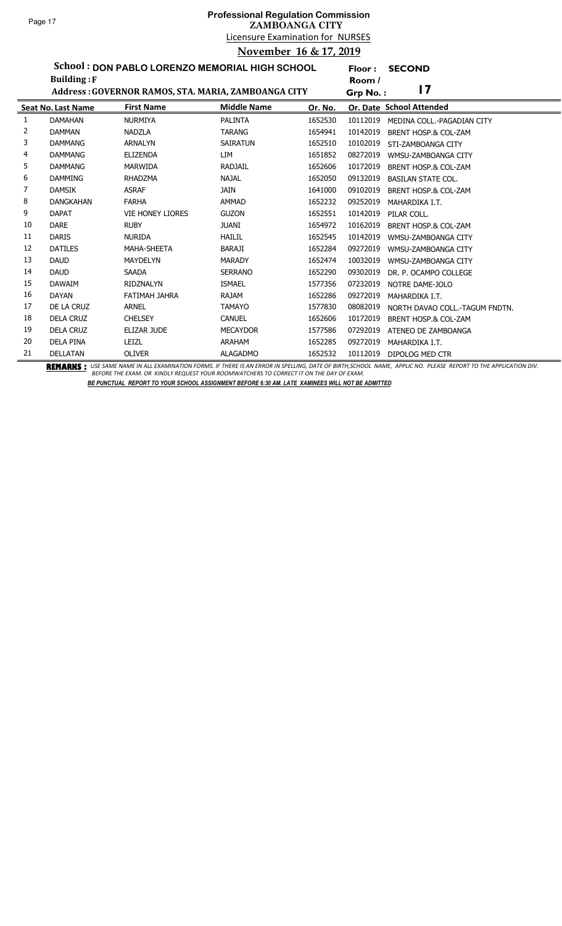**Floor : SECOND**

**School : DON PABLO LORENZO MEMORIAL HIGH SCHOOL**

|    | <b>Building: F</b>        |                                                     |                    |         | Room /   |                                 |
|----|---------------------------|-----------------------------------------------------|--------------------|---------|----------|---------------------------------|
|    |                           | Address: GOVERNOR RAMOS, STA. MARIA, ZAMBOANGA CITY |                    |         | Grp No.: | 17                              |
|    | <b>Seat No. Last Name</b> | <b>First Name</b>                                   | <b>Middle Name</b> | Or. No. |          | Or. Date School Attended        |
| 1  | <b>DAMAHAN</b>            | <b>NURMIYA</b>                                      | <b>PALINTA</b>     | 1652530 | 10112019 | MEDINA COLL.-PAGADIAN CITY      |
| 2  | <b>DAMMAN</b>             | <b>NADZLA</b>                                       | <b>TARANG</b>      | 1654941 | 10142019 | BRENT HOSP.& COL-ZAM            |
| 3  | <b>DAMMANG</b>            | <b>ARNALYN</b>                                      | <b>SAIRATUN</b>    | 1652510 | 10102019 | STI-ZAMBOANGA CITY              |
| 4  | <b>DAMMANG</b>            | <b>ELIZENDA</b>                                     | LIM                | 1651852 | 08272019 | WMSU-ZAMBOANGA CITY             |
| 5  | <b>DAMMANG</b>            | MARWIDA                                             | <b>RADJAIL</b>     | 1652606 | 10172019 | <b>BRENT HOSP.&amp; COL-ZAM</b> |
| 6  | <b>DAMMING</b>            | <b>RHADZMA</b>                                      | <b>NAJAL</b>       | 1652050 | 09132019 | <b>BASILAN STATE COL.</b>       |
| 7  | <b>DAMSIK</b>             | <b>ASRAF</b>                                        | JAIN               | 1641000 | 09102019 | <b>BRENT HOSP.&amp; COL-ZAM</b> |
| 8  | <b>DANGKAHAN</b>          | <b>FARHA</b>                                        | <b>AMMAD</b>       | 1652232 | 09252019 | MAHARDIKA I.T.                  |
| 9  | <b>DAPAT</b>              | <b>VIE HONEY LIORES</b>                             | <b>GUZON</b>       | 1652551 | 10142019 | PILAR COLL.                     |
| 10 | <b>DARE</b>               | <b>RUBY</b>                                         | <b>JUANI</b>       | 1654972 | 10162019 | BRENT HOSP.& COL-ZAM            |
| 11 | <b>DARIS</b>              | <b>NURIDA</b>                                       | <b>HAILIL</b>      | 1652545 | 10142019 | WMSU-ZAMBOANGA CITY             |
| 12 | <b>DATILES</b>            | <b>MAHA-SHEETA</b>                                  | <b>BARAJI</b>      | 1652284 | 09272019 | WMSU-ZAMBOANGA CITY             |
| 13 | <b>DAUD</b>               | <b>MAYDELYN</b>                                     | <b>MARADY</b>      | 1652474 | 10032019 | WMSU-ZAMBOANGA CITY             |
| 14 | <b>DAUD</b>               | <b>SAADA</b>                                        | <b>SERRANO</b>     | 1652290 | 09302019 | DR. P. OCAMPO COLLEGE           |
| 15 | <b>DAWAIM</b>             | <b>RIDZNALYN</b>                                    | <b>ISMAEL</b>      | 1577356 | 07232019 | NOTRE DAME-JOLO                 |
| 16 | <b>DAYAN</b>              | FATIMAH JAHRA                                       | <b>RAJAM</b>       | 1652286 | 09272019 | MAHARDIKA I.T.                  |
| 17 | DE LA CRUZ                | <b>ARNEL</b>                                        | <b>TAMAYO</b>      | 1577830 | 08082019 | NORTH DAVAO COLL.-TAGUM FNDTN.  |
| 18 | <b>DELA CRUZ</b>          | <b>CHELSEY</b>                                      | <b>CANUEL</b>      | 1652606 | 10172019 | BRENT HOSP.& COL-ZAM            |
| 19 | <b>DELA CRUZ</b>          | ELIZAR JUDE                                         | <b>MECAYDOR</b>    | 1577586 | 07292019 | ATENEO DE ZAMBOANGA             |
| 20 | <b>DELA PINA</b>          | LEIZL                                               | <b>ARAHAM</b>      | 1652285 | 09272019 | MAHARDIKA I.T.                  |
| 21 | <b>DELLATAN</b>           | <b>OLIVER</b>                                       | <b>ALAGADMO</b>    | 1652532 | 10112019 | DIPOLOG MED CTR                 |

BEMARKS : USE SAME NAME IN ALL EXAMINATION FORMS. IF THERE IS AN ERROR IN SPELLING, DATE OF BIRTH,SCHOOL NAME, APPLIC NO. PLEASE REPORT TO THE APPLICATION DIV.<br>BEFORE THE EXAM. OR KINDLY REQUEST YOUR ROOMWATCHERS TO CORREC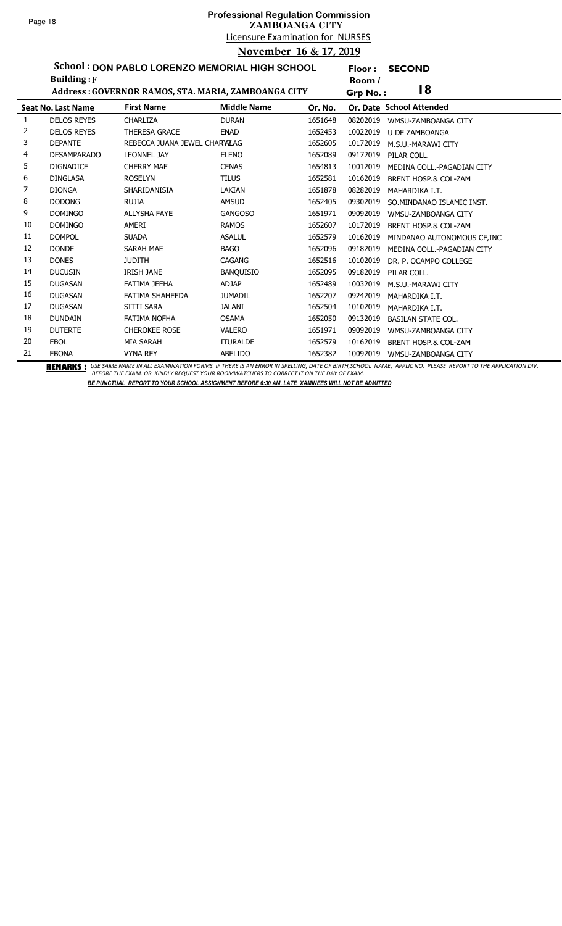**Floor : SECOND**

**School : DON PABLO LORENZO MEMORIAL HIGH SCHOOL Building :F**

|    | <b>Building: F</b>        |                                                     | Room /             |                |          |                                 |
|----|---------------------------|-----------------------------------------------------|--------------------|----------------|----------|---------------------------------|
|    |                           | Address: GOVERNOR RAMOS, STA. MARIA, ZAMBOANGA CITY |                    | 18<br>Grp No.: |          |                                 |
|    | <b>Seat No. Last Name</b> | <b>First Name</b>                                   | <b>Middle Name</b> | Or. No.        |          | Or. Date School Attended        |
| 1  | <b>DELOS REYES</b>        | CHARLIZA                                            | <b>DURAN</b>       | 1651648        | 08202019 | WMSU-ZAMBOANGA CITY             |
| 2  | <b>DELOS REYES</b>        | <b>THERESA GRACE</b>                                | <b>ENAD</b>        | 1652453        | 10022019 | <b>U DE ZAMBOANGA</b>           |
| 3  | <b>DEPANTE</b>            | REBECCA JUANA JEWEL CHARYALAG                       |                    | 1652605        | 10172019 | M.S.U.-MARAWI CITY              |
| 4  | <b>DESAMPARADO</b>        | <b>LEONNEL JAY</b>                                  | <b>ELENO</b>       | 1652089        | 09172019 | PILAR COLL.                     |
| 5  | <b>DIGNADICE</b>          | <b>CHERRY MAE</b>                                   | <b>CENAS</b>       | 1654813        | 10012019 | MEDINA COLL.-PAGADIAN CITY      |
| 6  | <b>DINGLASA</b>           | <b>ROSELYN</b>                                      | <b>TILUS</b>       | 1652581        | 10162019 | BRENT HOSP.& COL-ZAM            |
| 7  | <b>DIONGA</b>             | SHARIDANISIA                                        | LAKIAN             | 1651878        | 08282019 | MAHARDIKA I.T.                  |
| 8  | <b>DODONG</b>             | <b>RUJIA</b>                                        | <b>AMSUD</b>       | 1652405        | 09302019 | SO. MINDANAO ISLAMIC INST.      |
| 9  | <b>DOMINGO</b>            | <b>ALLYSHA FAYE</b>                                 | <b>GANGOSO</b>     | 1651971        | 09092019 | WMSU-ZAMBOANGA CITY             |
| 10 | <b>DOMINGO</b>            | AMERI                                               | <b>RAMOS</b>       | 1652607        | 10172019 | <b>BRENT HOSP.&amp; COL-ZAM</b> |
| 11 | <b>DOMPOL</b>             | <b>SUADA</b>                                        | <b>ASALUL</b>      | 1652579        | 10162019 | MINDANAO AUTONOMOUS CF, INC     |
| 12 | <b>DONDE</b>              | SARAH MAE                                           | <b>BAGO</b>        | 1652096        | 09182019 | MEDINA COLL.-PAGADIAN CITY      |
| 13 | <b>DONES</b>              | <b>JUDITH</b>                                       | <b>CAGANG</b>      | 1652516        | 10102019 | DR. P. OCAMPO COLLEGE           |
| 14 | <b>DUCUSIN</b>            | <b>IRISH JANE</b>                                   | <b>BANQUISIO</b>   | 1652095        | 09182019 | PILAR COLL.                     |
| 15 | <b>DUGASAN</b>            | FATIMA JEEHA                                        | ADJAP              | 1652489        | 10032019 | M.S.U.-MARAWI CITY              |
| 16 | <b>DUGASAN</b>            | <b>FATIMA SHAHEEDA</b>                              | <b>JUMADIL</b>     | 1652207        | 09242019 | MAHARDIKA I.T.                  |
| 17 | <b>DUGASAN</b>            | SITTI SARA                                          | JALANI             | 1652504        | 10102019 | MAHARDIKA I.T.                  |
| 18 | <b>DUNDAIN</b>            | <b>FATIMA NOFHA</b>                                 | <b>OSAMA</b>       | 1652050        | 09132019 | <b>BASILAN STATE COL.</b>       |
| 19 | <b>DUTERTE</b>            | <b>CHEROKEE ROSE</b>                                | <b>VALERO</b>      | 1651971        | 09092019 | WMSU-ZAMBOANGA CITY             |
| 20 | <b>EBOL</b>               | <b>MIA SARAH</b>                                    | <b>ITURALDE</b>    | 1652579        | 10162019 | <b>BRENT HOSP.&amp; COL-ZAM</b> |
| 21 | <b>EBONA</b>              | <b>VYNA REY</b>                                     | ABELIDO            | 1652382        | 10092019 | WMSU-ZAMBOANGA CITY             |

BEMARKS : USE SAME NAME IN ALL EXAMINATION FORMS. IF THERE IS AN ERROR IN SPELLING, DATE OF BIRTH,SCHOOL NAME, APPLIC NO. PLEASE REPORT TO THE APPLICATION DIV.<br>BEFORE THE EXAM. OR KINDLY REQUEST YOUR ROOMWATCHERS TO CORREC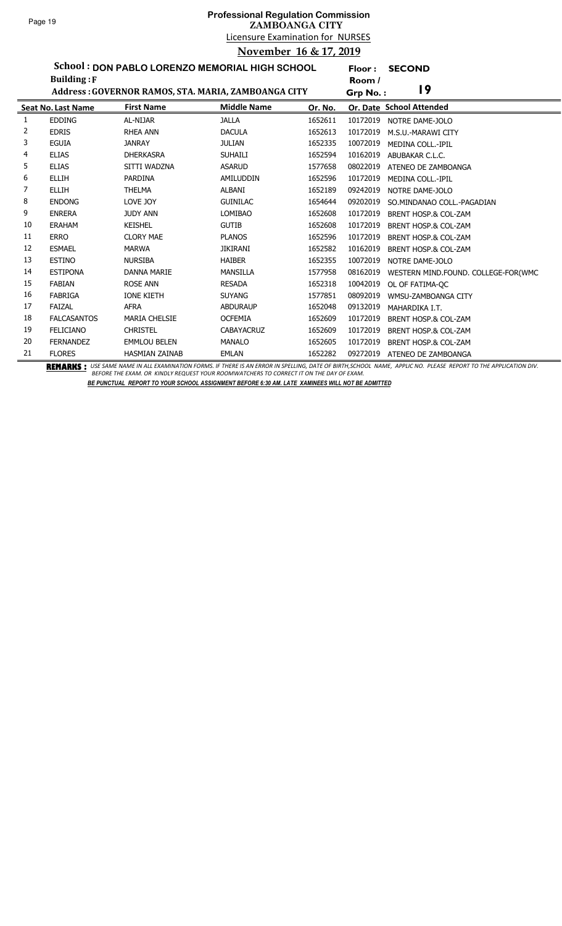l,

# Licensure Examination for NURSES **Professional Regulation Commission ZAMBOANGA CITY November 16 & 17, 2019**

**Floor : SECOND**

**School : DON PABLO LORENZO MEMORIAL HIGH SCHOOL**

|    | <b>Building: F</b>        |                                                     |                    |         | Room /   |                                     |
|----|---------------------------|-----------------------------------------------------|--------------------|---------|----------|-------------------------------------|
|    |                           | Address: GOVERNOR RAMOS, STA. MARIA, ZAMBOANGA CITY |                    |         | Grp No.: | 19                                  |
|    | <b>Seat No. Last Name</b> | <b>First Name</b>                                   | <b>Middle Name</b> | Or. No. |          | Or. Date School Attended            |
| 1  | <b>EDDING</b>             | AL-NIJAR                                            | <b>JALLA</b>       | 1652611 | 10172019 | NOTRE DAME-JOLO                     |
| 2  | <b>EDRIS</b>              | <b>RHEA ANN</b>                                     | <b>DACULA</b>      | 1652613 | 10172019 | M.S.U.-MARAWI CITY                  |
| 3  | <b>EGUIA</b>              | <b>JANRAY</b>                                       | <b>JULIAN</b>      | 1652335 | 10072019 | MEDINA COLL.-IPIL                   |
| 4  | <b>ELIAS</b>              | <b>DHERKASRA</b>                                    | <b>SUHAILI</b>     | 1652594 | 10162019 | ABUBAKAR C.L.C.                     |
| 5  | <b>ELIAS</b>              | SITTI WADZNA                                        | <b>ASARUD</b>      | 1577658 | 08022019 | ATENEO DE ZAMBOANGA                 |
| 6  | <b>ELLIH</b>              | <b>PARDINA</b>                                      | AMILUDDIN          | 1652596 | 10172019 | MEDINA COLL.-IPIL                   |
| 7  | <b>ELLIH</b>              | <b>THELMA</b>                                       | ALBANI             | 1652189 | 09242019 | NOTRE DAME-JOLO                     |
| 8  | <b>ENDONG</b>             | LOVE JOY                                            | <b>GUINILAC</b>    | 1654644 | 09202019 | SO.MINDANAO COLL.-PAGADIAN          |
| 9  | <b>ENRERA</b>             | <b>JUDY ANN</b>                                     | <b>LOMIBAO</b>     | 1652608 | 10172019 | BRENT HOSP.& COL-ZAM                |
| 10 | <b>ERAHAM</b>             | <b>KEISHEL</b>                                      | <b>GUTIB</b>       | 1652608 | 10172019 | BRENT HOSP.& COL-ZAM                |
| 11 | <b>ERRO</b>               | <b>CLORY MAE</b>                                    | <b>PLANOS</b>      | 1652596 | 10172019 | BRENT HOSP.& COL-ZAM                |
| 12 | <b>ESMAEL</b>             | <b>MARWA</b>                                        | <b>JIKIRANI</b>    | 1652582 | 10162019 | BRENT HOSP.& COL-ZAM                |
| 13 | <b>ESTINO</b>             | <b>NURSIBA</b>                                      | <b>HAIBER</b>      | 1652355 | 10072019 | NOTRE DAME-JOLO                     |
| 14 | <b>ESTIPONA</b>           | <b>DANNA MARIE</b>                                  | <b>MANSILLA</b>    | 1577958 | 08162019 | WESTERN MIND.FOUND. COLLEGE-FOR(WMC |
| 15 | <b>FABIAN</b>             | <b>ROSE ANN</b>                                     | <b>RESADA</b>      | 1652318 | 10042019 | OL OF FATIMA-OC                     |
| 16 | FABRIGA                   | <b>IONE KIETH</b>                                   | <b>SUYANG</b>      | 1577851 | 08092019 | WMSU-ZAMBOANGA CITY                 |
| 17 | FAIZAL                    | <b>AFRA</b>                                         | <b>ABDURAUP</b>    | 1652048 | 09132019 | MAHARDIKA I.T.                      |
| 18 | <b>FALCASANTOS</b>        | <b>MARIA CHELSIE</b>                                | <b>OCFEMIA</b>     | 1652609 | 10172019 | BRENT HOSP.& COL-ZAM                |
| 19 | <b>FELICIANO</b>          | <b>CHRISTEL</b>                                     | <b>CABAYACRUZ</b>  | 1652609 | 10172019 | <b>BRENT HOSP.&amp; COL-ZAM</b>     |
| 20 | <b>FERNANDEZ</b>          | <b>EMMLOU BELEN</b>                                 | <b>MANALO</b>      | 1652605 | 10172019 | BRENT HOSP.& COL-ZAM                |
| 21 | <b>FLORES</b>             | <b>HASMIAN ZAINAB</b>                               | <b>EMLAN</b><br>.  | 1652282 | 09272019 | ATENEO DE ZAMBOANGA                 |

BEMARKS : USE SAME NAME IN ALL EXAMINATION FORMS. IF THERE IS AN ERROR IN SPELLING, DATE OF BIRTH,SCHOOL NAME, APPLIC NO. PLEASE REPORT TO THE APPLICATION DIV.<br>BEFORE THE EXAM. OR KINDLY REQUEST YOUR ROOMWATCHERS TO CORREC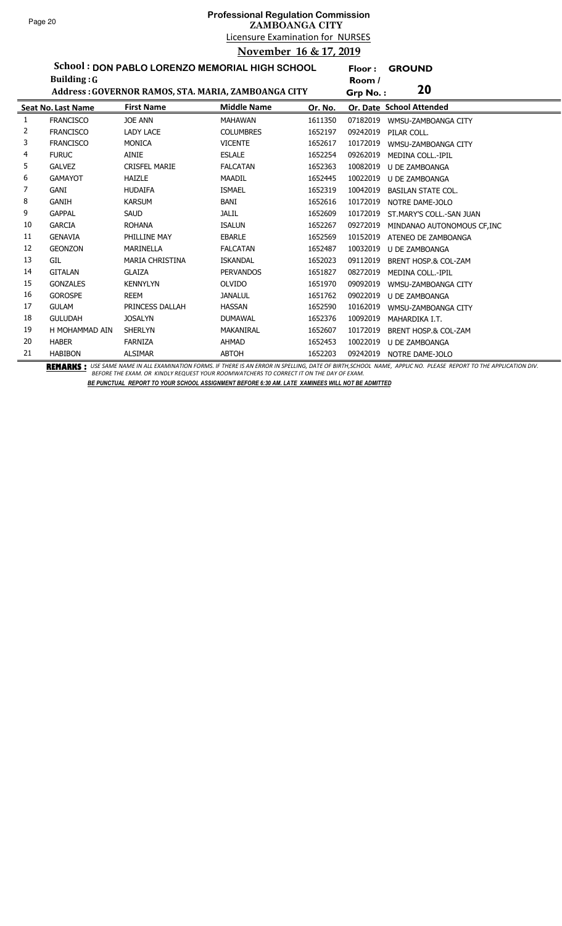## Licensure Examination for NURSES **Professional Regulation Commission ZAMBOANGA CITY November 16 & 17, 2019**

**Floor : GROUND**

**School : DON PABLO LORENZO MEMORIAL HIGH SCHOOL Building :G**

|    | <b>Building: G</b> |                                                     |                    |         | Room /   |                             |
|----|--------------------|-----------------------------------------------------|--------------------|---------|----------|-----------------------------|
|    |                    | Address: GOVERNOR RAMOS, STA. MARIA, ZAMBOANGA CITY |                    |         | Grp No.: | 20                          |
|    | Seat No. Last Name | <b>First Name</b>                                   | <b>Middle Name</b> | Or. No. |          | Or. Date School Attended    |
| 1  | <b>FRANCISCO</b>   | <b>JOE ANN</b>                                      | <b>MAHAWAN</b>     | 1611350 | 07182019 | WMSU-ZAMBOANGA CITY         |
| 2  | <b>FRANCISCO</b>   | <b>LADY LACE</b>                                    | <b>COLUMBRES</b>   | 1652197 | 09242019 | PILAR COLL.                 |
| 3  | <b>FRANCISCO</b>   | <b>MONICA</b>                                       | <b>VICENTE</b>     | 1652617 | 10172019 | WMSU-ZAMBOANGA CITY         |
| 4  | <b>FURUC</b>       | <b>AINIE</b>                                        | <b>ESLALE</b>      | 1652254 | 09262019 | <b>MEDINA COLL.-IPIL</b>    |
| 5. | <b>GALVEZ</b>      | <b>CRISFEL MARIE</b>                                | <b>FALCATAN</b>    | 1652363 | 10082019 | U DE ZAMBOANGA              |
| 6  | <b>GAMAYOT</b>     | <b>HAIZLE</b>                                       | MAADIL             | 1652445 | 10022019 | U DE ZAMBOANGA              |
| 7  | GANI               | <b>HUDAIFA</b>                                      | <b>ISMAEL</b>      | 1652319 | 10042019 | <b>BASILAN STATE COL.</b>   |
| 8  | <b>GANIH</b>       | <b>KARSUM</b>                                       | BANI               | 1652616 | 10172019 | NOTRE DAME-JOLO             |
| 9  | <b>GAPPAL</b>      | <b>SAUD</b>                                         | <b>JALIL</b>       | 1652609 | 10172019 | ST.MARY'S COLL.-SAN JUAN    |
| 10 | <b>GARCIA</b>      | <b>ROHANA</b>                                       | <b>ISALUN</b>      | 1652267 | 09272019 | MINDANAO AUTONOMOUS CF, INC |
| 11 | <b>GENAVIA</b>     | PHILLINE MAY                                        | <b>EBARLE</b>      | 1652569 | 10152019 | ATENEO DE ZAMBOANGA         |
| 12 | <b>GEONZON</b>     | <b>MARINELLA</b>                                    | <b>FALCATAN</b>    | 1652487 | 10032019 | <b>U DE ZAMBOANGA</b>       |
| 13 | GIL                | <b>MARIA CHRISTINA</b>                              | <b>ISKANDAL</b>    | 1652023 | 09112019 | BRENT HOSP.& COL-ZAM        |
| 14 | <b>GITALAN</b>     | <b>GLAIZA</b>                                       | <b>PERVANDOS</b>   | 1651827 | 08272019 | <b>MEDINA COLL.-IPIL</b>    |
| 15 | <b>GONZALES</b>    | <b>KENNYLYN</b>                                     | <b>OLVIDO</b>      | 1651970 | 09092019 | WMSU-ZAMBOANGA CITY         |
| 16 | <b>GOROSPE</b>     | <b>REEM</b>                                         | <b>JANALUL</b>     | 1651762 | 09022019 | U DE ZAMBOANGA              |
| 17 | <b>GULAM</b>       | PRINCESS DALLAH                                     | <b>HASSAN</b>      | 1652590 | 10162019 | WMSU-ZAMBOANGA CITY         |
| 18 | <b>GULUDAH</b>     | <b>JOSALYN</b>                                      | <b>DUMAWAL</b>     | 1652376 | 10092019 | MAHARDIKA I.T.              |
| 19 | H MOHAMMAD AIN     | <b>SHERLYN</b>                                      | MAKANIRAL          | 1652607 | 10172019 | BRENT HOSP.& COL-ZAM        |
| 20 | <b>HABER</b>       | <b>FARNIZA</b>                                      | <b>AHMAD</b>       | 1652453 | 10022019 | <b>U DE ZAMBOANGA</b>       |
| 21 | <b>HABIBON</b>     | <b>ALSIMAR</b>                                      | <b>ABTOH</b>       | 1652203 | 09242019 | NOTRE DAME-JOLO             |

BEMARKS : USE SAME NAME IN ALL EXAMINATION FORMS. IF THERE IS AN ERROR IN SPELLING, DATE OF BIRTH,SCHOOL NAME, APPLIC NO. PLEASE REPORT TO THE APPLICATION DIV.<br>BEFORE THE EXAM. OR KINDLY REQUEST YOUR ROOMWATCHERS TO CORREC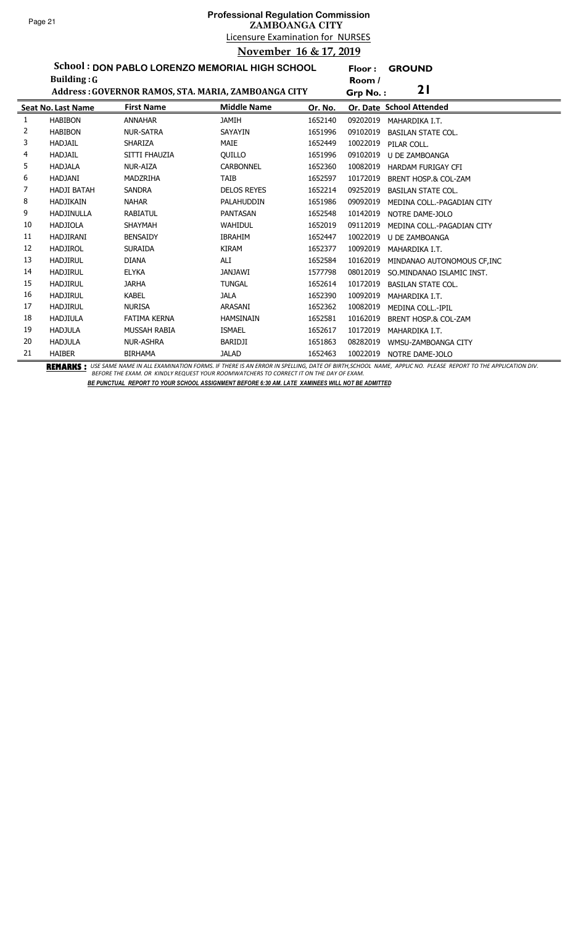**Floor : GROUND**

**School : DON PABLO LORENZO MEMORIAL HIGH SCHOOL**

|    | Building: $G$             |                                                     |                    |         | Room /   |                             |
|----|---------------------------|-----------------------------------------------------|--------------------|---------|----------|-----------------------------|
|    |                           | Address: GOVERNOR RAMOS, STA. MARIA, ZAMBOANGA CITY |                    |         | Grp No.: | 21                          |
|    | <b>Seat No. Last Name</b> | <b>First Name</b>                                   | <b>Middle Name</b> | Or. No. |          | Or. Date School Attended    |
| 1  | <b>HABIBON</b>            | <b>ANNAHAR</b>                                      | <b>JAMIH</b>       | 1652140 | 09202019 | MAHARDIKA I.T.              |
| 2  | <b>HABIBON</b>            | <b>NUR-SATRA</b>                                    | SAYAYIN            | 1651996 | 09102019 | <b>BASILAN STATE COL.</b>   |
| 3  | <b>HADJAIL</b>            | SHARIZA                                             | MAIE               | 1652449 | 10022019 | PILAR COLL.                 |
| 4  | <b>HADJAIL</b>            | SITTI FHAUZIA                                       | <b>OUILLO</b>      | 1651996 | 09102019 | <b>U DE ZAMBOANGA</b>       |
| 5  | <b>HADJALA</b>            | <b>NUR-AIZA</b>                                     | <b>CARBONNEL</b>   | 1652360 | 10082019 | HARDAM FURIGAY CFI          |
| 6  | <b>HADJANI</b>            | <b>MADZRIHA</b>                                     | <b>TAIB</b>        | 1652597 | 10172019 | BRENT HOSP.& COL-ZAM        |
| 7  | <b>HADJI BATAH</b>        | <b>SANDRA</b>                                       | <b>DELOS REYES</b> | 1652214 | 09252019 | <b>BASILAN STATE COL.</b>   |
| 8  | <b>HADJIKAIN</b>          | <b>NAHAR</b>                                        | PALAHUDDIN         | 1651986 | 09092019 | MEDINA COLL.-PAGADIAN CITY  |
| 9  | <b>HADJINULLA</b>         | <b>RABIATUL</b>                                     | <b>PANTASAN</b>    | 1652548 | 10142019 | NOTRE DAME-JOLO             |
| 10 | <b>HADJIOLA</b>           | <b>SHAYMAH</b>                                      | <b>WAHIDUL</b>     | 1652019 | 09112019 | MEDINA COLL.-PAGADIAN CITY  |
| 11 | <b>HADJIRANI</b>          | <b>BENSAIDY</b>                                     | <b>IBRAHIM</b>     | 1652447 | 10022019 | U DE ZAMBOANGA              |
| 12 | <b>HADJIROL</b>           | <b>SURAIDA</b>                                      | <b>KIRAM</b>       | 1652377 | 10092019 | MAHARDIKA I.T.              |
| 13 | <b>HADJIRUL</b>           | <b>DIANA</b>                                        | ALI                | 1652584 | 10162019 | MINDANAO AUTONOMOUS CF, INC |
| 14 | <b>HADJIRUL</b>           | <b>ELYKA</b>                                        | <b>JANJAWI</b>     | 1577798 | 08012019 | SO.MINDANAO ISLAMIC INST.   |
| 15 | <b>HADJIRUL</b>           | <b>JARHA</b>                                        | <b>TUNGAL</b>      | 1652614 | 10172019 | <b>BASILAN STATE COL.</b>   |
| 16 | <b>HADJIRUL</b>           | <b>KABEL</b>                                        | <b>JALA</b>        | 1652390 | 10092019 | MAHARDIKA I.T.              |
| 17 | <b>HADJIRUL</b>           | <b>NURISA</b>                                       | ARASANI            | 1652362 | 10082019 | MEDINA COLL.-IPIL           |
| 18 | <b>HADJIULA</b>           | <b>FATIMA KERNA</b>                                 | <b>HAMSINAIN</b>   | 1652581 | 10162019 | BRENT HOSP.& COL-ZAM        |
| 19 | <b>HADJULA</b>            | MUSSAH RABIA                                        | <b>ISMAEL</b>      | 1652617 | 10172019 | MAHARDIKA I.T.              |
| 20 | <b>HADJULA</b>            | <b>NUR-ASHRA</b>                                    | BARIDJI            | 1651863 | 08282019 | WMSU-ZAMBOANGA CITY         |
| 21 | <b>HAIBER</b>             | <b>BIRHAMA</b>                                      | <b>JALAD</b>       | 1652463 | 10022019 | NOTRE DAME-JOLO             |

BEMARKS : USE SAME NAME IN ALL EXAMINATION FORMS. IF THERE IS AN ERROR IN SPELLING, DATE OF BIRTH,SCHOOL NAME, APPLIC NO. PLEASE REPORT TO THE APPLICATION DIV.<br>BEFORE THE EXAM. OR KINDLY REQUEST YOUR ROOMWATCHERS TO CORREC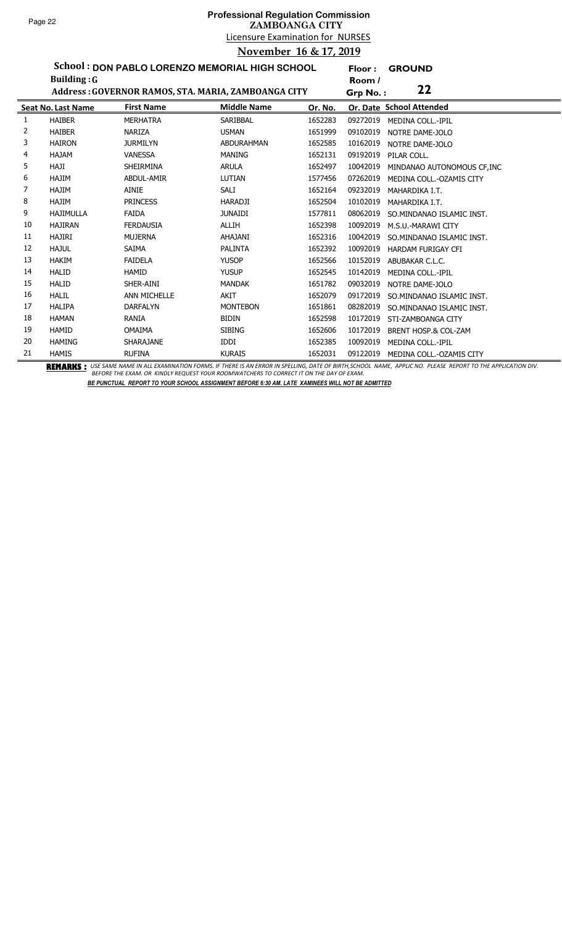**Floor : GROUND**

**School : DON PABLO LORENZO MEMORIAL HIGH SCHOOL Building :G**

|    | <b>Building: G</b>        |                     |                                                     |         | Room /                                  |  |
|----|---------------------------|---------------------|-----------------------------------------------------|---------|-----------------------------------------|--|
|    |                           |                     | Address: GOVERNOR RAMOS, STA. MARIA, ZAMBOANGA CITY |         | 22<br>Grp No.:                          |  |
|    | <b>Seat No. Last Name</b> | <b>First Name</b>   | <b>Middle Name</b>                                  | Or. No. | Or. Date School Attended                |  |
| 1  | <b>HAIBER</b>             | <b>MERHATRA</b>     | <b>SARIBBAL</b>                                     | 1652283 | 09272019<br><b>MEDINA COLL.-IPIL</b>    |  |
| 2  | <b>HAIBER</b>             | <b>NARIZA</b>       | <b>USMAN</b>                                        | 1651999 | 09102019<br>NOTRE DAME-JOLO             |  |
| 3  | <b>HAIRON</b>             | <b>JURMILYN</b>     | <b>ABDURAHMAN</b>                                   | 1652585 | 10162019<br>NOTRE DAME-JOLO             |  |
| 4  | <b>HAJAM</b>              | <b>VANESSA</b>      | <b>MANING</b>                                       | 1652131 | 09192019<br>PILAR COLL.                 |  |
| 5  | <b>HAJI</b>               | <b>SHEIRMINA</b>    | <b>ARULA</b>                                        | 1652497 | 10042019<br>MINDANAO AUTONOMOUS CF, INC |  |
| 6  | <b>HAJIM</b>              | ABDUL-AMIR          | LUTIAN                                              | 1577456 | 07262019<br>MEDINA COLL.-OZAMIS CITY    |  |
|    | HAJIM                     | AINIE               | SALI                                                | 1652164 | 09232019<br>MAHARDIKA I.T.              |  |
| 8  | <b>HAJIM</b>              | <b>PRINCESS</b>     | <b>HARADJI</b>                                      | 1652504 | 10102019<br>MAHARDIKA I.T.              |  |
| 9  | <b>HAJIMULLA</b>          | <b>FAIDA</b>        | <b>JUNAIDI</b>                                      | 1577811 | 08062019<br>SO.MINDANAO ISLAMIC INST.   |  |
| 10 | <b>HAJIRAN</b>            | <b>FERDAUSIA</b>    | <b>ALLIH</b>                                        | 1652398 | 10092019<br>M.S.U.-MARAWI CITY          |  |
| 11 | <b>HAJIRI</b>             | <b>MUJERNA</b>      | AHAJANI                                             | 1652316 | 10042019<br>SO.MINDANAO ISLAMIC INST.   |  |
| 12 | <b>HAJUL</b>              | SAIMA               | <b>PALINTA</b>                                      | 1652392 | 10092019<br><b>HARDAM FURIGAY CFI</b>   |  |
| 13 | <b>HAKIM</b>              | <b>FAIDELA</b>      | <b>YUSOP</b>                                        | 1652566 | 10152019<br>ABUBAKAR C.L.C.             |  |
| 14 | <b>HALID</b>              | <b>HAMID</b>        | <b>YUSUP</b>                                        | 1652545 | 10142019<br><b>MEDINA COLL.-IPIL</b>    |  |
| 15 | <b>HALID</b>              | SHER-AINI           | <b>MANDAK</b>                                       | 1651782 | 09032019<br>NOTRE DAME-JOLO             |  |
| 16 | <b>HALIL</b>              | <b>ANN MICHELLE</b> | <b>AKIT</b>                                         | 1652079 | 09172019<br>SO.MINDANAO ISLAMIC INST.   |  |
| 17 | <b>HALIPA</b>             | <b>DARFALYN</b>     | <b>MONTEBON</b>                                     | 1651861 | 08282019<br>SO.MINDANAO ISLAMIC INST.   |  |
| 18 | <b>HAMAN</b>              | RANIA               | <b>BIDIN</b>                                        | 1652598 | 10172019<br>STI-ZAMBOANGA CITY          |  |
| 19 | <b>HAMID</b>              | <b>OMAIMA</b>       | <b>SIBING</b>                                       | 1652606 | 10172019<br>BRENT HOSP.& COL-ZAM        |  |
| 20 | <b>HAMING</b>             | SHARAJANE           | <b>IDDI</b>                                         | 1652385 | 10092019<br><b>MEDINA COLL.-IPIL</b>    |  |
| 21 | <b>HAMIS</b><br>----      | <b>RUFINA</b>       | <b>KURAIS</b>                                       | 1652031 | 09122019<br>MEDINA COLL.-OZAMIS CITY    |  |

BEMARKS : USE SAME NAME IN ALL EXAMINATION FORMS. IF THERE IS AN ERROR IN SPELLING, DATE OF BIRTH,SCHOOL NAME, APPLIC NO. PLEASE REPORT TO THE APPLICATION DIV.<br>BEFORE THE EXAM. OR KINDLY REQUEST YOUR ROOMWATCHERS TO CORREC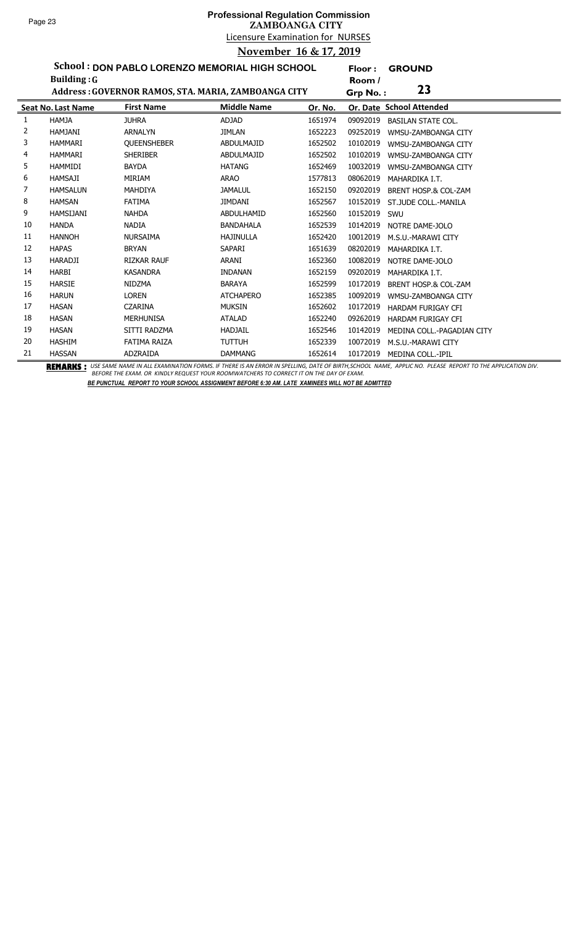**Floor : GROUND**

**School : DON PABLO LORENZO MEMORIAL HIGH SCHOOL Building :G**

|    | <b>Building: G</b>        |                                                     |                    |         | Room /   | 23                              |
|----|---------------------------|-----------------------------------------------------|--------------------|---------|----------|---------------------------------|
|    |                           | Address: GOVERNOR RAMOS, STA. MARIA, ZAMBOANGA CITY |                    |         | Grp No.: |                                 |
|    | <b>Seat No. Last Name</b> | <b>First Name</b>                                   | <b>Middle Name</b> | Or. No. |          | Or. Date School Attended        |
| 1  | <b>HAMJA</b>              | <b>JUHRA</b>                                        | <b>ADJAD</b>       | 1651974 | 09092019 | <b>BASILAN STATE COL.</b>       |
| 2  | <b>HAMJANI</b>            | <b>ARNALYN</b>                                      | <b>JIMLAN</b>      | 1652223 | 09252019 | WMSU-ZAMBOANGA CITY             |
| 3  | <b>HAMMARI</b>            | <b>QUEENSHEBER</b>                                  | <b>ABDULMAJID</b>  | 1652502 | 10102019 | WMSU-ZAMBOANGA CITY             |
| 4  | <b>HAMMARI</b>            | <b>SHERIBER</b>                                     | <b>ABDULMAJID</b>  | 1652502 | 10102019 | WMSU-ZAMBOANGA CITY             |
| 5  | <b>HAMMIDI</b>            | <b>BAYDA</b>                                        | <b>HATANG</b>      | 1652469 | 10032019 | WMSU-ZAMBOANGA CITY             |
| 6  | <b>HAMSAJI</b>            | MIRIAM                                              | <b>ARAO</b>        | 1577813 | 08062019 | MAHARDIKA I.T.                  |
| 7  | <b>HAMSALUN</b>           | <b>MAHDIYA</b>                                      | <b>JAMALUL</b>     | 1652150 | 09202019 | BRENT HOSP.& COL-ZAM            |
| 8  | <b>HAMSAN</b>             | <b>FATIMA</b>                                       | <b>JIMDANI</b>     | 1652567 | 10152019 | ST.JUDE COLL.-MANILA            |
| 9  | HAMSIJANI                 | <b>NAHDA</b>                                        | ABDULHAMID         | 1652560 | 10152019 | SWU                             |
| 10 | <b>HANDA</b>              | <b>NADIA</b>                                        | <b>BANDAHALA</b>   | 1652539 | 10142019 | NOTRE DAME-JOLO                 |
| 11 | <b>HANNOH</b>             | <b>NURSAIMA</b>                                     | <b>HAJINULLA</b>   | 1652420 | 10012019 | M.S.U.-MARAWI CITY              |
| 12 | <b>HAPAS</b>              | <b>BRYAN</b>                                        | SAPARI             | 1651639 | 08202019 | MAHARDIKA I.T.                  |
| 13 | <b>HARADJI</b>            | <b>RIZKAR RAUF</b>                                  | ARANI              | 1652360 | 10082019 | NOTRE DAME-JOLO                 |
| 14 | HARBI                     | <b>KASANDRA</b>                                     | <b>INDANAN</b>     | 1652159 | 09202019 | MAHARDIKA I.T.                  |
| 15 | <b>HARSIE</b>             | <b>NIDZMA</b>                                       | <b>BARAYA</b>      | 1652599 | 10172019 | <b>BRENT HOSP.&amp; COL-ZAM</b> |
| 16 | <b>HARUN</b>              | <b>LOREN</b>                                        | <b>ATCHAPERO</b>   | 1652385 | 10092019 | WMSU-ZAMBOANGA CITY             |
| 17 | <b>HASAN</b>              | <b>CZARINA</b>                                      | <b>MUKSIN</b>      | 1652602 | 10172019 | <b>HARDAM FURIGAY CFI</b>       |
| 18 | <b>HASAN</b>              | <b>MERHUNISA</b>                                    | <b>ATALAD</b>      | 1652240 | 09262019 | <b>HARDAM FURIGAY CFI</b>       |
| 19 | <b>HASAN</b>              | SITTI RADZMA                                        | <b>HADJAIL</b>     | 1652546 | 10142019 | MEDINA COLL.-PAGADIAN CITY      |
| 20 | <b>HASHIM</b>             | <b>FATIMA RAIZA</b>                                 | <b>TUTTUH</b>      | 1652339 | 10072019 | M.S.U.-MARAWI CITY              |
| 21 | <b>HASSAN</b>             | ADZRAIDA                                            | <b>DAMMANG</b>     | 1652614 | 10172019 | <b>MEDINA COLL.-IPIL</b>        |

BEMARKS : USE SAME NAME IN ALL EXAMINATION FORMS. IF THERE IS AN ERROR IN SPELLING, DATE OF BIRTH,SCHOOL NAME, APPLIC NO. PLEASE REPORT TO THE APPLICATION DIV.<br>BEFORE THE EXAM. OR KINDLY REQUEST YOUR ROOMWATCHERS TO CORREC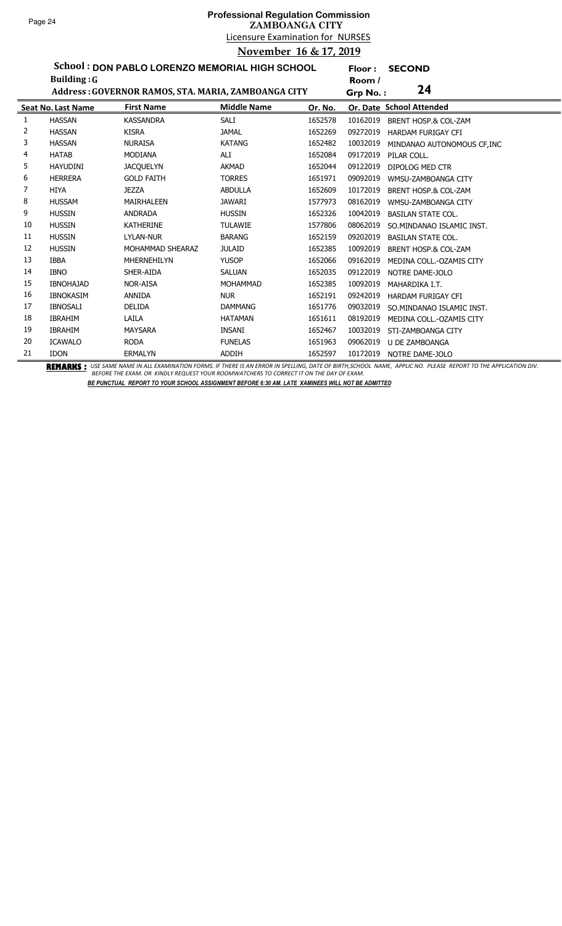# Licensure Examination for NURSES **Professional Regulation Commission ZAMBOANGA CITY November 16 & 17, 2019**

**Floor : SECOND**

**School : DON PABLO LORENZO MEMORIAL HIGH SCHOOL Building :G**

|    | <b>Building: G</b>        |                                                     |                    |         | Room /   |                                 |
|----|---------------------------|-----------------------------------------------------|--------------------|---------|----------|---------------------------------|
|    |                           | Address: GOVERNOR RAMOS, STA. MARIA, ZAMBOANGA CITY |                    |         | Grp No.: | 24                              |
|    | <b>Seat No. Last Name</b> | <b>First Name</b>                                   | <b>Middle Name</b> | Or. No. |          | Or. Date School Attended        |
| 1  | <b>HASSAN</b>             | <b>KASSANDRA</b>                                    | SALI               | 1652578 | 10162019 | BRENT HOSP.& COL-ZAM            |
| 2  | <b>HASSAN</b>             | <b>KISRA</b>                                        | <b>JAMAL</b>       | 1652269 | 09272019 | <b>HARDAM FURIGAY CFI</b>       |
| 3  | <b>HASSAN</b>             | <b>NURAISA</b>                                      | <b>KATANG</b>      | 1652482 | 10032019 | MINDANAO AUTONOMOUS CF, INC     |
| 4  | <b>HATAB</b>              | <b>MODIANA</b>                                      | ALI                | 1652084 | 09172019 | PILAR COLL.                     |
| 5  | <b>HAYUDINI</b>           | <b>JACQUELYN</b>                                    | <b>AKMAD</b>       | 1652044 | 09122019 | DIPOLOG MED CTR                 |
| 6  | <b>HERRERA</b>            | <b>GOLD FAITH</b>                                   | <b>TORRES</b>      | 1651971 | 09092019 | WMSU-ZAMBOANGA CITY             |
| 7  | <b>HIYA</b>               | <b>JEZZA</b>                                        | <b>ABDULLA</b>     | 1652609 | 10172019 | <b>BRENT HOSP.&amp; COL-ZAM</b> |
| 8  | <b>HUSSAM</b>             | <b>MAIRHALEEN</b>                                   | <b>JAWARI</b>      | 1577973 | 08162019 | WMSU-ZAMBOANGA CITY             |
| 9  | <b>HUSSIN</b>             | ANDRADA                                             | <b>HUSSIN</b>      | 1652326 | 10042019 | <b>BASILAN STATE COL.</b>       |
| 10 | <b>HUSSIN</b>             | <b>KATHERINE</b>                                    | <b>TULAWIE</b>     | 1577806 | 08062019 | SO.MINDANAO ISLAMIC INST.       |
| 11 | <b>HUSSIN</b>             | LYLAN-NUR                                           | <b>BARANG</b>      | 1652159 | 09202019 | <b>BASILAN STATE COL.</b>       |
| 12 | <b>HUSSIN</b>             | MOHAMMAD SHEARAZ                                    | <b>JULAID</b>      | 1652385 | 10092019 | BRENT HOSP.& COL-ZAM            |
| 13 | <b>IBBA</b>               | MHERNEHILYN                                         | <b>YUSOP</b>       | 1652066 | 09162019 | MEDINA COLL.-OZAMIS CITY        |
| 14 | <b>IBNO</b>               | SHER-AIDA                                           | <b>SALUAN</b>      | 1652035 | 09122019 | NOTRE DAME-JOLO                 |
| 15 | <b>IBNOHAJAD</b>          | <b>NOR-AISA</b>                                     | <b>MOHAMMAD</b>    | 1652385 | 10092019 | MAHARDIKA I.T.                  |
| 16 | <b>IBNOKASIM</b>          | <b>ANNIDA</b>                                       | <b>NUR</b>         | 1652191 | 09242019 | <b>HARDAM FURIGAY CFI</b>       |
| 17 | <b>IBNOSALI</b>           | <b>DELIDA</b>                                       | <b>DAMMANG</b>     | 1651776 | 09032019 | SO.MINDANAO ISLAMIC INST.       |
| 18 | <b>IBRAHIM</b>            | LAILA                                               | <b>HATAMAN</b>     | 1651611 | 08192019 | MEDINA COLL.-OZAMIS CITY        |
| 19 | <b>IBRAHIM</b>            | <b>MAYSARA</b>                                      | INSANI             | 1652467 | 10032019 | STI-ZAMBOANGA CITY              |
| 20 | <b>ICAWALO</b>            | <b>RODA</b>                                         | <b>FUNELAS</b>     | 1651963 | 09062019 | U DE ZAMBOANGA                  |
| 21 | <b>IDON</b>               | <b>ERMALYN</b>                                      | <b>ADDIH</b>       | 1652597 | 10172019 | NOTRE DAME-JOLO                 |

BEMARKS : USE SAME NAME IN ALL EXAMINATION FORMS. IF THERE IS AN ERROR IN SPELLING, DATE OF BIRTH,SCHOOL NAME, APPLIC NO. PLEASE REPORT TO THE APPLICATION DIV.<br>BEFORE THE EXAM. OR KINDLY REQUEST YOUR ROOMWATCHERS TO CORREC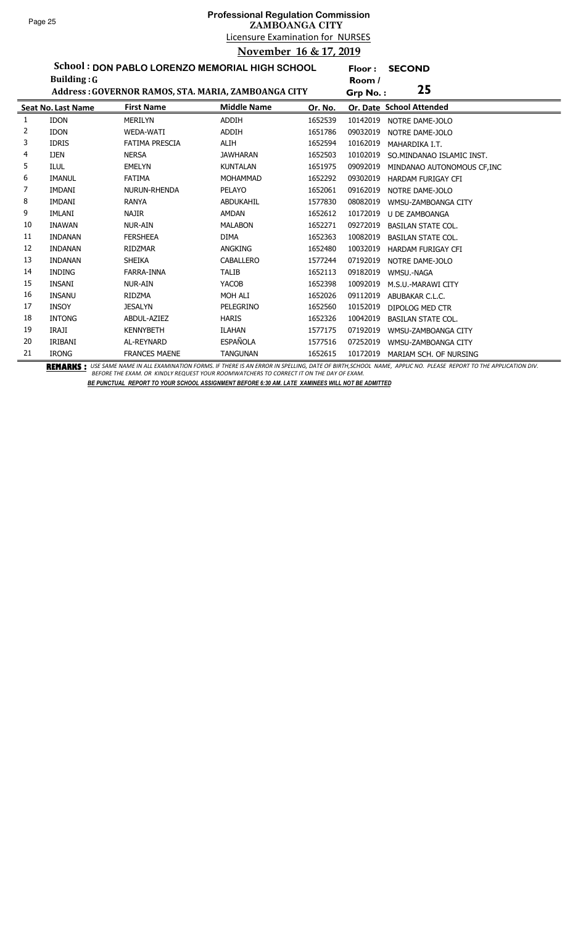**Floor : SECOND**

**School : DON PABLO LORENZO MEMORIAL HIGH SCHOOL Building :G**

|    | <b>Building: G</b> |                                                     |                    |         | Room /   |                             |
|----|--------------------|-----------------------------------------------------|--------------------|---------|----------|-----------------------------|
|    |                    | Address: GOVERNOR RAMOS, STA. MARIA, ZAMBOANGA CITY |                    |         | Grp No.: | 25                          |
|    | Seat No. Last Name | <b>First Name</b>                                   | <b>Middle Name</b> | Or. No. |          | Or. Date School Attended    |
| 1  | <b>IDON</b>        | <b>MERILYN</b>                                      | <b>ADDIH</b>       | 1652539 | 10142019 | NOTRE DAME-JOLO             |
| 2  | <b>IDON</b>        | WEDA-WATI                                           | <b>ADDIH</b>       | 1651786 | 09032019 | NOTRE DAME-JOLO             |
| 3  | <b>IDRIS</b>       | <b>FATIMA PRESCIA</b>                               | ALIH               | 1652594 | 10162019 | MAHARDIKA I.T.              |
| 4  | <b>IJEN</b>        | <b>NERSA</b>                                        | <b>JAWHARAN</b>    | 1652503 | 10102019 | SO.MINDANAO ISLAMIC INST.   |
| 5  | <b>ILUL</b>        | <b>EMELYN</b>                                       | <b>KUNTALAN</b>    | 1651975 | 09092019 | MINDANAO AUTONOMOUS CF, INC |
| 6  | <b>IMANUL</b>      | <b>FATIMA</b>                                       | <b>MOHAMMAD</b>    | 1652292 | 09302019 | <b>HARDAM FURIGAY CFI</b>   |
| 7  | <b>IMDANI</b>      | NURUN-RHENDA                                        | PELAYO             | 1652061 | 09162019 | NOTRE DAME-JOLO             |
| 8  | IMDANI             | <b>RANYA</b>                                        | ABDUKAHIL          | 1577830 | 08082019 | WMSU-ZAMBOANGA CITY         |
| 9  | IMLANI             | NAJIR                                               | AMDAN              | 1652612 | 10172019 | U DE ZAMBOANGA              |
| 10 | <b>INAWAN</b>      | <b>NUR-AIN</b>                                      | <b>MALABON</b>     | 1652271 | 09272019 | <b>BASILAN STATE COL.</b>   |
| 11 | <b>INDANAN</b>     | <b>FERSHEEA</b>                                     | <b>DIMA</b>        | 1652363 | 10082019 | <b>BASILAN STATE COL.</b>   |
| 12 | <b>INDANAN</b>     | <b>RIDZMAR</b>                                      | <b>ANGKING</b>     | 1652480 | 10032019 | <b>HARDAM FURIGAY CFI</b>   |
| 13 | <b>INDANAN</b>     | <b>SHEIKA</b>                                       | <b>CABALLERO</b>   | 1577244 | 07192019 | NOTRE DAME-JOLO             |
| 14 | INDING             | FARRA-INNA                                          | <b>TALIB</b>       | 1652113 | 09182019 | WMSU.-NAGA                  |
| 15 | <b>INSANI</b>      | <b>NUR-AIN</b>                                      | YACOB              | 1652398 | 10092019 | M.S.U.-MARAWI CITY          |
| 16 | <b>INSANU</b>      | <b>RIDZMA</b>                                       | MOH ALI            | 1652026 | 09112019 | ABUBAKAR C.L.C.             |
| 17 | <b>INSOY</b>       | <b>JESALYN</b>                                      | PELEGRINO          | 1652560 | 10152019 | DIPOLOG MED CTR             |
| 18 | <b>INTONG</b>      | ABDUL-AZIEZ                                         | <b>HARIS</b>       | 1652326 | 10042019 | <b>BASILAN STATE COL.</b>   |
| 19 | <b>IRAJI</b>       | <b>KENNYBETH</b>                                    | ILAHAN             | 1577175 | 07192019 | WMSU-ZAMBOANGA CITY         |
| 20 | IRIBANI            | AL-REYNARD                                          | <b>ESPAÑOLA</b>    | 1577516 | 07252019 | WMSU-ZAMBOANGA CITY         |
| 21 | <b>IRONG</b>       | <b>FRANCES MAENE</b>                                | <b>TANGUNAN</b>    | 1652615 | 10172019 | MARIAM SCH. OF NURSING      |

BEMARKS : USE SAME NAME IN ALL EXAMINATION FORMS. IF THERE IS AN ERROR IN SPELLING, DATE OF BIRTH,SCHOOL NAME, APPLIC NO. PLEASE REPORT TO THE APPLICATION DIV.<br>BEFORE THE EXAM. OR KINDLY REQUEST YOUR ROOMWATCHERS TO CORREC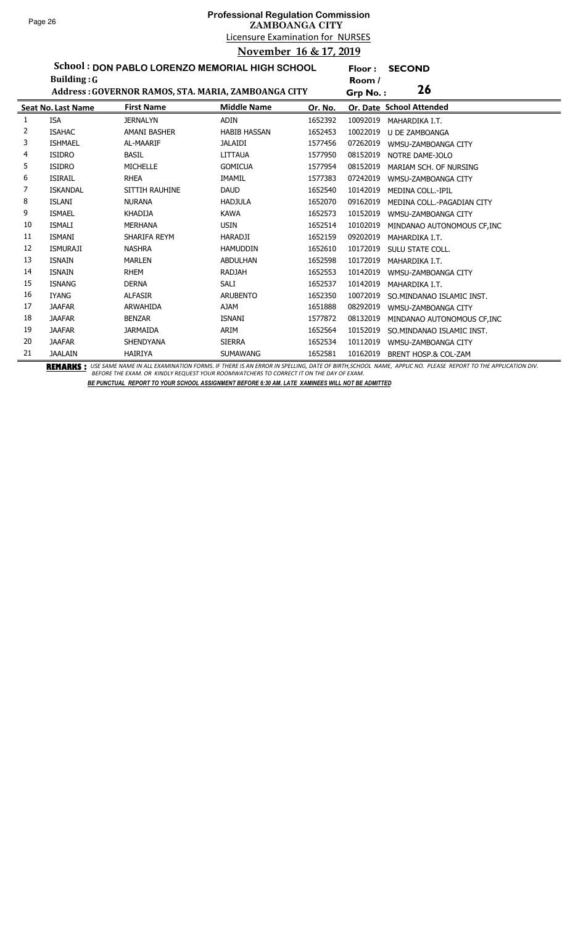**Floor : SECOND**

**School : DON PABLO LORENZO MEMORIAL HIGH SCHOOL Building :G**

|    | <b>Building: G</b>        |                                                     |                     |         | Room /   |                             |
|----|---------------------------|-----------------------------------------------------|---------------------|---------|----------|-----------------------------|
|    |                           | Address: GOVERNOR RAMOS, STA. MARIA, ZAMBOANGA CITY |                     |         | Grp No.: | 26                          |
|    | <b>Seat No. Last Name</b> | <b>First Name</b>                                   | <b>Middle Name</b>  | Or. No. |          | Or. Date School Attended    |
| 1  | <b>ISA</b>                | <b>JERNALYN</b>                                     | <b>ADIN</b>         | 1652392 | 10092019 | MAHARDIKA I.T.              |
| 2  | <b>ISAHAC</b>             | <b>AMANI BASHER</b>                                 | <b>HABIB HASSAN</b> | 1652453 | 10022019 | <b>U DE ZAMBOANGA</b>       |
| 3  | <b>ISHMAEL</b>            | AL-MAARIF                                           | <b>JALAIDI</b>      | 1577456 | 07262019 | WMSU-ZAMBOANGA CITY         |
| 4  | <b>ISIDRO</b>             | <b>BASIL</b>                                        | LITTAUA             | 1577950 | 08152019 | NOTRE DAME-JOLO             |
| 5  | <b>ISIDRO</b>             | <b>MICHELLE</b>                                     | <b>GOMICUA</b>      | 1577954 | 08152019 | MARIAM SCH. OF NURSING      |
| 6  | <b>ISIRAIL</b>            | <b>RHEA</b>                                         | <b>IMAMIL</b>       | 1577383 | 07242019 | WMSU-ZAMBOANGA CITY         |
| 7  | <b>ISKANDAL</b>           | SITTIH RAUHINE                                      | <b>DAUD</b>         | 1652540 | 10142019 | <b>MEDINA COLL.-IPIL</b>    |
| 8  | <b>ISLANI</b>             | <b>NURANA</b>                                       | <b>HADJULA</b>      | 1652070 | 09162019 | MEDINA COLL.-PAGADIAN CITY  |
| 9  | <b>ISMAEL</b>             | <b>KHADIJA</b>                                      | <b>KAWA</b>         | 1652573 | 10152019 | WMSU-ZAMBOANGA CITY         |
| 10 | <b>ISMALI</b>             | <b>MERHANA</b>                                      | <b>USIN</b>         | 1652514 | 10102019 | MINDANAO AUTONOMOUS CF, INC |
| 11 | ISMANI                    | SHARIFA REYM                                        | HARADJI             | 1652159 | 09202019 | MAHARDIKA I.T.              |
| 12 | <b>ISMURAJI</b>           | <b>NASHRA</b>                                       | <b>HAMUDDIN</b>     | 1652610 | 10172019 | SULU STATE COLL.            |
| 13 | ISNAIN                    | <b>MARLEN</b>                                       | <b>ABDULHAN</b>     | 1652598 | 10172019 | MAHARDIKA I.T.              |
| 14 | ISNAIN                    | <b>RHEM</b>                                         | <b>RADJAH</b>       | 1652553 | 10142019 | WMSU-ZAMBOANGA CITY         |
| 15 | <b>ISNANG</b>             | <b>DERNA</b>                                        | SALI                | 1652537 | 10142019 | MAHARDIKA I.T.              |
| 16 | <b>IYANG</b>              | <b>ALFASIR</b>                                      | <b>ARUBENTO</b>     | 1652350 | 10072019 | SO. MINDANAO ISLAMIC INST.  |
| 17 | <b>JAAFAR</b>             | ARWAHIDA                                            | <b>AJAM</b>         | 1651888 | 08292019 | WMSU-ZAMBOANGA CITY         |
| 18 | <b>JAAFAR</b>             | <b>BENZAR</b>                                       | <b>ISNANI</b>       | 1577872 | 08132019 | MINDANAO AUTONOMOUS CF, INC |
| 19 | <b>JAAFAR</b>             | <b>JARMAIDA</b>                                     | ARIM                | 1652564 | 10152019 | SO.MINDANAO ISLAMIC INST.   |
| 20 | <b>JAAFAR</b>             | <b>SHENDYANA</b>                                    | <b>SIERRA</b>       | 1652534 | 10112019 | WMSU-ZAMBOANGA CITY         |
| 21 | <b>JAALAIN</b>            | HAIRIYA                                             | <b>SUMAWANG</b>     | 1652581 | 10162019 | BRENT HOSP.& COL-ZAM        |

BEMARKS : USE SAME NAME IN ALL EXAMINATION FORMS. IF THERE IS AN ERROR IN SPELLING, DATE OF BIRTH,SCHOOL NAME, APPLIC NO. PLEASE REPORT TO THE APPLICATION DIV.<br>BEFORE THE EXAM. OR KINDLY REQUEST YOUR ROOMWATCHERS TO CORREC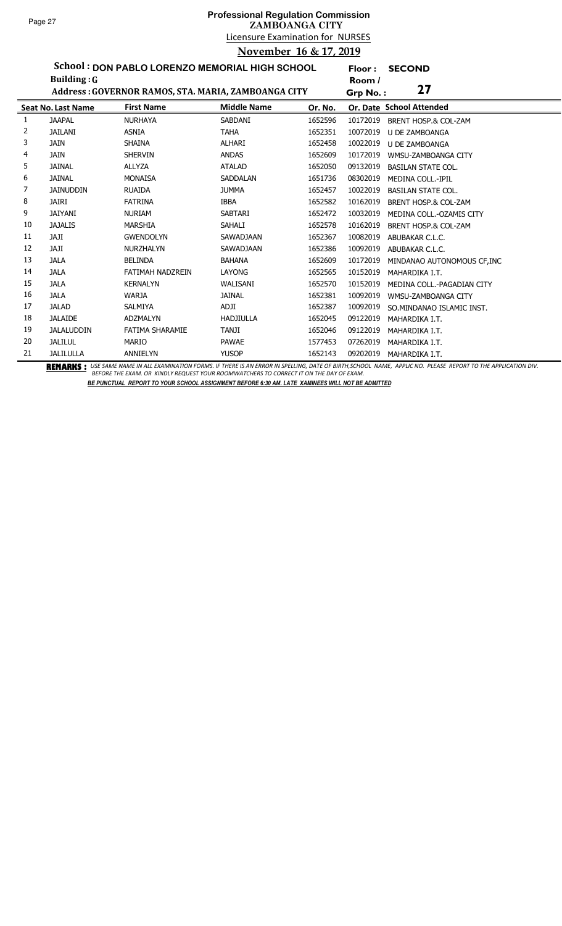## Licensure Examination for NURSES **Professional Regulation Commission ZAMBOANGA CITY November 16 & 17, 2019**

**Floor : SECOND**

**School : DON PABLO LORENZO MEMORIAL HIGH SCHOOL**

|    | Building: $G$             |                                                     |                    |         | Room /                                      |  |
|----|---------------------------|-----------------------------------------------------|--------------------|---------|---------------------------------------------|--|
|    |                           | Address: GOVERNOR RAMOS, STA. MARIA, ZAMBOANGA CITY |                    |         | 27<br>Grp No.:                              |  |
|    | <b>Seat No. Last Name</b> | <b>First Name</b>                                   | <b>Middle Name</b> | Or. No. | Or. Date School Attended                    |  |
| 1  | <b>JAAPAL</b>             | <b>NURHAYA</b>                                      | SABDANI            | 1652596 | 10172019<br><b>BRENT HOSP.&amp; COL-ZAM</b> |  |
| 2  | <b>JAILANI</b>            | <b>ASNIA</b>                                        | <b>TAHA</b>        | 1652351 | 10072019<br><b>U DE ZAMBOANGA</b>           |  |
| 3  | <b>JAIN</b>               | <b>SHAINA</b>                                       | ALHARI             | 1652458 | 10022019<br>U DE ZAMBOANGA                  |  |
| 4  | <b>JAIN</b>               | <b>SHERVIN</b>                                      | <b>ANDAS</b>       | 1652609 | 10172019<br>WMSU-ZAMBOANGA CITY             |  |
| 5  | <b>JAINAL</b>             | <b>ALLYZA</b>                                       | <b>ATALAD</b>      | 1652050 | 09132019<br><b>BASILAN STATE COL.</b>       |  |
| 6  | <b>JAINAL</b>             | <b>MONAISA</b>                                      | <b>SADDALAN</b>    | 1651736 | 08302019<br><b>MEDINA COLL.-IPIL</b>        |  |
| 7  | <b>JAINUDDIN</b>          | <b>RUAIDA</b>                                       | <b>JUMMA</b>       | 1652457 | 10022019<br><b>BASILAN STATE COL.</b>       |  |
| 8  | <b>JAIRI</b>              | <b>FATRINA</b>                                      | <b>IBBA</b>        | 1652582 | 10162019<br>BRENT HOSP.& COL-ZAM            |  |
| 9  | <b>JAIYANI</b>            | <b>NURIAM</b>                                       | <b>SABTARI</b>     | 1652472 | 10032019<br>MEDINA COLL.-OZAMIS CITY        |  |
| 10 | <b>JAJALIS</b>            | <b>MARSHIA</b>                                      | SAHALI             | 1652578 | 10162019<br>BRENT HOSP.& COL-ZAM            |  |
| 11 | <b>ILAL</b>               | <b>GWENDOLYN</b>                                    | <b>SAWADJAAN</b>   | 1652367 | 10082019<br>ABUBAKAR C.L.C.                 |  |
| 12 | <b>ILAL</b>               | <b>NURZHALYN</b>                                    | SAWADJAAN          | 1652386 | 10092019<br>ABUBAKAR C.L.C.                 |  |
| 13 | <b>JALA</b>               | <b>BELINDA</b>                                      | <b>BAHANA</b>      | 1652609 | 10172019<br>MINDANAO AUTONOMOUS CF, INC     |  |
| 14 | <b>JALA</b>               | FATIMAH NADZREIN                                    | LAYONG             | 1652565 | 10152019<br>MAHARDIKA I.T.                  |  |
| 15 | <b>JALA</b>               | <b>KERNALYN</b>                                     | WALISANI           | 1652570 | 10152019<br>MEDINA COLL.-PAGADIAN CITY      |  |
| 16 | <b>JALA</b>               | <b>WARJA</b>                                        | <b>JAINAL</b>      | 1652381 | 10092019<br>WMSU-ZAMBOANGA CITY             |  |
| 17 | <b>JALAD</b>              | <b>SALMIYA</b>                                      | <b>ADJI</b>        | 1652387 | 10092019<br>SO.MINDANAO ISLAMIC INST.       |  |
| 18 | <b>JALAIDE</b>            | <b>ADZMALYN</b>                                     | <b>HADJIULLA</b>   | 1652045 | 09122019<br>MAHARDIKA I.T.                  |  |
| 19 | <b>JALALUDDIN</b>         | FATIMA SHARAMIE                                     | <b>TANJI</b>       | 1652046 | 09122019<br>MAHARDIKA I.T.                  |  |
| 20 | <b>JALILUL</b>            | <b>MARIO</b>                                        | <b>PAWAE</b>       | 1577453 | 07262019<br>MAHARDIKA I.T.                  |  |
| 21 | <b>JALILULLA</b>          | ANNIELYN                                            | <b>YUSOP</b>       | 1652143 | 09202019<br>MAHARDIKA I.T.                  |  |

BEMARKS : USE SAME NAME IN ALL EXAMINATION FORMS. IF THERE IS AN ERROR IN SPELLING, DATE OF BIRTH,SCHOOL NAME, APPLIC NO. PLEASE REPORT TO THE APPLICATION DIV.<br>BEFORE THE EXAM. OR KINDLY REQUEST YOUR ROOMWATCHERS TO CORREC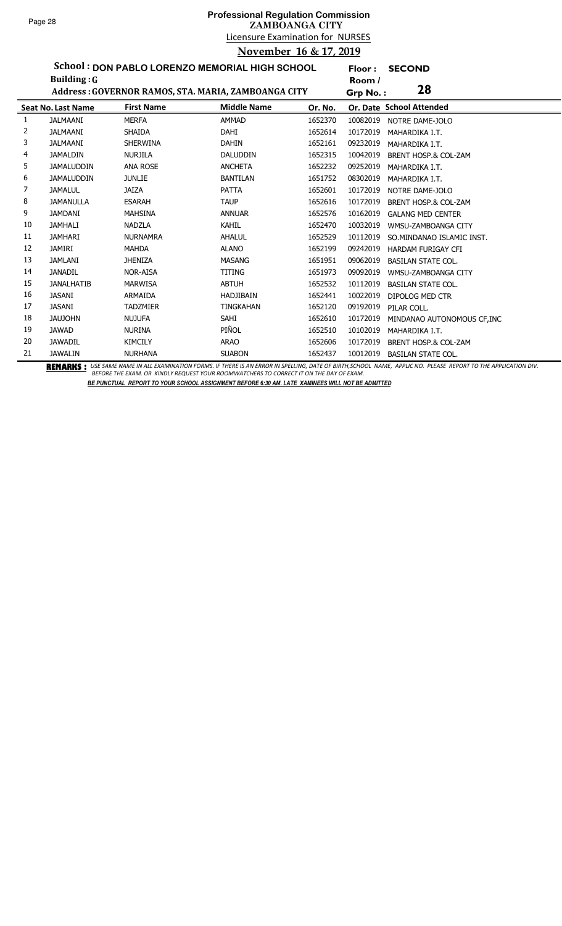# Licensure Examination for NURSES **Professional Regulation Commission ZAMBOANGA CITY November 16 & 17, 2019**

**Floor : SECOND**

**School : DON PABLO LORENZO MEMORIAL HIGH SCHOOL**

|    | Building: $G$             |                   |                                                     |         | Room /   |                                 |
|----|---------------------------|-------------------|-----------------------------------------------------|---------|----------|---------------------------------|
|    |                           |                   | Address: GOVERNOR RAMOS, STA. MARIA, ZAMBOANGA CITY |         | Grp No.: | 28                              |
|    | <b>Seat No. Last Name</b> | <b>First Name</b> | <b>Middle Name</b>                                  | Or. No. |          | Or. Date School Attended        |
|    | <b>JALMAANI</b>           | <b>MERFA</b>      | <b>AMMAD</b>                                        | 1652370 | 10082019 | NOTRE DAME-JOLO                 |
| 2  | <b>JALMAANI</b>           | <b>SHAIDA</b>     | <b>DAHI</b>                                         | 1652614 | 10172019 | MAHARDIKA I.T.                  |
| 3  | <b>JALMAANI</b>           | <b>SHERWINA</b>   | <b>DAHIN</b>                                        | 1652161 | 09232019 | MAHARDIKA I.T.                  |
| 4  | <b>JAMALDIN</b>           | <b>NURJILA</b>    | <b>DALUDDIN</b>                                     | 1652315 | 10042019 | <b>BRENT HOSP.&amp; COL-ZAM</b> |
| 5. | <b>JAMALUDDIN</b>         | <b>ANA ROSE</b>   | <b>ANCHETA</b>                                      | 1652232 | 09252019 | MAHARDIKA I.T.                  |
| 6  | <b>JAMALUDDIN</b>         | <b>JUNLIE</b>     | <b>BANTILAN</b>                                     | 1651752 | 08302019 | MAHARDIKA I.T.                  |
| 7  | <b>JAMALUL</b>            | <b>JAIZA</b>      | <b>PATTA</b>                                        | 1652601 | 10172019 | NOTRE DAME-JOLO                 |
| 8  | <b>JAMANULLA</b>          | <b>ESARAH</b>     | <b>TAUP</b>                                         | 1652616 | 10172019 | <b>BRENT HOSP.&amp; COL-ZAM</b> |
| 9  | <b>JAMDANI</b>            | <b>MAHSINA</b>    | <b>ANNUAR</b>                                       | 1652576 | 10162019 | <b>GALANG MED CENTER</b>        |
| 10 | <b>JAMHALI</b>            | <b>NADZLA</b>     | KAHIL                                               | 1652470 | 10032019 | WMSU-ZAMBOANGA CITY             |
| 11 | <b>JAMHARI</b>            | <b>NURNAMRA</b>   | AHALUL                                              | 1652529 | 10112019 | SO.MINDANAO ISLAMIC INST.       |
| 12 | <b>JAMIRI</b>             | <b>MAHDA</b>      | <b>ALANO</b>                                        | 1652199 | 09242019 | <b>HARDAM FURIGAY CFI</b>       |
| 13 | <b>JAMLANI</b>            | <b>JHENIZA</b>    | <b>MASANG</b>                                       | 1651951 | 09062019 | <b>BASILAN STATE COL.</b>       |
| 14 | <b>JANADIL</b>            | <b>NOR-AISA</b>   | TITING                                              | 1651973 | 09092019 | WMSU-ZAMBOANGA CITY             |
| 15 | <b>JANALHATIB</b>         | <b>MARWISA</b>    | <b>ABTUH</b>                                        | 1652532 | 10112019 | <b>BASILAN STATE COL.</b>       |
| 16 | <b>JASANI</b>             | ARMAIDA           | <b>HADJIBAIN</b>                                    | 1652441 | 10022019 | <b>DIPOLOG MED CTR</b>          |
| 17 | <b>JASANI</b>             | <b>TADZMIER</b>   | <b>TINGKAHAN</b>                                    | 1652120 | 09192019 | PILAR COLL.                     |
| 18 | <b>JAUJOHN</b>            | <b>NUJUFA</b>     | SAHI                                                | 1652610 | 10172019 | MINDANAO AUTONOMOUS CF, INC     |
| 19 | <b>JAWAD</b>              | <b>NURINA</b>     | PIÑOL                                               | 1652510 | 10102019 | MAHARDIKA I.T.                  |
| 20 | <b>JAWADIL</b>            | <b>KIMCILY</b>    | <b>ARAO</b>                                         | 1652606 | 10172019 | <b>BRENT HOSP.&amp; COL-ZAM</b> |
| 21 | <b>JAWALIN</b>            | <b>NURHANA</b>    | <b>SUABON</b>                                       | 1652437 | 10012019 | <b>BASILAN STATE COL.</b>       |

BEMARKS : USE SAME NAME IN ALL EXAMINATION FORMS. IF THERE IS AN ERROR IN SPELLING, DATE OF BIRTH,SCHOOL NAME, APPLIC NO. PLEASE REPORT TO THE APPLICATION DIV.<br>BEFORE THE EXAM. OR KINDLY REQUEST YOUR ROOMWATCHERS TO CORREC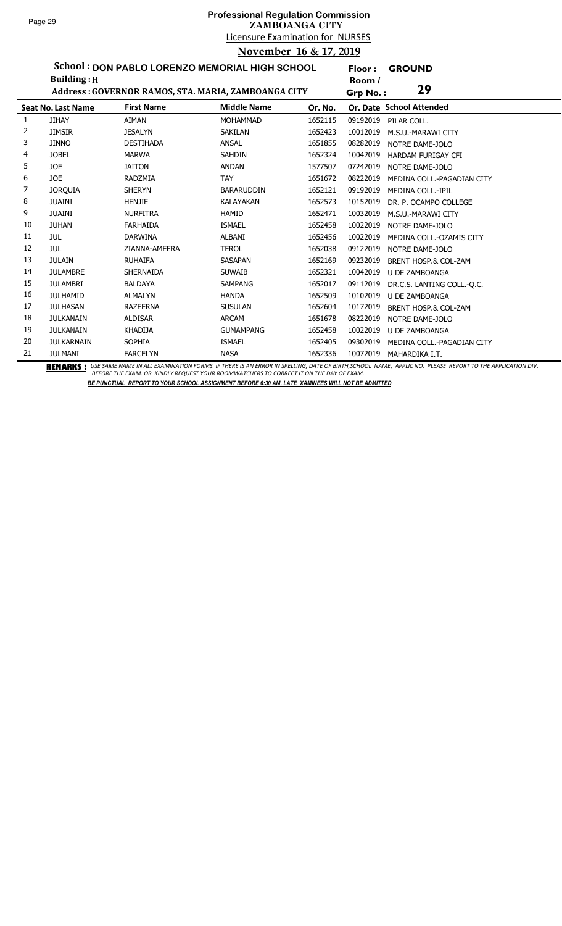**Floor : GROUND**

**School : DON PABLO LORENZO MEMORIAL HIGH SCHOOL Building :H**

|    | <b>Building: H</b>        |                   |                                                     |         | Room /   |                                 |
|----|---------------------------|-------------------|-----------------------------------------------------|---------|----------|---------------------------------|
|    |                           |                   | Address: GOVERNOR RAMOS, STA. MARIA, ZAMBOANGA CITY |         | Grp No.: | 29                              |
|    | <b>Seat No. Last Name</b> | <b>First Name</b> | <b>Middle Name</b>                                  | Or. No. |          | Or. Date School Attended        |
| 1  | <b>JIHAY</b>              | <b>AIMAN</b>      | <b>MOHAMMAD</b>                                     | 1652115 | 09192019 | PILAR COLL.                     |
| 2  | <b>JIMSIR</b>             | <b>JESALYN</b>    | <b>SAKILAN</b>                                      | 1652423 | 10012019 | M.S.U.-MARAWI CITY              |
| 3  | <b>JINNO</b>              | <b>DESTIHADA</b>  | <b>ANSAL</b>                                        | 1651855 | 08282019 | NOTRE DAME-JOLO                 |
| 4  | <b>JOBEL</b>              | <b>MARWA</b>      | <b>SAHDIN</b>                                       | 1652324 | 10042019 | <b>HARDAM FURIGAY CFI</b>       |
| 5  | JOE                       | <b>JAITON</b>     | <b>ANDAN</b>                                        | 1577507 | 07242019 | NOTRE DAME-JOLO                 |
| 6  | JOE                       | <b>RADZMIA</b>    | <b>TAY</b>                                          | 1651672 | 08222019 | MEDINA COLL.-PAGADIAN CITY      |
| 7  | <b>JORQUIA</b>            | <b>SHERYN</b>     | <b>BARARUDDIN</b>                                   | 1652121 | 09192019 | MEDINA COLL.-IPIL               |
| 8  | <b>JUAINI</b>             | <b>HENJIE</b>     | <b>KALAYAKAN</b>                                    | 1652573 | 10152019 | DR. P. OCAMPO COLLEGE           |
| 9  | <b>JUAINI</b>             | <b>NURFITRA</b>   | <b>HAMID</b>                                        | 1652471 | 10032019 | M.S.U.-MARAWI CITY              |
| 10 | <b>JUHAN</b>              | <b>FARHAIDA</b>   | <b>ISMAEL</b>                                       | 1652458 | 10022019 | NOTRE DAME-JOLO                 |
| 11 | <b>JUL</b>                | <b>DARWINA</b>    | <b>ALBANI</b>                                       | 1652456 | 10022019 | MEDINA COLL.-OZAMIS CITY        |
| 12 | <b>JUL</b>                | ZIANNA-AMEERA     | <b>TEROL</b>                                        | 1652038 | 09122019 | NOTRE DAME-JOLO                 |
| 13 | <b>JULAIN</b>             | <b>RUHAIFA</b>    | SASAPAN                                             | 1652169 | 09232019 | <b>BRENT HOSP.&amp; COL-ZAM</b> |
| 14 | <b>JULAMBRE</b>           | <b>SHERNAIDA</b>  | <b>SUWAIB</b>                                       | 1652321 | 10042019 | U DE ZAMBOANGA                  |
| 15 | <b>JULAMBRI</b>           | <b>BALDAYA</b>    | <b>SAMPANG</b>                                      | 1652017 | 09112019 | DR.C.S. LANTING COLL.-Q.C.      |
| 16 | <b>JULHAMID</b>           | <b>ALMALYN</b>    | <b>HANDA</b>                                        | 1652509 | 10102019 | <b>U DE ZAMBOANGA</b>           |
| 17 | <b>JULHASAN</b>           | <b>RAZEERNA</b>   | <b>SUSULAN</b>                                      | 1652604 | 10172019 | BRENT HOSP.& COL-ZAM            |
| 18 | <b>JULKANAIN</b>          | <b>ALDISAR</b>    | <b>ARCAM</b>                                        | 1651678 | 08222019 | NOTRE DAME-JOLO                 |
| 19 | <b>JULKANAIN</b>          | <b>KHADIJA</b>    | <b>GUMAMPANG</b>                                    | 1652458 | 10022019 | U DE ZAMBOANGA                  |
| 20 | <b>JULKARNAIN</b>         | <b>SOPHIA</b>     | <b>ISMAEL</b>                                       | 1652405 | 09302019 | MEDINA COLL.-PAGADIAN CITY      |
| 21 | <b>JULMANI</b>            | <b>FARCELYN</b>   | <b>NASA</b>                                         | 1652336 | 10072019 | MAHARDIKA I.T.                  |

BEMARKS : USE SAME NAME IN ALL EXAMINATION FORMS. IF THERE IS AN ERROR IN SPELLING, DATE OF BIRTH,SCHOOL NAME, APPLIC NO. PLEASE REPORT TO THE APPLICATION DIV.<br>BEFORE THE EXAM. OR KINDLY REQUEST YOUR ROOMWATCHERS TO CORREC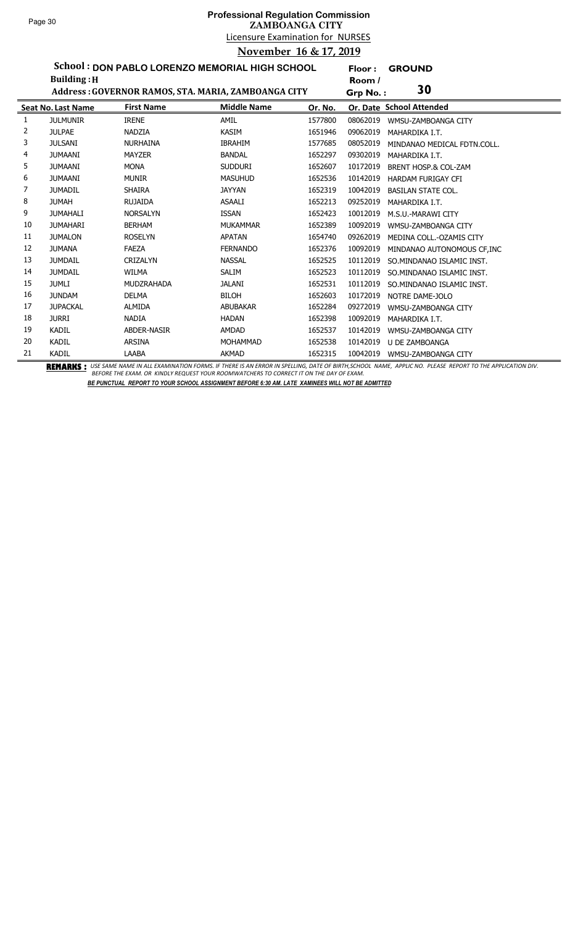# Licensure Examination for NURSES **Professional Regulation Commission ZAMBOANGA CITY November 16 & 17, 2019**

**Floor : GROUND**

**School : DON PABLO LORENZO MEMORIAL HIGH SCHOOL Building :H**

|    | <b>Building: H</b>        |                    |                                                     |         | Room /   |                                 |
|----|---------------------------|--------------------|-----------------------------------------------------|---------|----------|---------------------------------|
|    |                           |                    | Address: GOVERNOR RAMOS, STA. MARIA, ZAMBOANGA CITY |         | Grp No.: | 30                              |
|    | <b>Seat No. Last Name</b> | <b>First Name</b>  | <b>Middle Name</b>                                  | Or. No. |          | Or. Date School Attended        |
| 1  | <b>JULMUNIR</b>           | <b>IRENE</b>       | AMIL                                                | 1577800 | 08062019 | WMSU-ZAMBOANGA CITY             |
| 2  | <b>JULPAE</b>             | <b>NADZIA</b>      | <b>KASIM</b>                                        | 1651946 | 09062019 | MAHARDIKA I.T.                  |
| 3  | <b>JULSANI</b>            | <b>NURHAINA</b>    | <b>IBRAHIM</b>                                      | 1577685 | 08052019 | MINDANAO MEDICAL FDTN.COLL.     |
| 4  | <b>JUMAANI</b>            | <b>MAYZER</b>      | <b>BANDAL</b>                                       | 1652297 | 09302019 | MAHARDIKA I.T.                  |
| 5  | <b>JUMAANI</b>            | <b>MONA</b>        | <b>SUDDURI</b>                                      | 1652607 | 10172019 | <b>BRENT HOSP.&amp; COL-ZAM</b> |
| 6  | <b>JUMAANI</b>            | <b>MUNIR</b>       | <b>MASUHUD</b>                                      | 1652536 | 10142019 | <b>HARDAM FURIGAY CFI</b>       |
|    | <b>JUMADIL</b>            | <b>SHAIRA</b>      | <b>JAYYAN</b>                                       | 1652319 | 10042019 | <b>BASILAN STATE COL.</b>       |
| 8  | <b>JUMAH</b>              | <b>RUJAIDA</b>     | <b>ASAALI</b>                                       | 1652213 | 09252019 | MAHARDIKA I.T.                  |
| 9  | <b>JUMAHALI</b>           | <b>NORSALYN</b>    | <b>ISSAN</b>                                        | 1652423 | 10012019 | M.S.U.-MARAWI CITY              |
| 10 | <b>JUMAHARI</b>           | <b>BERHAM</b>      | <b>MUKAMMAR</b>                                     | 1652389 | 10092019 | WMSU-ZAMBOANGA CITY             |
| 11 | <b>JUMALON</b>            | <b>ROSELYN</b>     | APATAN                                              | 1654740 | 09262019 | MEDINA COLL.-OZAMIS CITY        |
| 12 | <b>JUMANA</b>             | <b>FAEZA</b>       | <b>FERNANDO</b>                                     | 1652376 | 10092019 | MINDANAO AUTONOMOUS CF.INC      |
| 13 | <b>JUMDAIL</b>            | <b>CRIZALYN</b>    | <b>NASSAL</b>                                       | 1652525 | 10112019 | SO.MINDANAO ISLAMIC INST.       |
| 14 | <b>JUMDAIL</b>            | <b>WILMA</b>       | <b>SALIM</b>                                        | 1652523 | 10112019 | SO.MINDANAO ISLAMIC INST.       |
| 15 | <b>JUMLI</b>              | MUDZRAHADA         | <b>JALANI</b>                                       | 1652531 | 10112019 | SO.MINDANAO ISLAMIC INST.       |
| 16 | <b>JUNDAM</b>             | <b>DELMA</b>       | <b>BILOH</b>                                        | 1652603 | 10172019 | NOTRE DAME-JOLO                 |
| 17 | <b>JUPACKAL</b>           | <b>ALMIDA</b>      | <b>ABUBAKAR</b>                                     | 1652284 | 09272019 | WMSU-ZAMBOANGA CITY             |
| 18 | <b>JURRI</b>              | <b>NADIA</b>       | <b>HADAN</b>                                        | 1652398 | 10092019 | MAHARDIKA I.T.                  |
| 19 | <b>KADIL</b>              | <b>ABDER-NASIR</b> | <b>AMDAD</b>                                        | 1652537 | 10142019 | WMSU-ZAMBOANGA CITY             |
| 20 | <b>KADIL</b>              | <b>ARSINA</b>      | <b>MOHAMMAD</b>                                     | 1652538 | 10142019 | U DE ZAMBOANGA                  |
| 21 | <b>KADIL</b>              | LAABA              | <b>AKMAD</b>                                        | 1652315 | 10042019 | WMSU-ZAMBOANGA CITY             |

BEMARKS : USE SAME NAME IN ALL EXAMINATION FORMS. IF THERE IS AN ERROR IN SPELLING, DATE OF BIRTH,SCHOOL NAME, APPLIC NO. PLEASE REPORT TO THE APPLICATION DIV.<br>BEFORE THE EXAM. OR KINDLY REQUEST YOUR ROOMWATCHERS TO CORREC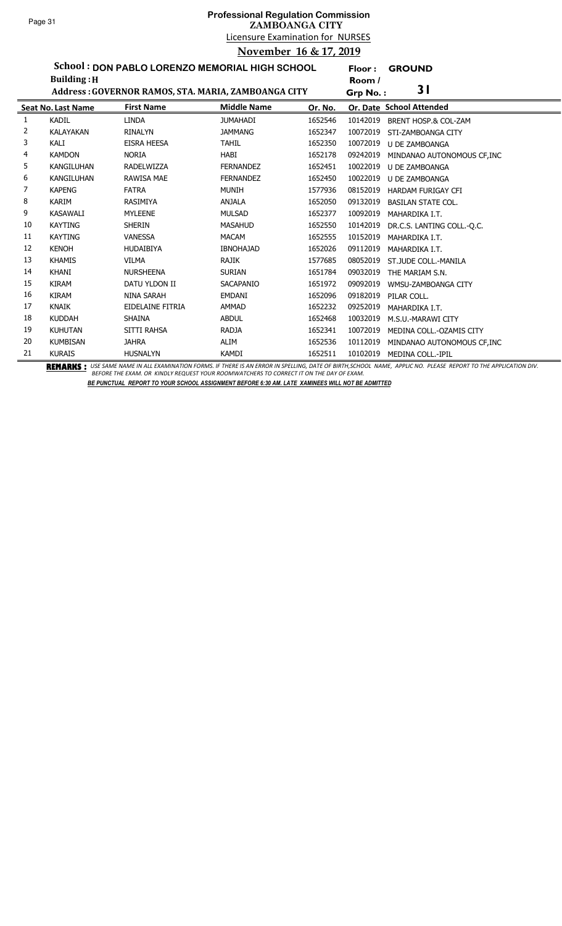**Floor : GROUND**

**School : DON PABLO LORENZO MEMORIAL HIGH SCHOOL**

|    | <b>Building: H</b>        |                                                     |                    |         | Room /   |                             |
|----|---------------------------|-----------------------------------------------------|--------------------|---------|----------|-----------------------------|
|    |                           | Address: GOVERNOR RAMOS, STA. MARIA, ZAMBOANGA CITY |                    |         | Grp No.: | 31                          |
|    | <b>Seat No. Last Name</b> | <b>First Name</b>                                   | <b>Middle Name</b> | Or. No. |          | Or. Date School Attended    |
| 1  | <b>KADIL</b>              | <b>LINDA</b>                                        | <b>JUMAHADI</b>    | 1652546 | 10142019 | BRENT HOSP.& COL-ZAM        |
| 2  | <b>KALAYAKAN</b>          | <b>RINALYN</b>                                      | <b>JAMMANG</b>     | 1652347 | 10072019 | STI-ZAMBOANGA CITY          |
| 3  | KALI                      | EISRA HEESA                                         | <b>TAHIL</b>       | 1652350 | 10072019 | <b>U DE ZAMBOANGA</b>       |
| 4  | <b>KAMDON</b>             | <b>NORIA</b>                                        | HABI               | 1652178 | 09242019 | MINDANAO AUTONOMOUS CF, INC |
| 5  | <b>KANGILUHAN</b>         | <b>RADELWIZZA</b>                                   | <b>FERNANDEZ</b>   | 1652451 | 10022019 | <b>U DE ZAMBOANGA</b>       |
| 6  | <b>KANGILUHAN</b>         | <b>RAWISA MAE</b>                                   | <b>FERNANDEZ</b>   | 1652450 | 10022019 | <b>U DE ZAMBOANGA</b>       |
| 7  | <b>KAPENG</b>             | <b>FATRA</b>                                        | <b>MUNIH</b>       | 1577936 | 08152019 | HARDAM FURIGAY CFI          |
| 8  | <b>KARIM</b>              | <b>RASIMIYA</b>                                     | <b>ANJALA</b>      | 1652050 | 09132019 | <b>BASILAN STATE COL.</b>   |
| 9  | <b>KASAWALI</b>           | <b>MYLEENE</b>                                      | <b>MULSAD</b>      | 1652377 | 10092019 | MAHARDIKA I.T.              |
| 10 | <b>KAYTING</b>            | <b>SHERIN</b>                                       | <b>MASAHUD</b>     | 1652550 | 10142019 | DR.C.S. LANTING COLL.-O.C.  |
| 11 | <b>KAYTING</b>            | <b>VANESSA</b>                                      | <b>MACAM</b>       | 1652555 | 10152019 | MAHARDIKA I.T.              |
| 12 | <b>KENOH</b>              | <b>HUDAIBIYA</b>                                    | <b>IBNOHAJAD</b>   | 1652026 | 09112019 | MAHARDIKA I.T.              |
| 13 | <b>KHAMIS</b>             | <b>VILMA</b>                                        | <b>RAJIK</b>       | 1577685 | 08052019 | ST.JUDE COLL.-MANILA        |
| 14 | <b>KHANI</b>              | <b>NURSHEENA</b>                                    | <b>SURIAN</b>      | 1651784 | 09032019 | THE MARIAM S.N.             |
| 15 | <b>KIRAM</b>              | DATU YLDON II                                       | <b>SACAPANIO</b>   | 1651972 | 09092019 | WMSU-ZAMBOANGA CITY         |
| 16 | <b>KIRAM</b>              | NINA SARAH                                          | <b>EMDANI</b>      | 1652096 | 09182019 | PILAR COLL.                 |
| 17 | <b>KNAIK</b>              | EIDELAINE FITRIA                                    | <b>AMMAD</b>       | 1652232 | 09252019 | MAHARDIKA I.T.              |
| 18 | <b>KUDDAH</b>             | SHAINA                                              | <b>ABDUL</b>       | 1652468 | 10032019 | M.S.U.-MARAWI CITY          |
| 19 | <b>KUHUTAN</b>            | SITTI RAHSA                                         | <b>RADJA</b>       | 1652341 | 10072019 | MEDINA COLL.-OZAMIS CITY    |
| 20 | <b>KUMBISAN</b>           | <b>JAHRA</b>                                        | ALIM               | 1652536 | 10112019 | MINDANAO AUTONOMOUS CF, INC |
| 21 | <b>KURAIS</b>             | <b>HUSNALYN</b>                                     | KAMDI              | 1652511 | 10102019 | MEDINA COLL.-IPIL           |

BEMARKS : USE SAME NAME IN ALL EXAMINATION FORMS. IF THERE IS AN ERROR IN SPELLING, DATE OF BIRTH,SCHOOL NAME, APPLIC NO. PLEASE REPORT TO THE APPLICATION DIV.<br>BEFORE THE EXAM. OR KINDLY REQUEST YOUR ROOMWATCHERS TO CORREC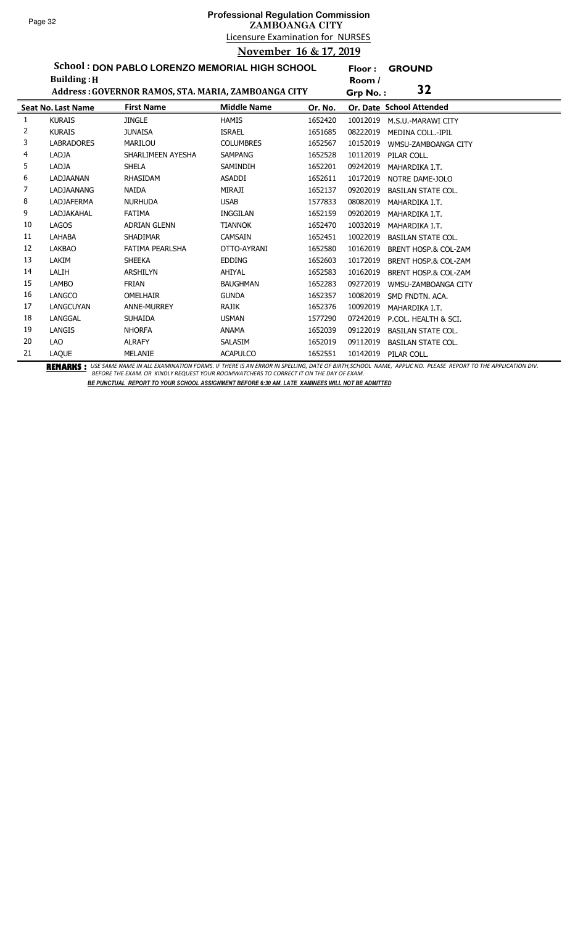## Licensure Examination for NURSES **Professional Regulation Commission ZAMBOANGA CITY November 16 & 17, 2019**

**Floor : GROUND**

**School : DON PABLO LORENZO MEMORIAL HIGH SCHOOL Building :H**

|    | <b>Building: H</b>        |                                                     |                    |         | Room /                   |                                 |
|----|---------------------------|-----------------------------------------------------|--------------------|---------|--------------------------|---------------------------------|
|    |                           | Address: GOVERNOR RAMOS, STA. MARIA, ZAMBOANGA CITY |                    |         | Grp No.:                 | 32                              |
|    | <b>Seat No. Last Name</b> | <b>First Name</b>                                   | <b>Middle Name</b> | Or. No. | Or. Date School Attended |                                 |
| 1  | <b>KURAIS</b>             | <b>JINGLE</b>                                       | <b>HAMIS</b>       | 1652420 | 10012019                 | M.S.U.-MARAWI CITY              |
| 2  | <b>KURAIS</b>             | <b>JUNAISA</b>                                      | <b>ISRAEL</b>      | 1651685 | 08222019                 | <b>MEDINA COLL.-IPIL</b>        |
| 3  | <b>LABRADORES</b>         | <b>MARILOU</b>                                      | <b>COLUMBRES</b>   | 1652567 | 10152019                 | WMSU-ZAMBOANGA CITY             |
| 4  | LADJA                     | SHARLIMEEN AYESHA                                   | <b>SAMPANG</b>     | 1652528 | 10112019                 | PILAR COLL.                     |
| 5  | LADJA                     | <b>SHELA</b>                                        | SAMINDIH           | 1652201 | 09242019                 | MAHARDIKA I.T.                  |
| 6  | LADJAANAN                 | <b>RHASIDAM</b>                                     | <b>ASADDI</b>      | 1652611 | 10172019                 | NOTRE DAME-JOLO                 |
| 7  | LADJAANANG                | <b>NAIDA</b>                                        | MIRAJI             | 1652137 | 09202019                 | BASILAN STATE COL.              |
| 8  | <b>LADJAFERMA</b>         | <b>NURHUDA</b>                                      | <b>USAB</b>        | 1577833 | 08082019                 | MAHARDIKA I.T.                  |
| 9  | <b>LADJAKAHAL</b>         | <b>FATIMA</b>                                       | INGGILAN           | 1652159 | 09202019                 | MAHARDIKA I.T.                  |
| 10 | LAGOS                     | <b>ADRIAN GLENN</b>                                 | <b>TIANNOK</b>     | 1652470 | 10032019                 | MAHARDIKA I.T.                  |
| 11 | LAHABA                    | <b>SHADIMAR</b>                                     | <b>CAMSAIN</b>     | 1652451 | 10022019                 | <b>BASILAN STATE COL.</b>       |
| 12 | <b>LAKBAO</b>             | FATIMA PEARLSHA                                     | OTTO-AYRANI        | 1652580 | 10162019                 | <b>BRENT HOSP.&amp; COL-ZAM</b> |
| 13 | LAKIM                     | <b>SHEEKA</b>                                       | <b>EDDING</b>      | 1652603 | 10172019                 | <b>BRENT HOSP.&amp; COL-ZAM</b> |
| 14 | LALIH                     | <b>ARSHILYN</b>                                     | AHIYAL             | 1652583 | 10162019                 | <b>BRENT HOSP.&amp; COL-ZAM</b> |
| 15 | <b>LAMBO</b>              | <b>FRIAN</b>                                        | <b>BAUGHMAN</b>    | 1652283 | 09272019                 | WMSU-ZAMBOANGA CITY             |
| 16 | <b>LANGCO</b>             | <b>OMELHAIR</b>                                     | <b>GUNDA</b>       | 1652357 | 10082019                 | SMD FNDTN. ACA.                 |
| 17 | <b>LANGCUYAN</b>          | <b>ANNE-MURREY</b>                                  | <b>RAJIK</b>       | 1652376 | 10092019                 | MAHARDIKA I.T.                  |
| 18 | LANGGAL                   | <b>SUHAIDA</b>                                      | <b>USMAN</b>       | 1577290 | 07242019                 | P.COL. HEALTH & SCI.            |
| 19 | <b>LANGIS</b>             | <b>NHORFA</b>                                       | <b>ANAMA</b>       | 1652039 | 09122019                 | <b>BASILAN STATE COL.</b>       |
| 20 | <b>LAO</b>                | <b>ALRAFY</b>                                       | SALASIM            | 1652019 | 09112019                 | <b>BASILAN STATE COL.</b>       |
| 21 | LAQUE                     | MELANIE                                             | <b>ACAPULCO</b>    | 1652551 | 10142019                 | PILAR COLL.                     |

BEMARKS : USE SAME NAME IN ALL EXAMINATION FORMS. IF THERE IS AN ERROR IN SPELLING, DATE OF BIRTH,SCHOOL NAME, APPLIC NO. PLEASE REPORT TO THE APPLICATION DIV.<br>BEFORE THE EXAM. OR KINDLY REQUEST YOUR ROOMWATCHERS TO CORREC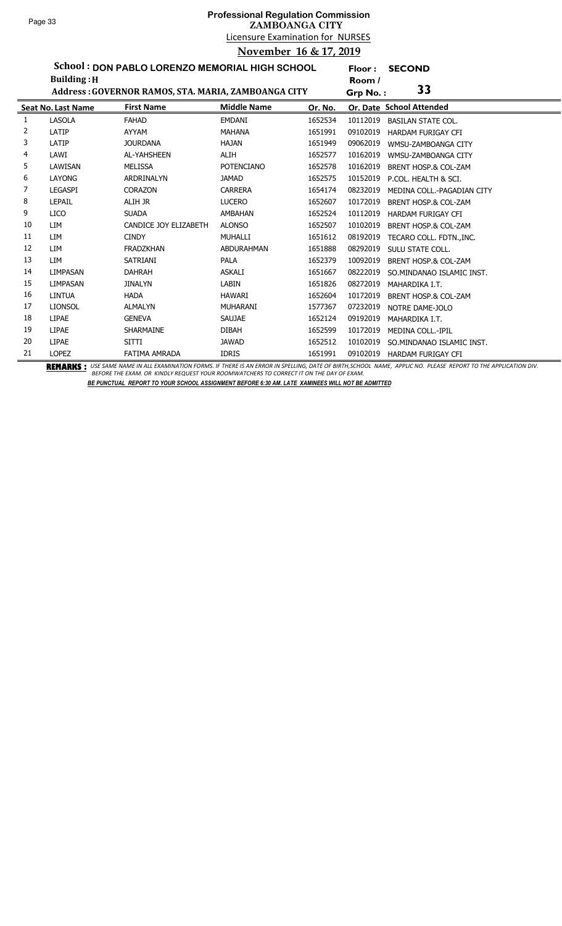**Floor : SECOND**

**School : DON PABLO LORENZO MEMORIAL HIGH SCHOOL**

|    | <b>Building: H</b>        |                                                     |                    |         |          |                                 |
|----|---------------------------|-----------------------------------------------------|--------------------|---------|----------|---------------------------------|
|    |                           | Address: GOVERNOR RAMOS, STA. MARIA, ZAMBOANGA CITY |                    |         | Grp No.: | 33                              |
|    | <b>Seat No. Last Name</b> | <b>First Name</b>                                   | <b>Middle Name</b> | Or. No. |          | Or. Date School Attended        |
| 1  | LASOLA                    | <b>FAHAD</b>                                        | <b>EMDANI</b>      | 1652534 | 10112019 | <b>BASILAN STATE COL.</b>       |
| 2  | LATIP                     | AYYAM                                               | <b>MAHANA</b>      | 1651991 | 09102019 | <b>HARDAM FURIGAY CFI</b>       |
| 3  | LATIP                     | <b>JOURDANA</b>                                     | <b>HAJAN</b>       | 1651949 | 09062019 | WMSU-ZAMBOANGA CITY             |
| 4  | LAWI                      | AL-YAHSHEEN                                         | ALIH               | 1652577 | 10162019 | WMSU-ZAMBOANGA CITY             |
| 5  | LAWISAN                   | <b>MELISSA</b>                                      | <b>POTENCIANO</b>  | 1652578 | 10162019 | BRENT HOSP.& COL-ZAM            |
| 6  | <b>LAYONG</b>             | ARDRINALYN                                          | <b>JAMAD</b>       | 1652575 | 10152019 | P.COL. HEALTH & SCI.            |
| 7  | <b>LEGASPI</b>            | <b>CORAZON</b>                                      | <b>CARRERA</b>     | 1654174 | 08232019 | MEDINA COLL.-PAGADIAN CITY      |
| 8  | <b>LEPAIL</b>             | ALIH JR                                             | <b>LUCERO</b>      | 1652607 | 10172019 | BRENT HOSP.& COL-ZAM            |
| 9  | <b>LICO</b>               | <b>SUADA</b>                                        | <b>AMBAHAN</b>     | 1652524 | 10112019 | <b>HARDAM FURIGAY CFI</b>       |
| 10 | LIM                       | CANDICE JOY ELIZABETH                               | <b>ALONSO</b>      | 1652507 | 10102019 | <b>BRENT HOSP.&amp; COL-ZAM</b> |
| 11 | LIM                       | <b>CINDY</b>                                        | MUHALLI            | 1651612 | 08192019 | TECARO COLL. FDTNINC.           |
| 12 | LIM                       | <b>FRADZKHAN</b>                                    | ABDURAHMAN         | 1651888 | 08292019 | SULU STATE COLL.                |
| 13 | LIM                       | <b>SATRIANI</b>                                     | <b>PALA</b>        | 1652379 | 10092019 | BRENT HOSP.& COL-ZAM            |
| 14 | <b>LIMPASAN</b>           | <b>DAHRAH</b>                                       | <b>ASKALI</b>      | 1651667 | 08222019 | SO.MINDANAO ISLAMIC INST.       |
| 15 | <b>LIMPASAN</b>           | <b>JINALYN</b>                                      | <b>LABIN</b>       | 1651826 | 08272019 | MAHARDIKA I.T.                  |
| 16 | <b>LINTUA</b>             | <b>HADA</b>                                         | <b>HAWARI</b>      | 1652604 | 10172019 | BRENT HOSP.& COL-ZAM            |
| 17 | <b>LIONSOL</b>            | <b>ALMALYN</b>                                      | <b>MUHARANI</b>    | 1577367 | 07232019 | NOTRE DAME-JOLO                 |
| 18 | <b>LIPAE</b>              | <b>GENEVA</b>                                       | <b>SAUJAE</b>      | 1652124 | 09192019 | MAHARDIKA I.T.                  |
| 19 | <b>LIPAE</b>              | <b>SHARMAINE</b>                                    | <b>DIBAH</b>       | 1652599 | 10172019 | MEDINA COLL.-IPIL               |
| 20 | <b>LIPAE</b>              | <b>SITTI</b>                                        | <b>JAWAD</b>       | 1652512 | 10102019 | SO.MINDANAO ISLAMIC INST.       |
| 21 | <b>LOPEZ</b>              | FATIMA AMRADA                                       | <b>IDRIS</b>       | 1651991 | 09102019 | <b>HARDAM FURIGAY CFI</b>       |

BEMARKS : USE SAME NAME IN ALL EXAMINATION FORMS. IF THERE IS AN ERROR IN SPELLING, DATE OF BIRTH,SCHOOL NAME, APPLIC NO. PLEASE REPORT TO THE APPLICATION DIV.<br>BEFORE THE EXAM. OR KINDLY REQUEST YOUR ROOMWATCHERS TO CORREC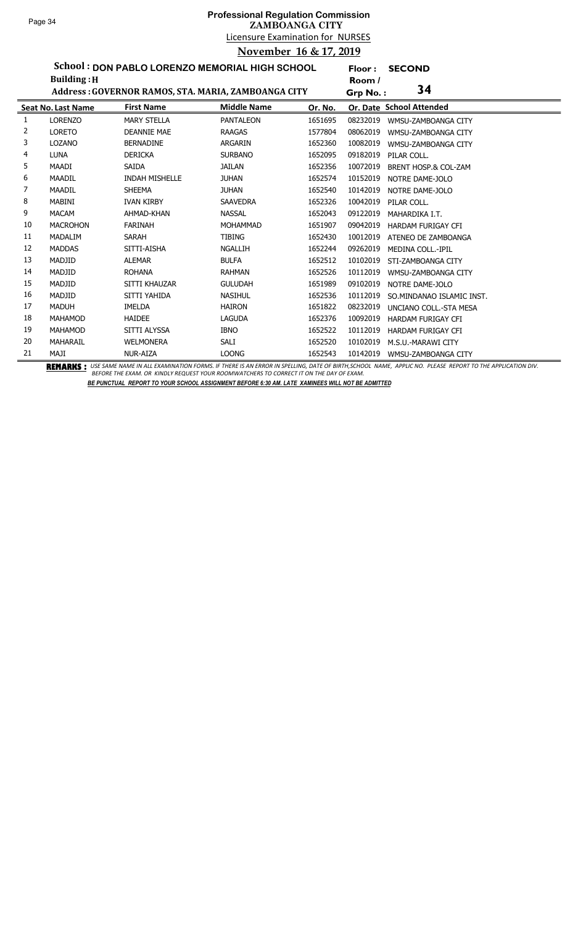**Floor : SECOND**

**School : DON PABLO LORENZO MEMORIAL HIGH SCHOOL Building :H**

|    | <b>Building: H</b> |                                                     |                    |         | Room /   |                                 |
|----|--------------------|-----------------------------------------------------|--------------------|---------|----------|---------------------------------|
|    |                    | Address: GOVERNOR RAMOS, STA. MARIA, ZAMBOANGA CITY |                    |         | Grp No.: | 34                              |
|    | Seat No. Last Name | <b>First Name</b>                                   | <b>Middle Name</b> | Or. No. |          | Or. Date School Attended        |
| 1  | <b>LORENZO</b>     | <b>MARY STELLA</b>                                  | <b>PANTALEON</b>   | 1651695 | 08232019 | WMSU-ZAMBOANGA CITY             |
| 2  | <b>LORETO</b>      | <b>DEANNIE MAE</b>                                  | <b>RAAGAS</b>      | 1577804 | 08062019 | WMSU-ZAMBOANGA CITY             |
| 3  | <b>LOZANO</b>      | <b>BERNADINE</b>                                    | <b>ARGARIN</b>     | 1652360 | 10082019 | WMSU-ZAMBOANGA CITY             |
| 4  | <b>LUNA</b>        | <b>DERICKA</b>                                      | <b>SURBANO</b>     | 1652095 | 09182019 | PILAR COLL.                     |
| 5. | MAADI              | SAIDA                                               | <b>JAILAN</b>      | 1652356 | 10072019 | <b>BRENT HOSP.&amp; COL-ZAM</b> |
| 6  | <b>MAADIL</b>      | <b>INDAH MISHELLE</b>                               | <b>JUHAN</b>       | 1652574 | 10152019 | NOTRE DAME-JOLO                 |
| 7  | <b>MAADIL</b>      | <b>SHEEMA</b>                                       | <b>JUHAN</b>       | 1652540 | 10142019 | NOTRE DAME-JOLO                 |
| 8  | <b>MABINI</b>      | <b>IVAN KIRBY</b>                                   | <b>SAAVEDRA</b>    | 1652326 | 10042019 | PILAR COLL.                     |
| 9  | <b>MACAM</b>       | AHMAD-KHAN                                          | <b>NASSAL</b>      | 1652043 | 09122019 | MAHARDIKA I.T.                  |
| 10 | <b>MACROHON</b>    | <b>FARINAH</b>                                      | <b>MOHAMMAD</b>    | 1651907 | 09042019 | HARDAM FURIGAY CFI              |
| 11 | MADALIM            | SARAH                                               | <b>TIBING</b>      | 1652430 | 10012019 | ATENEO DE ZAMBOANGA             |
| 12 | <b>MADDAS</b>      | SITTI-AISHA                                         | <b>NGALLIH</b>     | 1652244 | 09262019 | <b>MEDINA COLL.-IPIL</b>        |
| 13 | MADJID             | <b>ALEMAR</b>                                       | <b>BULFA</b>       | 1652512 | 10102019 | STI-ZAMBOANGA CITY              |
| 14 | MADJID             | <b>ROHANA</b>                                       | <b>RAHMAN</b>      | 1652526 | 10112019 | WMSU-ZAMBOANGA CITY             |
| 15 | MADJID             | SITTI KHAUZAR                                       | <b>GULUDAH</b>     | 1651989 | 09102019 | NOTRE DAME-JOLO                 |
| 16 | MADJID             | SITTI YAHIDA                                        | <b>NASIHUL</b>     | 1652536 | 10112019 | SO. MINDANAO ISLAMIC INST.      |
| 17 | <b>MADUH</b>       | <b>IMELDA</b>                                       | <b>HAIRON</b>      | 1651822 | 08232019 | UNCIANO COLL.-STA MESA          |
| 18 | MAHAMOD            | <b>HAIDEE</b>                                       | <b>LAGUDA</b>      | 1652376 | 10092019 | HARDAM FURIGAY CFI              |
| 19 | MAHAMOD            | SITTI ALYSSA                                        | <b>IBNO</b>        | 1652522 | 10112019 | <b>HARDAM FURIGAY CFI</b>       |
| 20 | MAHARAIL           | <b>WELMONERA</b>                                    | <b>SALI</b>        | 1652520 | 10102019 | M.S.U.-MARAWI CITY              |
| 21 | MAJI               | NUR-AIZA                                            | <b>LOONG</b>       | 1652543 | 10142019 | WMSU-ZAMBOANGA CITY             |

BEMARKS : USE SAME NAME IN ALL EXAMINATION FORMS. IF THERE IS AN ERROR IN SPELLING, DATE OF BIRTH,SCHOOL NAME, APPLIC NO. PLEASE REPORT TO THE APPLICATION DIV.<br>BEFORE THE EXAM. OR KINDLY REQUEST YOUR ROOMWATCHERS TO CORREC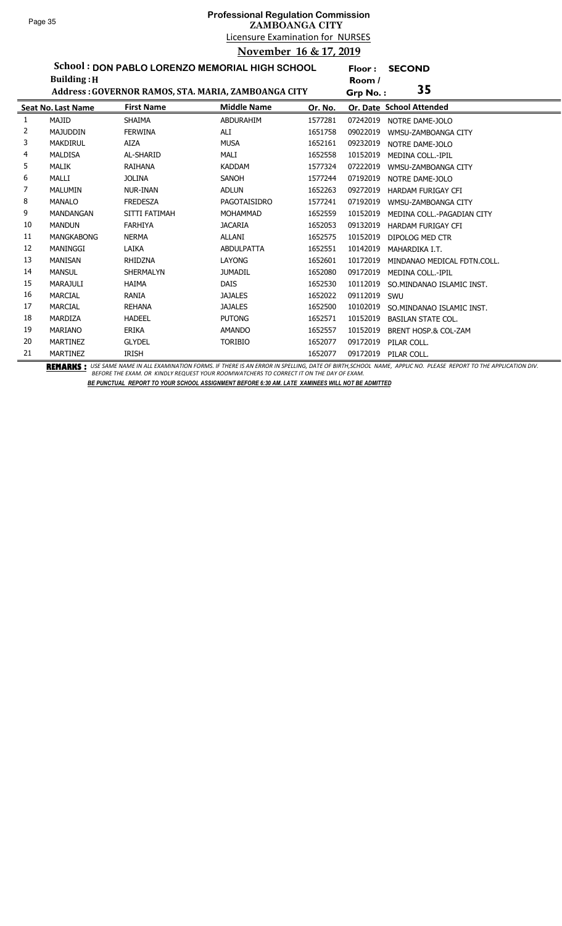**Floor : SECOND**

**School : DON PABLO LORENZO MEMORIAL HIGH SCHOOL**

|    | <b>Building: H</b>        |                                                     |                    |         | Room /   |                                 |
|----|---------------------------|-----------------------------------------------------|--------------------|---------|----------|---------------------------------|
|    |                           | Address: GOVERNOR RAMOS, STA. MARIA, ZAMBOANGA CITY |                    |         | Grp No.: | 35                              |
|    | <b>Seat No. Last Name</b> | <b>First Name</b>                                   | <b>Middle Name</b> | Or. No. |          | Or. Date School Attended        |
| 1  | MAJID                     | <b>SHAIMA</b>                                       | <b>ABDURAHIM</b>   | 1577281 | 07242019 | NOTRE DAME-JOLO                 |
| 2  | <b>MAJUDDIN</b>           | <b>FERWINA</b>                                      | ALI                | 1651758 | 09022019 | WMSU-ZAMBOANGA CITY             |
| 3  | <b>MAKDIRUL</b>           | <b>AIZA</b>                                         | <b>MUSA</b>        | 1652161 | 09232019 | NOTRE DAME-JOLO                 |
| 4  | <b>MALDISA</b>            | AL-SHARID                                           | MALI               | 1652558 | 10152019 | <b>MEDINA COLL.-IPIL</b>        |
| 5  | <b>MALIK</b>              | RAIHANA                                             | <b>KADDAM</b>      | 1577324 | 07222019 | WMSU-ZAMBOANGA CITY             |
| 6  | MALLI                     | <b>JOLINA</b>                                       | <b>SANOH</b>       | 1577244 | 07192019 | NOTRE DAME-JOLO                 |
| 7  | <b>MALUMIN</b>            | <b>NUR-INAN</b>                                     | <b>ADLUN</b>       | 1652263 | 09272019 | <b>HARDAM FURIGAY CFI</b>       |
| 8  | <b>MANALO</b>             | <b>FREDESZA</b>                                     | PAGOTAISIDRO       | 1577241 | 07192019 | WMSU-ZAMBOANGA CITY             |
| 9  | <b>MANDANGAN</b>          | SITTI FATIMAH                                       | <b>MOHAMMAD</b>    | 1652559 | 10152019 | MEDINA COLL.-PAGADIAN CITY      |
| 10 | <b>MANDUN</b>             | <b>FARHIYA</b>                                      | <b>JACARIA</b>     | 1652053 | 09132019 | HARDAM FURIGAY CFI              |
| 11 | <b>MANGKABONG</b>         | <b>NERMA</b>                                        | ALLANI             | 1652575 | 10152019 | DIPOLOG MED CTR                 |
| 12 | <b>MANINGGI</b>           | LAIKA                                               | <b>ABDULPATTA</b>  | 1652551 | 10142019 | MAHARDIKA I.T.                  |
| 13 | <b>MANISAN</b>            | RHIDZNA                                             | LAYONG             | 1652601 | 10172019 | MINDANAO MEDICAL FDTN.COLL.     |
| 14 | <b>MANSUL</b>             | <b>SHERMALYN</b>                                    | <b>JUMADIL</b>     | 1652080 | 09172019 | MEDINA COLL.-IPIL               |
| 15 | <b>MARAJULI</b>           | <b>HAIMA</b>                                        | <b>DAIS</b>        | 1652530 | 10112019 | SO.MINDANAO ISLAMIC INST.       |
| 16 | <b>MARCIAL</b>            | <b>RANIA</b>                                        | <b>JAJALES</b>     | 1652022 | 09112019 | SWU                             |
| 17 | <b>MARCIAL</b>            | <b>REHANA</b>                                       | <b>JAJALES</b>     | 1652500 | 10102019 | SO.MINDANAO ISLAMIC INST.       |
| 18 | MARDIZA                   | <b>HADEEL</b>                                       | <b>PUTONG</b>      | 1652571 | 10152019 | <b>BASILAN STATE COL.</b>       |
| 19 | <b>MARIANO</b>            | <b>ERIKA</b>                                        | <b>AMANDO</b>      | 1652557 | 10152019 | <b>BRENT HOSP.&amp; COL-ZAM</b> |
| 20 | <b>MARTINEZ</b>           | <b>GLYDEL</b>                                       | <b>TORIBIO</b>     | 1652077 | 09172019 | PILAR COLL.                     |
| 21 | <b>MARTINEZ</b>           | <b>IRISH</b>                                        |                    | 1652077 | 09172019 | PILAR COLL.                     |

BEMARKS : USE SAME NAME IN ALL EXAMINATION FORMS. IF THERE IS AN ERROR IN SPELLING, DATE OF BIRTH,SCHOOL NAME, APPLIC NO. PLEASE REPORT TO THE APPLICATION DIV.<br>BEFORE THE EXAM. OR KINDLY REQUEST YOUR ROOMWATCHERS TO CORREC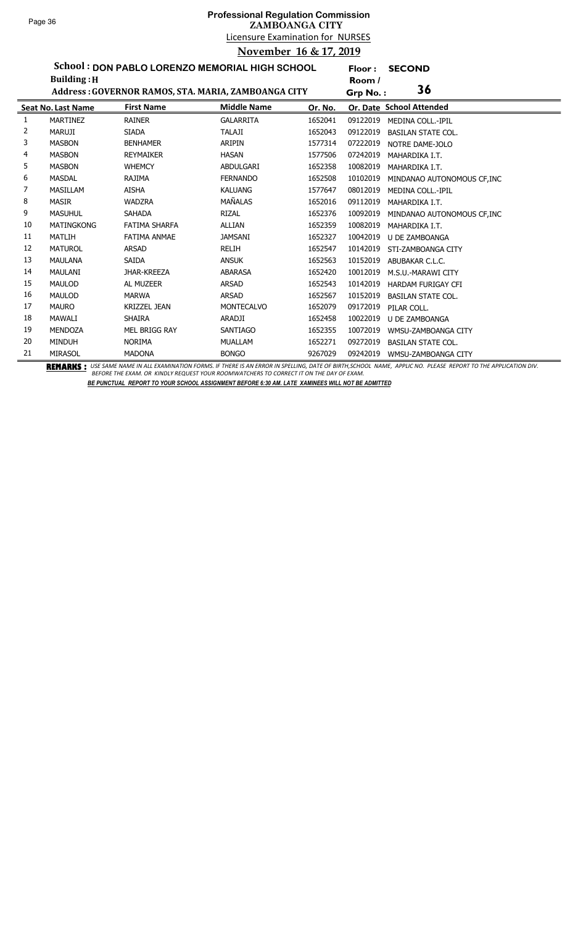**Floor : SECOND**

**School : DON PABLO LORENZO MEMORIAL HIGH SCHOOL**

|    | <b>Building: H</b>        |                                                     |                    |         | Room /   |                                                                                                                                                                                    |
|----|---------------------------|-----------------------------------------------------|--------------------|---------|----------|------------------------------------------------------------------------------------------------------------------------------------------------------------------------------------|
|    |                           | Address: GOVERNOR RAMOS, STA. MARIA, ZAMBOANGA CITY |                    |         | Grp No.: | 36                                                                                                                                                                                 |
|    | <b>Seat No. Last Name</b> | <b>First Name</b>                                   | <b>Middle Name</b> | Or. No. |          | Or. Date School Attended                                                                                                                                                           |
| 1  | <b>MARTINEZ</b>           | <b>RAINER</b>                                       | <b>GALARRITA</b>   | 1652041 | 09122019 | MEDINA COLL.-IPIL                                                                                                                                                                  |
| 2  | <b>MARUJI</b>             | <b>SIADA</b>                                        | <b>TALAJI</b>      | 1652043 | 09122019 | <b>BASILAN STATE COL.</b>                                                                                                                                                          |
| 3  | <b>MASBON</b>             | <b>BENHAMER</b>                                     | ARIPIN             | 1577314 | 07222019 | NOTRE DAME-JOLO                                                                                                                                                                    |
| 4  | <b>MASBON</b>             | <b>REYMAIKER</b>                                    | <b>HASAN</b>       | 1577506 | 07242019 | MAHARDIKA I.T.                                                                                                                                                                     |
| 5  | <b>MASBON</b>             | <b>WHEMCY</b>                                       | ABDULGARI          | 1652358 | 10082019 | MAHARDIKA I.T.                                                                                                                                                                     |
| 6  | <b>MASDAL</b>             | RAJIMA                                              | <b>FERNANDO</b>    | 1652508 | 10102019 | MINDANAO AUTONOMOUS CF.INC                                                                                                                                                         |
| 7  | <b>MASILLAM</b>           | AISHA                                               | <b>KALUANG</b>     | 1577647 | 08012019 | MEDINA COLL.-IPIL                                                                                                                                                                  |
| 8  | <b>MASIR</b>              | <b>WADZRA</b>                                       | MAÑALAS            | 1652016 | 09112019 | MAHARDIKA I.T.                                                                                                                                                                     |
| 9  | <b>MASUHUL</b>            | SAHADA                                              | <b>RIZAL</b>       | 1652376 | 10092019 | MINDANAO AUTONOMOUS CF, INC                                                                                                                                                        |
| 10 | <b>MATINGKONG</b>         | FATIMA SHARFA                                       | <b>ALLIAN</b>      | 1652359 | 10082019 | MAHARDIKA I.T.                                                                                                                                                                     |
| 11 | MATLIH                    | <b>FATIMA ANMAE</b>                                 | <b>JAMSANI</b>     | 1652327 | 10042019 | <b>U DE ZAMBOANGA</b>                                                                                                                                                              |
| 12 | <b>MATUROL</b>            | ARSAD                                               | <b>RELIH</b>       | 1652547 | 10142019 | STI-ZAMBOANGA CITY                                                                                                                                                                 |
| 13 | <b>MAULANA</b>            | <b>SAIDA</b>                                        | <b>ANSUK</b>       | 1652563 | 10152019 | ABUBAKAR C.L.C.                                                                                                                                                                    |
| 14 | MAULANI                   | JHAR-KREEZA                                         | ABARASA            | 1652420 | 10012019 | M.S.U.-MARAWI CITY                                                                                                                                                                 |
| 15 | <b>MAULOD</b>             | AL MUZEER                                           | <b>ARSAD</b>       | 1652543 | 10142019 | <b>HARDAM FURIGAY CFI</b>                                                                                                                                                          |
| 16 | <b>MAULOD</b>             | <b>MARWA</b>                                        | <b>ARSAD</b>       | 1652567 | 10152019 | <b>BASILAN STATE COL.</b>                                                                                                                                                          |
| 17 | <b>MAURO</b>              | <b>KRIZZEL JEAN</b>                                 | <b>MONTECALVO</b>  | 1652079 | 09172019 | PILAR COLL.                                                                                                                                                                        |
| 18 | MAWALI                    | <b>SHAIRA</b>                                       | ARADJI             | 1652458 | 10022019 | <b>U DE ZAMBOANGA</b>                                                                                                                                                              |
| 19 | MENDOZA                   | MEL BRIGG RAY                                       | SANTIAGO           | 1652355 | 10072019 | WMSU-ZAMBOANGA CITY                                                                                                                                                                |
| 20 | <b>MINDUH</b>             | <b>NORIMA</b>                                       | <b>MUALLAM</b>     | 1652271 | 09272019 | <b>BASILAN STATE COL.</b>                                                                                                                                                          |
| 21 | <b>MIRASOL</b>            | <b>MADONA</b>                                       | <b>BONGO</b>       | 9267029 | 09242019 | WMSU-ZAMBOANGA CITY<br><b>BEMERIIA.</b> UCCAMENIME IN AU EVAMINATION FORMS IF TUERE IS AN ERROR IN CREUING DATE OF RIRTU SCHOOL NAME, ARRUGANO, RIFACE RERORT TO TUE ARRUGATION DU |

BEMARKS : USE SAME NAME IN ALL EXAMINATION FORMS. IF THERE IS AN ERROR IN SPELLING, DATE OF BIRTH,SCHOOL NAME, APPLIC NO. PLEASE REPORT TO THE APPLICATION DIV.<br>BEFORE THE EXAM. OR KINDLY REQUEST YOUR ROOMWATCHERS TO CORREC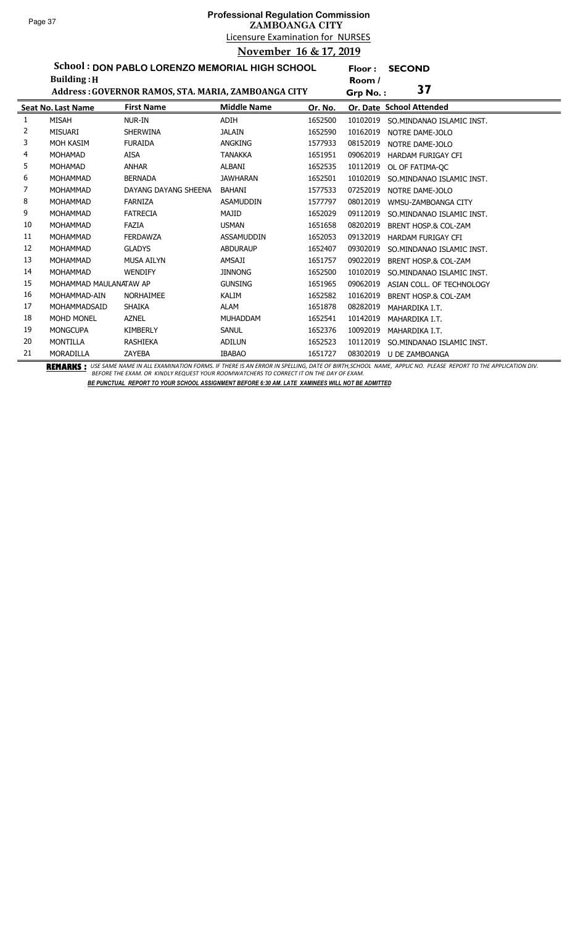**Floor : SECOND**

**School : DON PABLO LORENZO MEMORIAL HIGH SCHOOL Building :H**

|    | <b>Building: H</b>        |                                                     |                    |         | Room /   |                                 |
|----|---------------------------|-----------------------------------------------------|--------------------|---------|----------|---------------------------------|
|    |                           | Address: GOVERNOR RAMOS, STA. MARIA, ZAMBOANGA CITY |                    |         | Grp No.: | 37                              |
|    | <b>Seat No. Last Name</b> | <b>First Name</b>                                   | <b>Middle Name</b> | Or. No. |          | Or. Date School Attended        |
| 1  | <b>MISAH</b>              | NUR-IN                                              | ADIH               | 1652500 | 10102019 | SO.MINDANAO ISLAMIC INST.       |
| 2  | <b>MISUARI</b>            | <b>SHERWINA</b>                                     | <b>JALAIN</b>      | 1652590 | 10162019 | NOTRE DAME-JOLO                 |
| 3  | MOH KASIM                 | <b>FURAIDA</b>                                      | ANGKING            | 1577933 | 08152019 | NOTRE DAME-JOLO                 |
| 4  | <b>MOHAMAD</b>            | <b>AISA</b>                                         | <b>TANAKKA</b>     | 1651951 | 09062019 | <b>HARDAM FURIGAY CFI</b>       |
| 5  | <b>MOHAMAD</b>            | <b>ANHAR</b>                                        | ALBANI             | 1652535 | 10112019 | OL OF FATIMA-OC                 |
| 6  | <b>MOHAMMAD</b>           | <b>BERNADA</b>                                      | <b>JAWHARAN</b>    | 1652501 | 10102019 | SO.MINDANAO ISLAMIC INST.       |
| 7  | <b>MOHAMMAD</b>           | DAYANG DAYANG SHEENA                                | BAHANI             | 1577533 | 07252019 | NOTRE DAME-JOLO                 |
| 8  | <b>MOHAMMAD</b>           | <b>FARNIZA</b>                                      | <b>ASAMUDDIN</b>   | 1577797 | 08012019 | WMSU-ZAMBOANGA CITY             |
| 9  | <b>MOHAMMAD</b>           | <b>FATRECIA</b>                                     | MAJID              | 1652029 | 09112019 | SO. MINDANAO ISLAMIC INST.      |
| 10 | MOHAMMAD                  | FAZIA                                               | <b>USMAN</b>       | 1651658 | 08202019 | <b>BRENT HOSP.&amp; COL-ZAM</b> |
| 11 | <b>MOHAMMAD</b>           | <b>FERDAWZA</b>                                     | <b>ASSAMUDDIN</b>  | 1652053 | 09132019 | HARDAM FURIGAY CFI              |
| 12 | <b>MOHAMMAD</b>           | <b>GLADYS</b>                                       | <b>ABDURAUP</b>    | 1652407 | 09302019 | SO.MINDANAO ISLAMIC INST.       |
| 13 | <b>MOHAMMAD</b>           | <b>MUSA AILYN</b>                                   | AMSAJI             | 1651757 | 09022019 | <b>BRENT HOSP.&amp; COL-ZAM</b> |
| 14 | <b>MOHAMMAD</b>           | <b>WENDIFY</b>                                      | <b>JINNONG</b>     | 1652500 | 10102019 | SO. MINDANAO ISLAMIC INST.      |
| 15 | MOHAMMAD MAULANATAW AP    |                                                     | <b>GUNSING</b>     | 1651965 | 09062019 | ASIAN COLL, OF TECHNOLOGY       |
| 16 | MOHAMMAD-AIN              | <b>NORHAIMEE</b>                                    | KALIM              | 1652582 | 10162019 | <b>BRENT HOSP.&amp; COL-ZAM</b> |
| 17 | MOHAMMADSAID              | <b>SHAIKA</b>                                       | ALAM               | 1651878 | 08282019 | MAHARDIKA I.T.                  |
| 18 | <b>MOHD MONEL</b>         | <b>AZNEL</b>                                        | <b>MUHADDAM</b>    | 1652541 | 10142019 | MAHARDIKA I.T.                  |
| 19 | <b>MONGCUPA</b>           | <b>KIMBERLY</b>                                     | <b>SANUL</b>       | 1652376 | 10092019 | MAHARDIKA I.T.                  |
| 20 | MONTILLA                  | <b>RASHIEKA</b>                                     | ADILUN             | 1652523 | 10112019 | SO.MINDANAO ISLAMIC INST.       |
| 21 | <b>MORADILLA</b>          | ZAYEBA                                              | <b>IBABAO</b>      | 1651727 | 08302019 | U DE ZAMBOANGA                  |

BEMARKS : USE SAME NAME IN ALL EXAMINATION FORMS. IF THERE IS AN ERROR IN SPELLING, DATE OF BIRTH,SCHOOL NAME, APPLIC NO. PLEASE REPORT TO THE APPLICATION DIV.<br>BEFORE THE EXAM. OR KINDLY REQUEST YOUR ROOMWATCHERS TO CORREC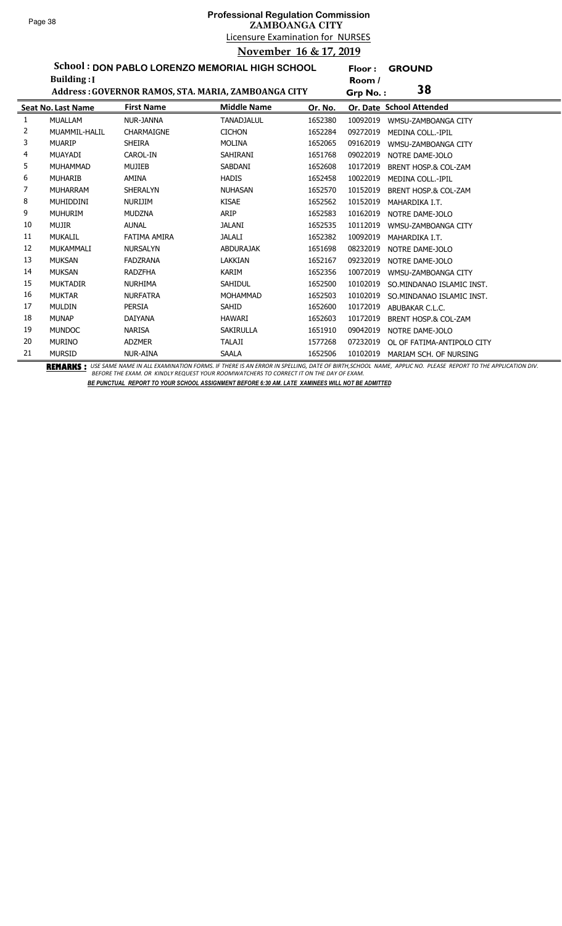# Licensure Examination for NURSES **Professional Regulation Commission ZAMBOANGA CITY November 16 & 17, 2019**

**Floor : GROUND**

**School : DON PABLO LORENZO MEMORIAL HIGH SCHOOL**

|    | <b>Building:</b> I        |                                                     |                    |         | Room /   |                                 |
|----|---------------------------|-----------------------------------------------------|--------------------|---------|----------|---------------------------------|
|    |                           | Address: GOVERNOR RAMOS, STA. MARIA, ZAMBOANGA CITY |                    |         | Grp No.: | 38                              |
|    | <b>Seat No. Last Name</b> | <b>First Name</b>                                   | <b>Middle Name</b> | Or. No. |          | Or. Date School Attended        |
|    | <b>MUALLAM</b>            | NUR-JANNA                                           | <b>TANADJALUL</b>  | 1652380 | 10092019 | WMSU-ZAMBOANGA CITY             |
| 2  | MUAMMIL-HALIL             | <b>CHARMAIGNE</b>                                   | <b>CICHON</b>      | 1652284 | 09272019 | <b>MEDINA COLL.-IPIL</b>        |
| 3  | <b>MUARIP</b>             | <b>SHEIRA</b>                                       | <b>MOLINA</b>      | 1652065 | 09162019 | WMSU-ZAMBOANGA CITY             |
| 4  | <b>MUAYADI</b>            | CAROL-IN                                            | <b>SAHIRANI</b>    | 1651768 | 09022019 | NOTRE DAME-JOLO                 |
| 5  | <b>MUHAMMAD</b>           | <b>MUJIEB</b>                                       | SABDANI            | 1652608 | 10172019 | BRENT HOSP.& COL-ZAM            |
| 6  | <b>MUHARIB</b>            | <b>AMINA</b>                                        | <b>HADIS</b>       | 1652458 | 10022019 | <b>MEDINA COLL.-IPIL</b>        |
| 7  | <b>MUHARRAM</b>           | <b>SHERALYN</b>                                     | <b>NUHASAN</b>     | 1652570 | 10152019 | <b>BRENT HOSP.&amp; COL-ZAM</b> |
| 8  | <b>MUHIDDINI</b>          | NURIJIM                                             | <b>KISAE</b>       | 1652562 | 10152019 | MAHARDIKA I.T.                  |
| 9  | <b>MUHURIM</b>            | <b>MUDZNA</b>                                       | <b>ARIP</b>        | 1652583 | 10162019 | NOTRE DAME-JOLO                 |
| 10 | <b>MUJIR</b>              | <b>AUNAL</b>                                        | <b>JALANI</b>      | 1652535 | 10112019 | WMSU-ZAMBOANGA CITY             |
| 11 | <b>MUKALIL</b>            | <b>FATIMA AMIRA</b>                                 | <b>JALALI</b>      | 1652382 | 10092019 | MAHARDIKA I.T.                  |
| 12 | MUKAMMALI                 | <b>NURSALYN</b>                                     | <b>ABDURAJAK</b>   | 1651698 | 08232019 | NOTRE DAME-JOLO                 |
| 13 | <b>MUKSAN</b>             | <b>FADZRANA</b>                                     | LAKKIAN            | 1652167 | 09232019 | NOTRE DAME-JOLO                 |
| 14 | <b>MUKSAN</b>             | <b>RADZFHA</b>                                      | <b>KARIM</b>       | 1652356 | 10072019 | WMSU-ZAMBOANGA CITY             |
| 15 | <b>MUKTADIR</b>           | <b>NURHIMA</b>                                      | <b>SAHIDUL</b>     | 1652500 | 10102019 | SO.MINDANAO ISLAMIC INST.       |
| 16 | <b>MUKTAR</b>             | <b>NURFATRA</b>                                     | <b>MOHAMMAD</b>    | 1652503 | 10102019 | SO.MINDANAO ISLAMIC INST.       |
| 17 | <b>MULDIN</b>             | <b>PERSIA</b>                                       | <b>SAHID</b>       | 1652600 | 10172019 | ABUBAKAR C.L.C.                 |
| 18 | <b>MUNAP</b>              | <b>DAIYANA</b>                                      | <b>HAWARI</b>      | 1652603 | 10172019 | <b>BRENT HOSP.&amp; COL-ZAM</b> |
| 19 | <b>MUNDOC</b>             | <b>NARISA</b>                                       | <b>SAKIRULLA</b>   | 1651910 | 09042019 | NOTRE DAME-JOLO                 |
| 20 | <b>MURINO</b>             | <b>ADZMER</b>                                       | TALAJI             | 1577268 | 07232019 | OL OF FATIMA-ANTIPOLO CITY      |
| 21 | <b>MURSID</b>             | NUR-AINA                                            | <b>SAALA</b>       | 1652506 | 10102019 | MARIAM SCH. OF NURSING          |

BEMARKS : USE SAME NAME IN ALL EXAMINATION FORMS. IF THERE IS AN ERROR IN SPELLING, DATE OF BIRTH,SCHOOL NAME, APPLIC NO. PLEASE REPORT TO THE APPLICATION DIV.<br>BEFORE THE EXAM. OR KINDLY REQUEST YOUR ROOMWATCHERS TO CORREC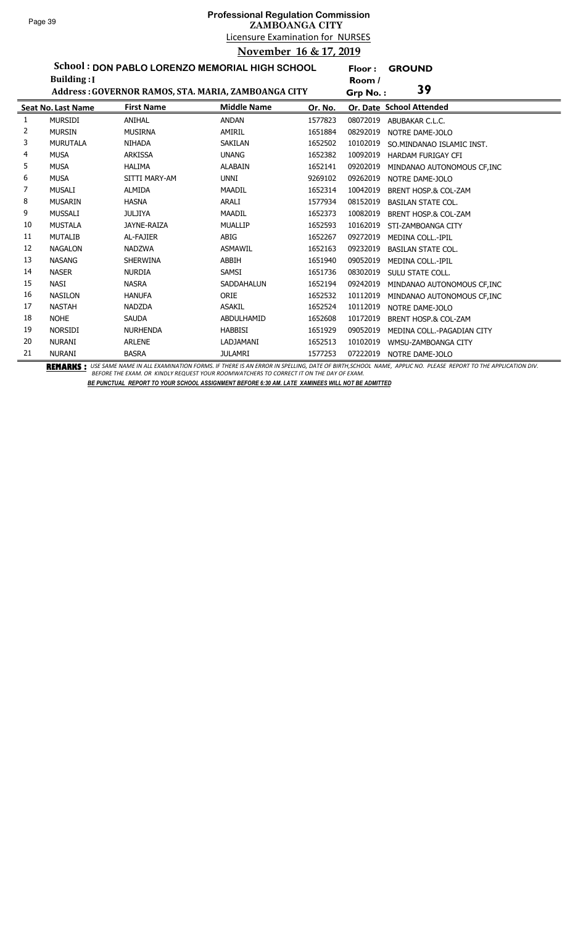## Licensure Examination for NURSES **Professional Regulation Commission ZAMBOANGA CITY November 16 & 17, 2019**

**Floor : GROUND**

**School : DON PABLO LORENZO MEMORIAL HIGH SCHOOL Building :I**

|    | Building: [               |                   |                                                     |         | Room /   |                                 |
|----|---------------------------|-------------------|-----------------------------------------------------|---------|----------|---------------------------------|
|    |                           |                   | Address: GOVERNOR RAMOS, STA. MARIA, ZAMBOANGA CITY |         | Grp No.: | 39                              |
|    | <b>Seat No. Last Name</b> | <b>First Name</b> | <b>Middle Name</b>                                  | Or. No. |          | Or. Date School Attended        |
| 1  | <b>MURSIDI</b>            | <b>ANIHAL</b>     | <b>ANDAN</b>                                        | 1577823 | 08072019 | ABUBAKAR C.L.C.                 |
| 2  | <b>MURSIN</b>             | <b>MUSIRNA</b>    | AMIRIL                                              | 1651884 | 08292019 | NOTRE DAME-JOLO                 |
| 3  | <b>MURUTALA</b>           | <b>NIHADA</b>     | SAKILAN                                             | 1652502 | 10102019 | SO.MINDANAO ISLAMIC INST.       |
| 4  | <b>MUSA</b>               | <b>ARKISSA</b>    | <b>UNANG</b>                                        | 1652382 | 10092019 | <b>HARDAM FURIGAY CFI</b>       |
| 5  | <b>MUSA</b>               | <b>HALIMA</b>     | <b>ALABAIN</b>                                      | 1652141 | 09202019 | MINDANAO AUTONOMOUS CF, INC     |
| 6  | <b>MUSA</b>               | SITTI MARY-AM     | UNNI                                                | 9269102 | 09262019 | NOTRE DAME-JOLO                 |
|    | <b>MUSALI</b>             | <b>ALMIDA</b>     | <b>MAADIL</b>                                       | 1652314 | 10042019 | <b>BRENT HOSP.&amp; COL-ZAM</b> |
| 8  | <b>MUSARIN</b>            | <b>HASNA</b>      | ARALI                                               | 1577934 | 08152019 | <b>BASILAN STATE COL.</b>       |
| 9  | <b>MUSSALI</b>            | JULJIYA           | <b>MAADIL</b>                                       | 1652373 | 10082019 | BRENT HOSP.& COL-ZAM            |
| 10 | <b>MUSTALA</b>            | JAYNE-RAIZA       | <b>MUALLIP</b>                                      | 1652593 | 10162019 | STI-ZAMBOANGA CITY              |
| 11 | <b>MUTALIB</b>            | <b>AL-FAJIER</b>  | ABIG                                                | 1652267 | 09272019 | <b>MEDINA COLL.-IPIL</b>        |
| 12 | <b>NAGALON</b>            | <b>NADZWA</b>     | <b>ASMAWIL</b>                                      | 1652163 | 09232019 | <b>BASILAN STATE COL.</b>       |
| 13 | <b>NASANG</b>             | <b>SHERWINA</b>   | ABBIH                                               | 1651940 | 09052019 | <b>MEDINA COLL.-IPIL</b>        |
| 14 | <b>NASER</b>              | <b>NURDIA</b>     | SAMSI                                               | 1651736 | 08302019 | SULU STATE COLL.                |
| 15 | <b>NASI</b>               | <b>NASRA</b>      | <b>SADDAHALUN</b>                                   | 1652194 | 09242019 | MINDANAO AUTONOMOUS CF, INC     |
| 16 | <b>NASILON</b>            | <b>HANUFA</b>     | ORIE                                                | 1652532 | 10112019 | MINDANAO AUTONOMOUS CF, INC     |
| 17 | <b>NASTAH</b>             | <b>NADZDA</b>     | <b>ASAKIL</b>                                       | 1652524 | 10112019 | NOTRE DAME-JOLO                 |
| 18 | <b>NOHE</b>               | <b>SAUDA</b>      | ABDULHAMID                                          | 1652608 | 10172019 | <b>BRENT HOSP.&amp; COL-ZAM</b> |
| 19 | <b>NORSIDI</b>            | <b>NURHENDA</b>   | <b>HABBISI</b>                                      | 1651929 | 09052019 | MEDINA COLL.-PAGADIAN CITY      |
| 20 | <b>NURANI</b>             | <b>ARLENE</b>     | LADJAMANI                                           | 1652513 | 10102019 | WMSU-ZAMBOANGA CITY             |
| 21 | <b>NURANI</b>             | <b>BASRA</b>      | <b>JULAMRI</b>                                      | 1577253 | 07222019 | NOTRE DAME-JOLO                 |

BEMARKS : USE SAME NAME IN ALL EXAMINATION FORMS. IF THERE IS AN ERROR IN SPELLING, DATE OF BIRTH,SCHOOL NAME, APPLIC NO. PLEASE REPORT TO THE APPLICATION DIV.<br>BEFORE THE EXAM. OR KINDLY REQUEST YOUR ROOMWATCHERS TO CORREC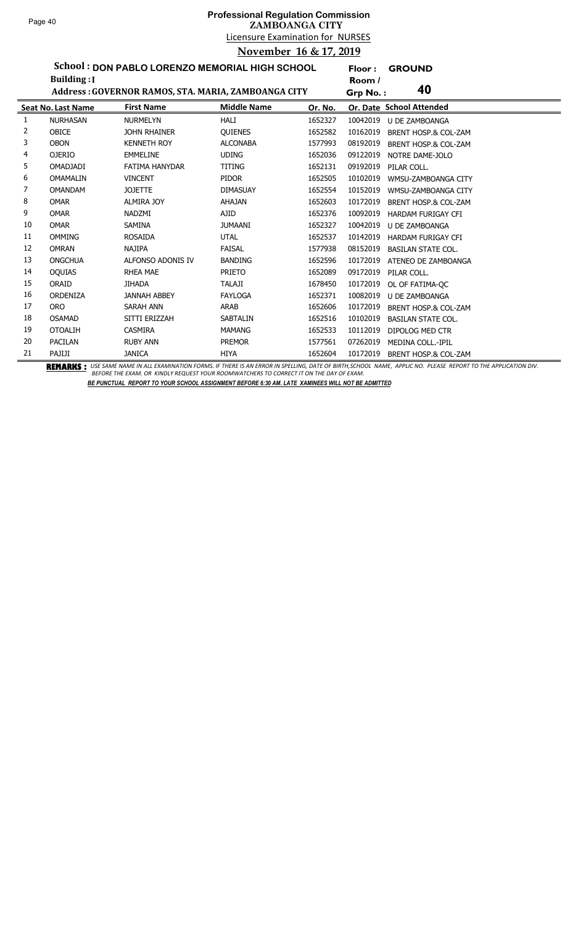l,

# Licensure Examination for NURSES **Professional Regulation Commission ZAMBOANGA CITY November 16 & 17, 2019**

**Floor : GROUND**

**School : DON PABLO LORENZO MEMORIAL HIGH SCHOOL**

|    | <b>Building:</b> I        |                                                     |                    |         | Room /                                      |  |
|----|---------------------------|-----------------------------------------------------|--------------------|---------|---------------------------------------------|--|
|    |                           | Address: GOVERNOR RAMOS, STA. MARIA, ZAMBOANGA CITY |                    |         | 40<br>Grp No.:                              |  |
|    | <b>Seat No. Last Name</b> | <b>First Name</b>                                   | <b>Middle Name</b> | Or. No. | Or. Date School Attended                    |  |
| 1  | <b>NURHASAN</b>           | <b>NURMELYN</b>                                     | <b>HALI</b>        | 1652327 | 10042019<br>U DE ZAMBOANGA                  |  |
| 2  | <b>OBICE</b>              | <b>JOHN RHAINER</b>                                 | <b>OUIENES</b>     | 1652582 | 10162019<br>BRENT HOSP.& COL-ZAM            |  |
| 3  | <b>OBON</b>               | <b>KENNETH ROY</b>                                  | <b>ALCONABA</b>    | 1577993 | 08192019<br>BRENT HOSP.& COL-ZAM            |  |
| 4  | <b>OJERIO</b>             | <b>EMMELINE</b>                                     | <b>UDING</b>       | 1652036 | 09122019<br>NOTRE DAME-JOLO                 |  |
| 5  | <b>OMADJADI</b>           | <b>FATIMA HANYDAR</b>                               | TITING             | 1652131 | 09192019<br>PILAR COLL.                     |  |
| 6  | <b>OMAMALIN</b>           | <b>VINCENT</b>                                      | <b>PIDOR</b>       | 1652505 | 10102019<br>WMSU-ZAMBOANGA CITY             |  |
| 7  | <b>OMANDAM</b>            | <b>JOJETTE</b>                                      | <b>DIMASUAY</b>    | 1652554 | 10152019<br>WMSU-ZAMBOANGA CITY             |  |
| 8  | <b>OMAR</b>               | <b>ALMIRA JOY</b>                                   | <b>AHAJAN</b>      | 1652603 | 10172019<br>BRENT HOSP.& COL-ZAM            |  |
| 9  | <b>OMAR</b>               | NADZMI                                              | AJID               | 1652376 | 10092019<br>HARDAM FURIGAY CFI              |  |
| 10 | <b>OMAR</b>               | <b>SAMINA</b>                                       | <b>JUMAANI</b>     | 1652327 | 10042019<br><b>U DE ZAMBOANGA</b>           |  |
| 11 | <b>OMMING</b>             | <b>ROSAIDA</b>                                      | <b>UTAL</b>        | 1652537 | 10142019<br>HARDAM FURIGAY CFI              |  |
| 12 | <b>OMRAN</b>              | <b>NAJIPA</b>                                       | <b>FAISAL</b>      | 1577938 | 08152019<br><b>BASILAN STATE COL.</b>       |  |
| 13 | <b>ONGCHUA</b>            | ALFONSO ADONIS IV                                   | <b>BANDING</b>     | 1652596 | 10172019<br>ATENEO DE ZAMBOANGA             |  |
| 14 | <b>OQUIAS</b>             | <b>RHEA MAE</b>                                     | <b>PRIETO</b>      | 1652089 | 09172019<br>PILAR COLL.                     |  |
| 15 | ORAID                     | <b>JIHADA</b>                                       | <b>TALAJI</b>      | 1678450 | 10172019<br>OL OF FATIMA-OC                 |  |
| 16 | ORDENIZA                  | <b>JANNAH ABBEY</b>                                 | <b>FAYLOGA</b>     | 1652371 | 10082019<br><b>U DE ZAMBOANGA</b>           |  |
| 17 | <b>ORO</b>                | <b>SARAH ANN</b>                                    | <b>ARAB</b>        | 1652606 | 10172019<br><b>BRENT HOSP.&amp; COL-ZAM</b> |  |
| 18 | <b>OSAMAD</b>             | SITTI ERIZZAH                                       | <b>SABTALIN</b>    | 1652516 | 10102019<br><b>BASILAN STATE COL.</b>       |  |
| 19 | <b>OTOALIH</b>            | <b>CASMIRA</b>                                      | <b>MAMANG</b>      | 1652533 | 10112019<br>DIPOLOG MED CTR                 |  |
| 20 | <b>PACILAN</b>            | <b>RUBY ANN</b>                                     | <b>PREMOR</b>      | 1577561 | 07262019<br><b>MEDINA COLL.-IPIL</b>        |  |
| 21 | PAJIJI                    | <b>JANICA</b>                                       | <b>HIYA</b>        | 1652604 | 10172019<br>BRENT HOSP.& COL-ZAM            |  |

BEMARKS : USE SAME NAME IN ALL EXAMINATION FORMS. IF THERE IS AN ERROR IN SPELLING, DATE OF BIRTH,SCHOOL NAME, APPLIC NO. PLEASE REPORT TO THE APPLICATION DIV.<br>BEFORE THE EXAM. OR KINDLY REQUEST YOUR ROOMWATCHERS TO CORREC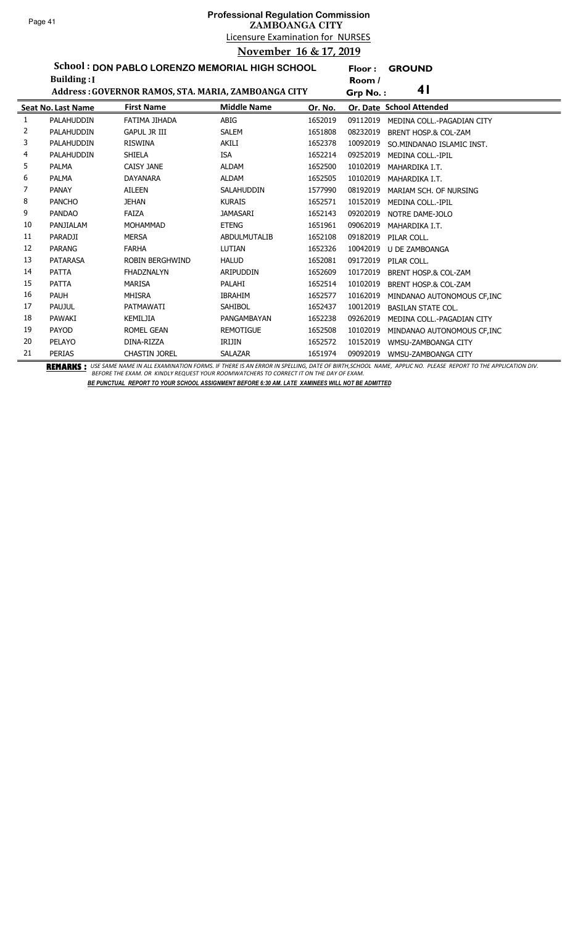**Floor : GROUND**

**School : DON PABLO LORENZO MEMORIAL HIGH SCHOOL**

|    | <b>Building:</b> I        |                                                     |                    |         | Room /   |                                 |
|----|---------------------------|-----------------------------------------------------|--------------------|---------|----------|---------------------------------|
|    |                           | Address: GOVERNOR RAMOS, STA. MARIA, ZAMBOANGA CITY |                    |         | Grp No.: | 4 <sub>1</sub>                  |
|    | <b>Seat No. Last Name</b> | <b>First Name</b>                                   | <b>Middle Name</b> | Or. No. |          | Or. Date School Attended        |
| 1  | PALAHUDDIN                | FATIMA JIHADA                                       | ABIG               | 1652019 | 09112019 | MEDINA COLL.-PAGADIAN CITY      |
| 2  | PALAHUDDIN                | <b>GAPUL JR III</b>                                 | <b>SALEM</b>       | 1651808 | 08232019 | BRENT HOSP.& COL-ZAM            |
| 3  | PALAHUDDIN                | <b>RISWINA</b>                                      | <b>AKILI</b>       | 1652378 | 10092019 | SO.MINDANAO ISLAMIC INST.       |
| 4  | PALAHUDDIN                | <b>SHIELA</b>                                       | <b>ISA</b>         | 1652214 | 09252019 | MEDINA COLL.-IPIL               |
| 5  | <b>PALMA</b>              | <b>CAISY JANE</b>                                   | <b>ALDAM</b>       | 1652500 | 10102019 | MAHARDIKA I.T.                  |
| 6  | <b>PALMA</b>              | <b>DAYANARA</b>                                     | <b>ALDAM</b>       | 1652505 | 10102019 | MAHARDIKA I.T.                  |
| 7  | <b>PANAY</b>              | AILEEN                                              | <b>SALAHUDDIN</b>  | 1577990 | 08192019 | MARIAM SCH. OF NURSING          |
| 8  | <b>PANCHO</b>             | <b>JEHAN</b>                                        | <b>KURAIS</b>      | 1652571 | 10152019 | MEDINA COLL.-IPIL               |
| 9  | <b>PANDAO</b>             | <b>FAIZA</b>                                        | JAMASARI           | 1652143 | 09202019 | NOTRE DAME-JOLO                 |
| 10 | PANJIALAM                 | <b>MOHAMMAD</b>                                     | <b>ETENG</b>       | 1651961 | 09062019 | MAHARDIKA I.T.                  |
| 11 | PARADJI                   | <b>MERSA</b>                                        | ABDULMUTALIB       | 1652108 | 09182019 | PILAR COLL.                     |
| 12 | <b>PARANG</b>             | <b>FARHA</b>                                        | LUTIAN             | 1652326 | 10042019 | <b>U DE ZAMBOANGA</b>           |
| 13 | <b>PATARASA</b>           | <b>ROBIN BERGHWIND</b>                              | <b>HALUD</b>       | 1652081 | 09172019 | PILAR COLL.                     |
| 14 | <b>PATTA</b>              | <b>FHADZNALYN</b>                                   | ARIPUDDIN          | 1652609 | 10172019 | <b>BRENT HOSP.&amp; COL-ZAM</b> |
| 15 | <b>PATTA</b>              | <b>MARISA</b>                                       | PALAHI             | 1652514 | 10102019 | BRENT HOSP.& COL-ZAM            |
| 16 | <b>PAUH</b>               | <b>MHISRA</b>                                       | <b>IBRAHIM</b>     | 1652577 | 10162019 | MINDANAO AUTONOMOUS CF, INC     |
| 17 | PAUJUL                    | PATMAWATI                                           | <b>SAHIBOL</b>     | 1652437 | 10012019 | <b>BASILAN STATE COL.</b>       |
| 18 | PAWAKI                    | KEMILJIA                                            | PANGAMBAYAN        | 1652238 | 09262019 | MEDINA COLL.-PAGADIAN CITY      |
| 19 | PAYOD                     | <b>ROMEL GEAN</b>                                   | <b>REMOTIGUE</b>   | 1652508 | 10102019 | MINDANAO AUTONOMOUS CF.INC      |
| 20 | PELAYO                    | DINA-RIZZA                                          | IRIJIN             | 1652572 | 10152019 | WMSU-ZAMBOANGA CITY             |
| 21 | <b>PERIAS</b>             | <b>CHASTIN JOREL</b>                                | <b>SALAZAR</b>     | 1651974 | 09092019 | WMSU-ZAMBOANGA CITY             |

BEMARKS : USE SAME NAME IN ALL EXAMINATION FORMS. IF THERE IS AN ERROR IN SPELLING, DATE OF BIRTH,SCHOOL NAME, APPLIC NO. PLEASE REPORT TO THE APPLICATION DIV.<br>BEFORE THE EXAM. OR KINDLY REQUEST YOUR ROOMWATCHERS TO CORREC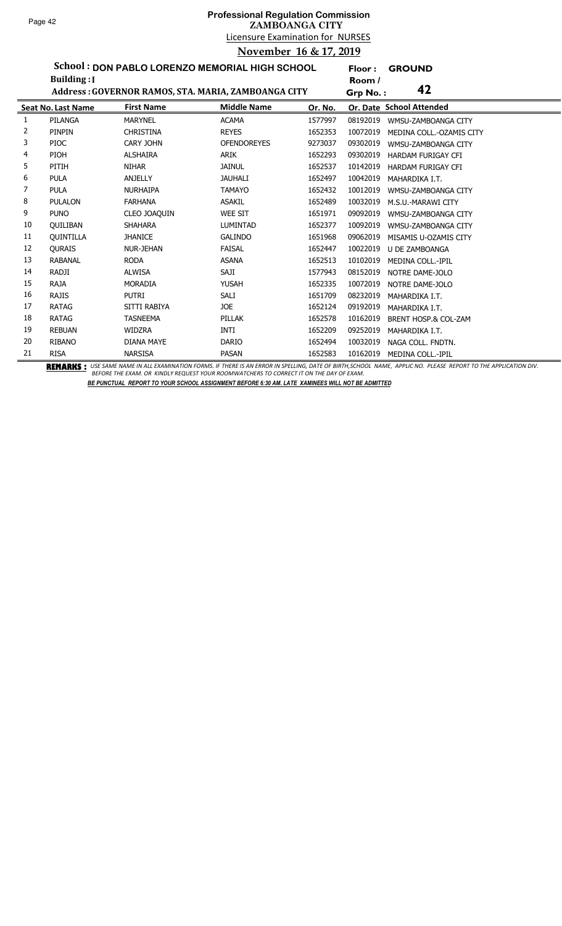## Licensure Examination for NURSES **Professional Regulation Commission ZAMBOANGA CITY November 16 & 17, 2019**

**Floor : GROUND**

**School : DON PABLO LORENZO MEMORIAL HIGH SCHOOL**

|    | <b>Building:</b> I        |                   |                                                     |         | Room /   |                                 |
|----|---------------------------|-------------------|-----------------------------------------------------|---------|----------|---------------------------------|
|    |                           |                   | Address: GOVERNOR RAMOS, STA. MARIA, ZAMBOANGA CITY |         | Grp No.: | 42                              |
|    | <b>Seat No. Last Name</b> | <b>First Name</b> | <b>Middle Name</b>                                  | Or. No. |          | Or. Date School Attended        |
| 1  | PILANGA                   | <b>MARYNEL</b>    | <b>ACAMA</b>                                        | 1577997 | 08192019 | WMSU-ZAMBOANGA CITY             |
| 2  | PINPIN                    | <b>CHRISTINA</b>  | <b>REYES</b>                                        | 1652353 | 10072019 | MEDINA COLL.-OZAMIS CITY        |
| 3  | <b>PIOC</b>               | <b>CARY JOHN</b>  | <b>OFENDOREYES</b>                                  | 9273037 | 09302019 | WMSU-ZAMBOANGA CITY             |
| 4  | PIOH                      | <b>ALSHAIRA</b>   | ARIK                                                | 1652293 | 09302019 | <b>HARDAM FURIGAY CFI</b>       |
| 5  | PITIH                     | <b>NIHAR</b>      | <b>JAINUL</b>                                       | 1652537 | 10142019 | <b>HARDAM FURIGAY CFI</b>       |
| 6  | <b>PULA</b>               | <b>ANJELLY</b>    | <b>JAUHALI</b>                                      | 1652497 | 10042019 | MAHARDIKA I.T.                  |
| 7  | <b>PULA</b>               | <b>NURHAIPA</b>   | <b>TAMAYO</b>                                       | 1652432 | 10012019 | WMSU-ZAMBOANGA CITY             |
| 8  | <b>PULALON</b>            | <b>FARHANA</b>    | <b>ASAKIL</b>                                       | 1652489 | 10032019 | M.S.U.-MARAWI CITY              |
| 9  | <b>PUNO</b>               | CLEO JOAQUIN      | <b>WEE SIT</b>                                      | 1651971 | 09092019 | WMSU-ZAMBOANGA CITY             |
| 10 | <b>OUILIBAN</b>           | <b>SHAHARA</b>    | <b>LUMINTAD</b>                                     | 1652377 | 10092019 | WMSU-ZAMBOANGA CITY             |
| 11 | <b>OUINTILLA</b>          | <b>JHANICE</b>    | <b>GALINDO</b>                                      | 1651968 | 09062019 | MISAMIS U-OZAMIS CITY           |
| 12 | <b>OURAIS</b>             | <b>NUR-JEHAN</b>  | <b>FAISAL</b>                                       | 1652447 | 10022019 | <b>U DE ZAMBOANGA</b>           |
| 13 | <b>RABANAL</b>            | <b>RODA</b>       | <b>ASANA</b>                                        | 1652513 | 10102019 | <b>MEDINA COLL.-IPIL</b>        |
| 14 | RADJI                     | <b>ALWISA</b>     | SAJI                                                | 1577943 | 08152019 | NOTRE DAME-JOLO                 |
| 15 | <b>RAJA</b>               | <b>MORADIA</b>    | <b>YUSAH</b>                                        | 1652335 | 10072019 | NOTRE DAME-JOLO                 |
| 16 | <b>RAJIS</b>              | <b>PUTRI</b>      | SALI                                                | 1651709 | 08232019 | MAHARDIKA I.T.                  |
| 17 | <b>RATAG</b>              | SITTI RABIYA      | <b>JOE</b>                                          | 1652124 | 09192019 | MAHARDIKA I.T.                  |
| 18 | <b>RATAG</b>              | <b>TASNEEMA</b>   | PILLAK                                              | 1652578 | 10162019 | <b>BRENT HOSP.&amp; COL-ZAM</b> |
| 19 | <b>REBUAN</b>             | <b>WIDZRA</b>     | INTI                                                | 1652209 | 09252019 | MAHARDIKA I.T.                  |
| 20 | <b>RIBANO</b>             | DIANA MAYE        | <b>DARIO</b>                                        | 1652494 | 10032019 | NAGA COLL. FNDTN.               |
| 21 | <b>RISA</b>               | <b>NARSISA</b>    | PASAN                                               | 1652583 | 10162019 | MEDINA COLL.-IPIL               |

BEMARKS : USE SAME NAME IN ALL EXAMINATION FORMS. IF THERE IS AN ERROR IN SPELLING, DATE OF BIRTH,SCHOOL NAME, APPLIC NO. PLEASE REPORT TO THE APPLICATION DIV.<br>BEFORE THE EXAM. OR KINDLY REQUEST YOUR ROOMWATCHERS TO CORREC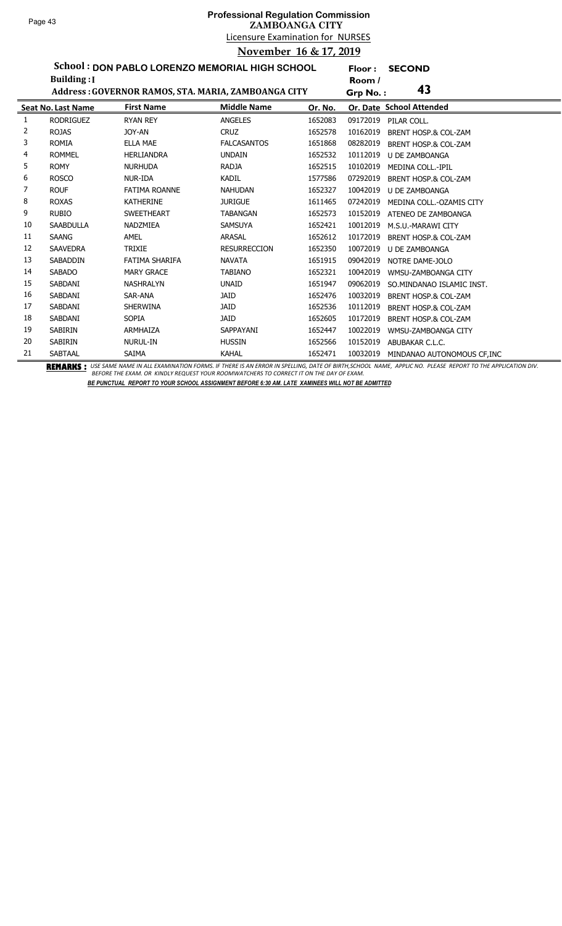### Licensure Examination for NURSES **Professional Regulation Commission ZAMBOANGA CITY November 16 & 17, 2019**

**Floor : SECOND**

**School : DON PABLO LORENZO MEMORIAL HIGH SCHOOL Building :I**

|    | Building: [               |                                                     |                     |         | Room /                                      |  |
|----|---------------------------|-----------------------------------------------------|---------------------|---------|---------------------------------------------|--|
|    |                           | Address: GOVERNOR RAMOS, STA. MARIA, ZAMBOANGA CITY |                     |         | 43<br>Grp No.:                              |  |
|    | <b>Seat No. Last Name</b> | <b>First Name</b>                                   | <b>Middle Name</b>  | Or. No. | Or. Date School Attended                    |  |
| 1  | <b>RODRIGUEZ</b>          | <b>RYAN REY</b>                                     | <b>ANGELES</b>      | 1652083 | 09172019<br>PILAR COLL.                     |  |
| 2  | <b>ROJAS</b>              | JOY-AN                                              | <b>CRUZ</b>         | 1652578 | 10162019<br>BRENT HOSP.& COL-ZAM            |  |
| 3  | <b>ROMIA</b>              | <b>ELLA MAE</b>                                     | <b>FALCASANTOS</b>  | 1651868 | 08282019<br>BRENT HOSP.& COL-ZAM            |  |
| 4  | <b>ROMMEL</b>             | <b>HERLIANDRA</b>                                   | <b>UNDAIN</b>       | 1652532 | 10112019<br>U DE ZAMBOANGA                  |  |
| 5  | <b>ROMY</b>               | <b>NURHUDA</b>                                      | <b>RADJA</b>        | 1652515 | 10102019<br>MEDINA COLL.-IPIL               |  |
| 6  | <b>ROSCO</b>              | NUR-IDA                                             | <b>KADIL</b>        | 1577586 | 07292019<br><b>BRENT HOSP.&amp; COL-ZAM</b> |  |
|    | <b>ROUF</b>               | <b>FATIMA ROANNE</b>                                | <b>NAHUDAN</b>      | 1652327 | 10042019<br>U DE ZAMBOANGA                  |  |
| 8  | <b>ROXAS</b>              | <b>KATHERINE</b>                                    | <b>JURIGUE</b>      | 1611465 | 07242019<br>MEDINA COLL.-OZAMIS CITY        |  |
| 9  | <b>RUBIO</b>              | <b>SWEETHEART</b>                                   | <b>TABANGAN</b>     | 1652573 | 10152019<br>ATENEO DE ZAMBOANGA             |  |
| 10 | <b>SAABDULLA</b>          | <b>NADZMIEA</b>                                     | <b>SAMSUYA</b>      | 1652421 | 10012019<br>M.S.U.-MARAWI CITY              |  |
| 11 | <b>SAANG</b>              | AMEL                                                | ARASAL              | 1652612 | 10172019<br><b>BRENT HOSP.&amp; COL-ZAM</b> |  |
| 12 | <b>SAAVEDRA</b>           | <b>TRIXIE</b>                                       | <b>RESURRECCION</b> | 1652350 | 10072019<br><b>U DE ZAMBOANGA</b>           |  |
| 13 | <b>SABADDIN</b>           | FATIMA SHARIFA                                      | <b>NAVATA</b>       | 1651915 | 09042019<br>NOTRE DAME-JOLO                 |  |
| 14 | <b>SABADO</b>             | <b>MARY GRACE</b>                                   | <b>TABIANO</b>      | 1652321 | 10042019<br>WMSU-ZAMBOANGA CITY             |  |
| 15 | SABDANI                   | <b>NASHRALYN</b>                                    | <b>UNAID</b>        | 1651947 | 09062019<br>SO.MINDANAO ISLAMIC INST.       |  |
| 16 | SABDANI                   | SAR-ANA                                             | <b>JAID</b>         | 1652476 | 10032019<br>BRENT HOSP.& COL-ZAM            |  |
| 17 | SABDANI                   | <b>SHERWINA</b>                                     | <b>JAID</b>         | 1652536 | 10112019<br><b>BRENT HOSP.&amp; COL-ZAM</b> |  |
| 18 | SABDANI                   | <b>SOPIA</b>                                        | <b>JAID</b>         | 1652605 | 10172019<br>BRENT HOSP.& COL-ZAM            |  |
| 19 | <b>SABIRIN</b>            | ARMHAIZA                                            | SAPPAYANI           | 1652447 | 10022019<br>WMSU-ZAMBOANGA CITY             |  |
| 20 | SABIRIN                   | <b>NURUL-IN</b>                                     | <b>HUSSIN</b>       | 1652566 | 10152019<br>ABUBAKAR C.L.C.                 |  |
| 21 | SABTAAL                   | SAIMA                                               | <b>KAHAL</b>        | 1652471 | 10032019<br>MINDANAO AUTONOMOUS CF, INC     |  |

BEMARKS : USE SAME NAME IN ALL EXAMINATION FORMS. IF THERE IS AN ERROR IN SPELLING, DATE OF BIRTH,SCHOOL NAME, APPLIC NO. PLEASE REPORT TO THE APPLICATION DIV.<br>BEFORE THE EXAM. OR KINDLY REQUEST YOUR ROOMWATCHERS TO CORREC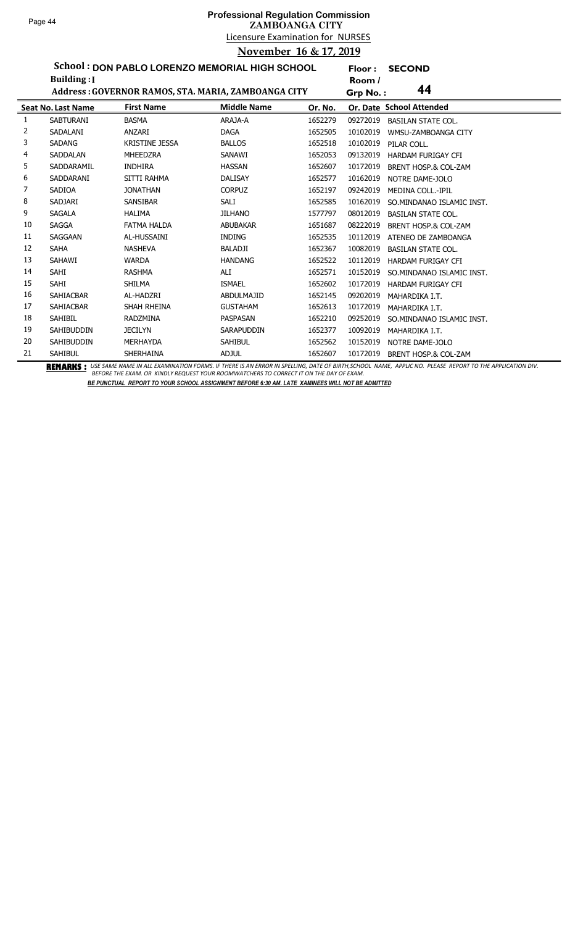# Licensure Examination for NURSES **Professional Regulation Commission ZAMBOANGA CITY November 16 & 17, 2019**

**Floor : SECOND**

**School : DON PABLO LORENZO MEMORIAL HIGH SCHOOL Building :I**

|    | Building: [               |                       |                                                     |         | Room /   |                                 |
|----|---------------------------|-----------------------|-----------------------------------------------------|---------|----------|---------------------------------|
|    |                           |                       | Address: GOVERNOR RAMOS, STA. MARIA, ZAMBOANGA CITY |         | Grp No.: | 44                              |
|    | <b>Seat No. Last Name</b> | <b>First Name</b>     | <b>Middle Name</b>                                  | Or. No. |          | Or. Date School Attended        |
| 1  | <b>SABTURANI</b>          | <b>BASMA</b>          | ARAJA-A                                             | 1652279 | 09272019 | <b>BASILAN STATE COL.</b>       |
| 2  | SADALANI                  | ANZARI                | <b>DAGA</b>                                         | 1652505 | 10102019 | WMSU-ZAMBOANGA CITY             |
| 3  | <b>SADANG</b>             | <b>KRISTINE JESSA</b> | <b>BALLOS</b>                                       | 1652518 | 10102019 | PILAR COLL.                     |
| 4  | <b>SADDALAN</b>           | <b>MHEEDZRA</b>       | SANAWI                                              | 1652053 | 09132019 | HARDAM FURIGAY CFI              |
| 5  | SADDARAMIL                | <b>INDHIRA</b>        | <b>HASSAN</b>                                       | 1652607 | 10172019 | <b>BRENT HOSP.&amp; COL-ZAM</b> |
| 6  | SADDARANI                 | SITTI RAHMA           | <b>DALISAY</b>                                      | 1652577 | 10162019 | NOTRE DAME-JOLO                 |
| 7  | SADIOA                    | <b>JONATHAN</b>       | <b>CORPUZ</b>                                       | 1652197 | 09242019 | <b>MEDINA COLL.-IPIL</b>        |
| 8  | SADJARI                   | <b>SANSIBAR</b>       | SALI                                                | 1652585 | 10162019 | SO.MINDANAO ISLAMIC INST.       |
| 9  | <b>SAGALA</b>             | <b>HALIMA</b>         | <b>JILHANO</b>                                      | 1577797 | 08012019 | <b>BASILAN STATE COL.</b>       |
| 10 | <b>SAGGA</b>              | <b>FATMA HALDA</b>    | <b>ABUBAKAR</b>                                     | 1651687 | 08222019 | BRENT HOSP.& COL-ZAM            |
| 11 | SAGGAAN                   | AL-HUSSAINI           | <b>INDING</b>                                       | 1652535 | 10112019 | ATENEO DE ZAMBOANGA             |
| 12 | <b>SAHA</b>               | <b>NASHEVA</b>        | BALADJI                                             | 1652367 | 10082019 | <b>BASILAN STATE COL.</b>       |
| 13 | SAHAWI                    | <b>WARDA</b>          | <b>HANDANG</b>                                      | 1652522 | 10112019 | HARDAM FURIGAY CFI              |
| 14 | <b>SAHI</b>               | <b>RASHMA</b>         | ALI                                                 | 1652571 | 10152019 | SO.MINDANAO ISLAMIC INST.       |
| 15 | <b>SAHI</b>               | <b>SHILMA</b>         | <b>ISMAEL</b>                                       | 1652602 | 10172019 | <b>HARDAM FURIGAY CFI</b>       |
| 16 | SAHIACBAR                 | AL-HADZRI             | <b>ABDULMAJID</b>                                   | 1652145 | 09202019 | MAHARDIKA I.T.                  |
| 17 | <b>SAHIACBAR</b>          | SHAH RHEINA           | <b>GUSTAHAM</b>                                     | 1652613 | 10172019 | MAHARDIKA I.T.                  |
| 18 | <b>SAHIBIL</b>            | <b>RADZMINA</b>       | PASPASAN                                            | 1652210 | 09252019 | SO.MINDANAO ISLAMIC INST.       |
| 19 | SAHIBUDDIN                | <b>JECILYN</b>        | <b>SARAPUDDIN</b>                                   | 1652377 | 10092019 | MAHARDIKA I.T.                  |
| 20 | SAHIBUDDIN                | <b>MERHAYDA</b>       | <b>SAHIBUL</b>                                      | 1652562 | 10152019 | NOTRE DAME-JOLO                 |
| 21 | <b>SAHIBUL</b>            | SHERHAINA             | <b>ADJUL</b>                                        | 1652607 | 10172019 | <b>BRENT HOSP.&amp; COL-ZAM</b> |

BEMARKS : USE SAME NAME IN ALL EXAMINATION FORMS. IF THERE IS AN ERROR IN SPELLING, DATE OF BIRTH,SCHOOL NAME, APPLIC NO. PLEASE REPORT TO THE APPLICATION DIV.<br>BEFORE THE EXAM. OR KINDLY REQUEST YOUR ROOMWATCHERS TO CORREC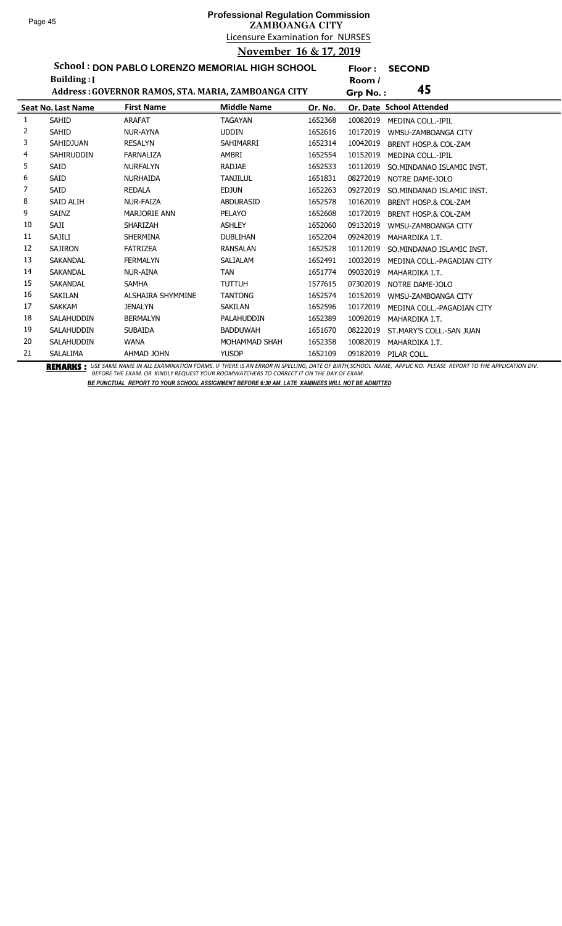## Licensure Examination for NURSES **Professional Regulation Commission ZAMBOANGA CITY November 16 & 17, 2019**

**Floor : SECOND**

**School : DON PABLO LORENZO MEMORIAL HIGH SCHOOL Building :I**

|    | Building: [               |                                                     |                    |         | Room /   |                            |
|----|---------------------------|-----------------------------------------------------|--------------------|---------|----------|----------------------------|
|    |                           | Address: GOVERNOR RAMOS, STA. MARIA, ZAMBOANGA CITY |                    |         | Grp No.: | 45                         |
|    | <b>Seat No. Last Name</b> | <b>First Name</b>                                   | <b>Middle Name</b> | Or. No. |          | Or. Date School Attended   |
| 1  | <b>SAHID</b>              | <b>ARAFAT</b>                                       | <b>TAGAYAN</b>     | 1652368 | 10082019 | <b>MEDINA COLL.-IPIL</b>   |
| 2  | <b>SAHID</b>              | NUR-AYNA                                            | <b>UDDIN</b>       | 1652616 | 10172019 | WMSU-ZAMBOANGA CITY        |
| 3  | SAHIDJUAN                 | <b>RESALYN</b>                                      | <b>SAHIMARRI</b>   | 1652314 | 10042019 | BRENT HOSP.& COL-ZAM       |
| 4  | <b>SAHIRUDDIN</b>         | <b>FARNALIZA</b>                                    | AMBRI              | 1652554 | 10152019 | <b>MEDINA COLL.-IPIL</b>   |
| 5  | <b>SAID</b>               | <b>NURFALYN</b>                                     | <b>RADJAE</b>      | 1652533 | 10112019 | SO.MINDANAO ISLAMIC INST.  |
| 6  | <b>SAID</b>               | <b>NURHAIDA</b>                                     | <b>TANJILUL</b>    | 1651831 | 08272019 | NOTRE DAME-JOLO            |
| 7  | SAID                      | <b>REDALA</b>                                       | <b>EDJUN</b>       | 1652263 | 09272019 | SO.MINDANAO ISLAMIC INST.  |
| 8  | <b>SAID ALIH</b>          | <b>NUR-FAIZA</b>                                    | <b>ABDURASID</b>   | 1652578 | 10162019 | BRENT HOSP.& COL-ZAM       |
| 9  | SAINZ                     | <b>MARJORIE ANN</b>                                 | <b>PELAYO</b>      | 1652608 | 10172019 | BRENT HOSP.& COL-ZAM       |
| 10 | SAJI                      | <b>SHARIZAH</b>                                     | <b>ASHLEY</b>      | 1652060 | 09132019 | WMSU-ZAMBOANGA CITY        |
| 11 | <b>SAJILI</b>             | <b>SHERMINA</b>                                     | <b>DUBLIHAN</b>    | 1652204 | 09242019 | MAHARDIKA I.T.             |
| 12 | <b>SAJIRON</b>            | <b>FATRIZEA</b>                                     | <b>RANSALAN</b>    | 1652528 | 10112019 | SO.MINDANAO ISLAMIC INST.  |
| 13 | SAKANDAL                  | <b>FERMALYN</b>                                     | SALIALAM           | 1652491 | 10032019 | MEDINA COLL.-PAGADIAN CITY |
| 14 | SAKANDAL                  | <b>NUR-AINA</b>                                     | <b>TAN</b>         | 1651774 | 09032019 | MAHARDIKA I.T.             |
| 15 | <b>SAKANDAL</b>           | <b>SAMHA</b>                                        | <b>TUTTUH</b>      | 1577615 | 07302019 | NOTRE DAME-JOLO            |
| 16 | SAKILAN                   | <b>ALSHAIRA SHYMMINE</b>                            | <b>TANTONG</b>     | 1652574 | 10152019 | WMSU-ZAMBOANGA CITY        |
| 17 | <b>SAKKAM</b>             | <b>JENALYN</b>                                      | <b>SAKILAN</b>     | 1652596 | 10172019 | MEDINA COLL.-PAGADIAN CITY |
| 18 | <b>SALAHUDDIN</b>         | <b>BERMALYN</b>                                     | <b>PALAHUDDIN</b>  | 1652389 | 10092019 | MAHARDIKA I.T.             |
| 19 | SALAHUDDIN                | <b>SUBAIDA</b>                                      | <b>BADDUWAH</b>    | 1651670 | 08222019 | ST.MARY'S COLL.-SAN JUAN   |
| 20 | SALAHUDDIN                | <b>WANA</b>                                         | MOHAMMAD SHAH      | 1652358 | 10082019 | MAHARDIKA I.T.             |
| 21 | SALALIMA                  | AHMAD JOHN                                          | <b>YUSOP</b>       | 1652109 | 09182019 | PILAR COLL.                |

BEMARKS : USE SAME NAME IN ALL EXAMINATION FORMS. IF THERE IS AN ERROR IN SPELLING, DATE OF BIRTH,SCHOOL NAME, APPLIC NO. PLEASE REPORT TO THE APPLICATION DIV.<br>BEFORE THE EXAM. OR KINDLY REQUEST YOUR ROOMWATCHERS TO CORREC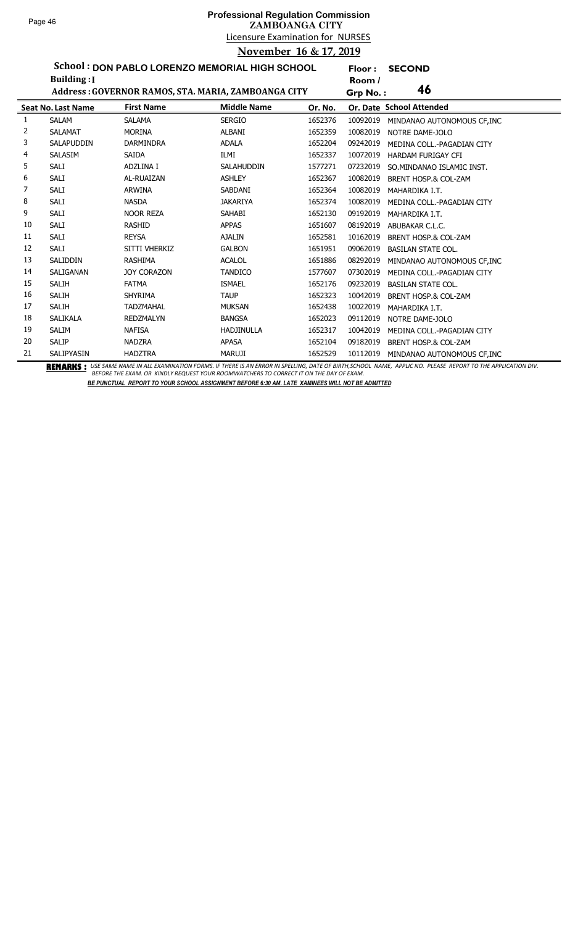# Licensure Examination for NURSES **Professional Regulation Commission ZAMBOANGA CITY November 16 & 17, 2019**

**Floor : SECOND**

**School : DON PABLO LORENZO MEMORIAL HIGH SCHOOL**

|    | <b>Building:</b> I        |                    |                                                     |         | Room /   |                                 |
|----|---------------------------|--------------------|-----------------------------------------------------|---------|----------|---------------------------------|
|    |                           |                    | Address: GOVERNOR RAMOS, STA. MARIA, ZAMBOANGA CITY |         | Grp No.: | 46                              |
|    | <b>Seat No. Last Name</b> | <b>First Name</b>  | <b>Middle Name</b>                                  | Or. No. |          | Or. Date School Attended        |
| 1  | <b>SALAM</b>              | <b>SALAMA</b>      | <b>SERGIO</b>                                       | 1652376 | 10092019 | MINDANAO AUTONOMOUS CF, INC     |
| 2  | <b>SALAMAT</b>            | <b>MORINA</b>      | <b>ALBANI</b>                                       | 1652359 | 10082019 | NOTRE DAME-JOLO                 |
| 3  | <b>SALAPUDDIN</b>         | <b>DARMINDRA</b>   | <b>ADALA</b>                                        | 1652204 | 09242019 | MEDINA COLL.-PAGADIAN CITY      |
| 4  | SALASIM                   | <b>SAIDA</b>       | ILMI                                                | 1652337 | 10072019 | <b>HARDAM FURIGAY CFI</b>       |
| 5  | SALI                      | ADZLINA I          | SALAHUDDIN                                          | 1577271 | 07232019 | SO.MINDANAO ISLAMIC INST.       |
| 6  | SALI                      | AL-RUAIZAN         | <b>ASHLEY</b>                                       | 1652367 | 10082019 | BRENT HOSP.& COL-ZAM            |
| 7  | <b>SALI</b>               | <b>ARWINA</b>      | SABDANI                                             | 1652364 | 10082019 | MAHARDIKA I.T.                  |
| 8  | SALI                      | <b>NASDA</b>       | <b>JAKARIYA</b>                                     | 1652374 | 10082019 | MEDINA COLL.-PAGADIAN CITY      |
| 9  | <b>SALI</b>               | <b>NOOR REZA</b>   | SAHABI                                              | 1652130 | 09192019 | MAHARDIKA I.T.                  |
| 10 | <b>SALI</b>               | <b>RASHID</b>      | <b>APPAS</b>                                        | 1651607 | 08192019 | ABUBAKAR C.L.C.                 |
| 11 | <b>SALI</b>               | <b>REYSA</b>       | <b>AJALIN</b>                                       | 1652581 | 10162019 | BRENT HOSP.& COL-ZAM            |
| 12 | <b>SALI</b>               | SITTI VHERKIZ      | <b>GALBON</b>                                       | 1651951 | 09062019 | <b>BASILAN STATE COL.</b>       |
| 13 | SALIDDIN                  | <b>RASHIMA</b>     | <b>ACALOL</b>                                       | 1651886 | 08292019 | MINDANAO AUTONOMOUS CF, INC     |
| 14 | SALIGANAN                 | <b>JOY CORAZON</b> | <b>TANDICO</b>                                      | 1577607 | 07302019 | MEDINA COLL.-PAGADIAN CITY      |
| 15 | <b>SALIH</b>              | <b>FATMA</b>       | <b>ISMAEL</b>                                       | 1652176 | 09232019 | <b>BASILAN STATE COL.</b>       |
| 16 | <b>SALIH</b>              | SHYRIMA            | <b>TAUP</b>                                         | 1652323 | 10042019 | <b>BRENT HOSP.&amp; COL-ZAM</b> |
| 17 | <b>SALIH</b>              | <b>TADZMAHAL</b>   | <b>MUKSAN</b>                                       | 1652438 | 10022019 | MAHARDIKA I.T.                  |
| 18 | <b>SALIKALA</b>           | <b>REDZMALYN</b>   | <b>BANGSA</b>                                       | 1652023 | 09112019 | NOTRE DAME-JOLO                 |
| 19 | <b>SALIM</b>              | <b>NAFISA</b>      | <b>HADJINULLA</b>                                   | 1652317 | 10042019 | MEDINA COLL.-PAGADIAN CITY      |
| 20 | <b>SALIP</b>              | <b>NADZRA</b>      | <b>APASA</b>                                        | 1652104 | 09182019 | BRENT HOSP.& COL-ZAM            |
| 21 | SALIPYASIN                | <b>HADZTRA</b>     | <b>MARUJI</b>                                       | 1652529 | 10112019 | MINDANAO AUTONOMOUS CF.INC      |

BEMARKS : USE SAME NAME IN ALL EXAMINATION FORMS. IF THERE IS AN ERROR IN SPELLING, DATE OF BIRTH,SCHOOL NAME, APPLIC NO. PLEASE REPORT TO THE APPLICATION DIV.<br>BEFORE THE EXAM. OR KINDLY REQUEST YOUR ROOMWATCHERS TO CORREC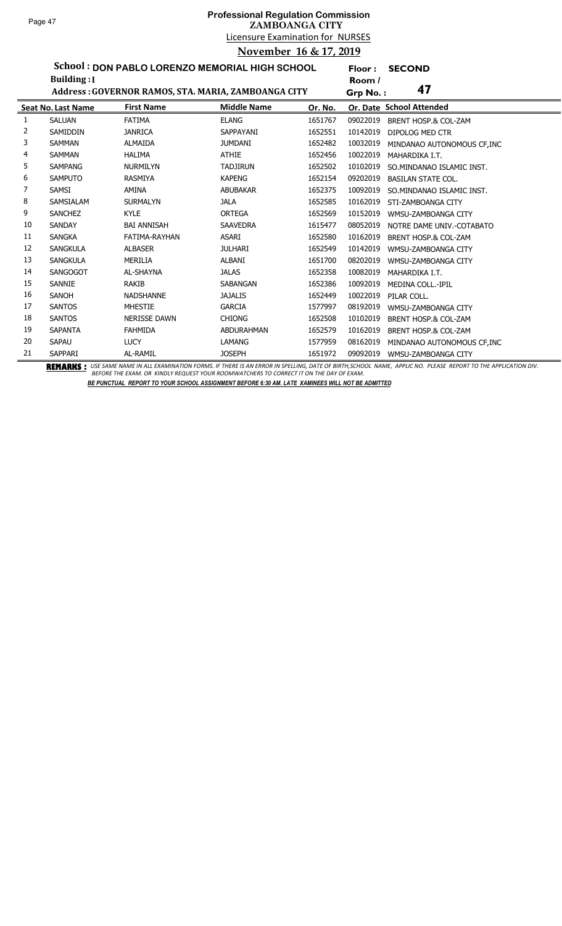**Floor : SECOND**

**School : DON PABLO LORENZO MEMORIAL HIGH SCHOOL**

|    | <b>Building:</b> I        |                                                     |                    |         | Room /   |                                 |
|----|---------------------------|-----------------------------------------------------|--------------------|---------|----------|---------------------------------|
|    |                           | Address: GOVERNOR RAMOS, STA. MARIA, ZAMBOANGA CITY |                    |         | Grp No.: | 47                              |
|    | <b>Seat No. Last Name</b> | <b>First Name</b>                                   | <b>Middle Name</b> | Or. No. |          | Or. Date School Attended        |
| 1  | <b>SALUAN</b>             | <b>FATIMA</b>                                       | <b>ELANG</b>       | 1651767 | 09022019 | BRENT HOSP.& COL-ZAM            |
| 2  | <b>SAMIDDIN</b>           | <b>JANRICA</b>                                      | SAPPAYANI          | 1652551 | 10142019 | DIPOLOG MED CTR                 |
| 3  | <b>SAMMAN</b>             | <b>ALMAIDA</b>                                      | <b>JUMDANI</b>     | 1652482 | 10032019 | MINDANAO AUTONOMOUS CF.INC      |
| 4  | <b>SAMMAN</b>             | <b>HALIMA</b>                                       | <b>ATHIE</b>       | 1652456 | 10022019 | MAHARDIKA I.T.                  |
| 5  | <b>SAMPANG</b>            | <b>NURMILYN</b>                                     | <b>TADJIRUN</b>    | 1652502 | 10102019 | SO.MINDANAO ISLAMIC INST.       |
| 6  | <b>SAMPUTO</b>            | <b>RASMIYA</b>                                      | <b>KAPENG</b>      | 1652154 | 09202019 | <b>BASILAN STATE COL.</b>       |
| 7  | SAMSI                     | AMINA                                               | <b>ABUBAKAR</b>    | 1652375 | 10092019 | SO.MINDANAO ISLAMIC INST.       |
| 8  | <b>SAMSIALAM</b>          | <b>SURMALYN</b>                                     | <b>JALA</b>        | 1652585 | 10162019 | STI-ZAMBOANGA CITY              |
| 9  | <b>SANCHEZ</b>            | <b>KYLE</b>                                         | <b>ORTEGA</b>      | 1652569 | 10152019 | WMSU-ZAMBOANGA CITY             |
| 10 | <b>SANDAY</b>             | <b>BAI ANNISAH</b>                                  | <b>SAAVEDRA</b>    | 1615477 | 08052019 | NOTRE DAME UNIV.-COTABATO       |
| 11 | <b>SANGKA</b>             | FATIMA-RAYHAN                                       | ASARI              | 1652580 | 10162019 | <b>BRENT HOSP.&amp; COL-ZAM</b> |
| 12 | <b>SANGKULA</b>           | <b>ALBASER</b>                                      | <b>JULHARI</b>     | 1652549 | 10142019 | WMSU-ZAMBOANGA CITY             |
| 13 | <b>SANGKULA</b>           | MERILIA                                             | ALBANI             | 1651700 | 08202019 | WMSU-ZAMBOANGA CITY             |
| 14 | <b>SANGOGOT</b>           | <b>AL-SHAYNA</b>                                    | <b>JALAS</b>       | 1652358 | 10082019 | MAHARDIKA I.T.                  |
| 15 | SANNIE                    | RAKIB                                               | <b>SABANGAN</b>    | 1652386 | 10092019 | <b>MEDINA COLL.-IPIL</b>        |
| 16 | SANOH                     | <b>NADSHANNE</b>                                    | <b>JAJALIS</b>     | 1652449 | 10022019 | PILAR COLL.                     |
| 17 | <b>SANTOS</b>             | <b>MHESTIE</b>                                      | <b>GARCIA</b>      | 1577997 | 08192019 | WMSU-ZAMBOANGA CITY             |
| 18 | <b>SANTOS</b>             | <b>NERISSE DAWN</b>                                 | <b>CHIONG</b>      | 1652508 | 10102019 | <b>BRENT HOSP.&amp; COL-ZAM</b> |
| 19 | <b>SAPANTA</b>            | <b>FAHMIDA</b>                                      | <b>ABDURAHMAN</b>  | 1652579 | 10162019 | <b>BRENT HOSP.&amp; COL-ZAM</b> |
| 20 | SAPAU                     | <b>LUCY</b>                                         | <b>LAMANG</b>      | 1577959 | 08162019 | MINDANAO AUTONOMOUS CF, INC     |
| 21 | SAPPARI                   | AL-RAMIL                                            | <b>JOSEPH</b>      | 1651972 | 09092019 | WMSU-ZAMBOANGA CITY             |

BEMARKS : USE SAME NAME IN ALL EXAMINATION FORMS. IF THERE IS AN ERROR IN SPELLING, DATE OF BIRTH,SCHOOL NAME, APPLIC NO. PLEASE REPORT TO THE APPLICATION DIV.<br>BEFORE THE EXAM. OR KINDLY REQUEST YOUR ROOMWATCHERS TO CORREC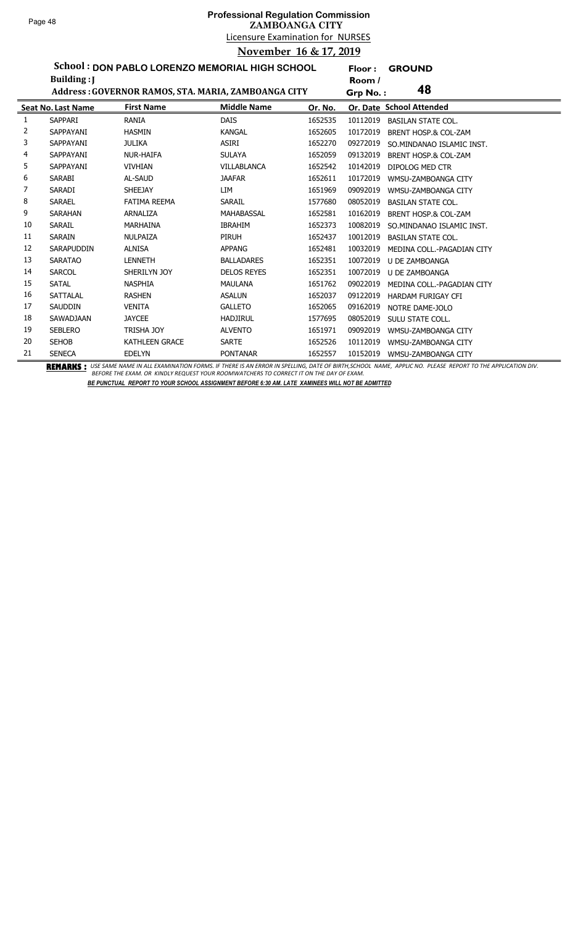**Floor : GROUND**

**School : DON PABLO LORENZO MEMORIAL HIGH SCHOOL**

|    | Building: J               |                                                     |                    |         | Room /   |                            |
|----|---------------------------|-----------------------------------------------------|--------------------|---------|----------|----------------------------|
|    |                           | Address: GOVERNOR RAMOS, STA. MARIA, ZAMBOANGA CITY |                    |         | Grp No.: | 48                         |
|    | <b>Seat No. Last Name</b> | <b>First Name</b>                                   | <b>Middle Name</b> | Or. No. |          | Or. Date School Attended   |
| 1  | SAPPARI                   | RANIA                                               | <b>DAIS</b>        | 1652535 | 10112019 | <b>BASILAN STATE COL.</b>  |
| 2  | SAPPAYANI                 | <b>HASMIN</b>                                       | <b>KANGAL</b>      | 1652605 | 10172019 | BRENT HOSP.& COL-ZAM       |
| 3  | SAPPAYANI                 | <b>JULIKA</b>                                       | ASIRI              | 1652270 | 09272019 | SO.MINDANAO ISLAMIC INST.  |
| 4  | SAPPAYANI                 | <b>NUR-HAIFA</b>                                    | <b>SULAYA</b>      | 1652059 | 09132019 | BRENT HOSP.& COL-ZAM       |
| 5  | SAPPAYANI                 | <b>VIVHIAN</b>                                      | <b>VILLABLANCA</b> | 1652542 | 10142019 | DIPOLOG MED CTR            |
| 6  | <b>SARABI</b>             | AL-SAUD                                             | <b>JAAFAR</b>      | 1652611 | 10172019 | WMSU-ZAMBOANGA CITY        |
| 7  | <b>SARADI</b>             | <b>SHEEJAY</b>                                      | LIM                | 1651969 | 09092019 | WMSU-ZAMBOANGA CITY        |
| 8  | <b>SARAEL</b>             | <b>FATIMA REEMA</b>                                 | <b>SARAIL</b>      | 1577680 | 08052019 | <b>BASILAN STATE COL.</b>  |
| 9  | <b>SARAHAN</b>            | ARNALIZA                                            | MAHABASSAL         | 1652581 | 10162019 | BRENT HOSP.& COL-ZAM       |
| 10 | <b>SARAIL</b>             | MARHAINA                                            | <b>IBRAHIM</b>     | 1652373 | 10082019 | SO.MINDANAO ISLAMIC INST.  |
| 11 | <b>SARAIN</b>             | NULPAIZA                                            | PIRUH              | 1652437 | 10012019 | <b>BASILAN STATE COL.</b>  |
| 12 | SARAPUDDIN                | <b>ALNISA</b>                                       | <b>APPANG</b>      | 1652481 | 10032019 | MEDINA COLL.-PAGADIAN CITY |
| 13 | <b>SARATAO</b>            | <b>LENNETH</b>                                      | <b>BALLADARES</b>  | 1652351 | 10072019 | <b>U DE ZAMBOANGA</b>      |
| 14 | <b>SARCOL</b>             | SHERILYN JOY                                        | <b>DELOS REYES</b> | 1652351 | 10072019 | U DE ZAMBOANGA             |
| 15 | <b>SATAL</b>              | <b>NASPHIA</b>                                      | <b>MAULANA</b>     | 1651762 | 09022019 | MEDINA COLL.-PAGADIAN CITY |
| 16 | SATTALAL                  | <b>RASHEN</b>                                       | <b>ASALUN</b>      | 1652037 | 09122019 | HARDAM FURIGAY CFI         |
| 17 | <b>SAUDDIN</b>            | <b>VENITA</b>                                       | <b>GALLETO</b>     | 1652065 | 09162019 | NOTRE DAME-JOLO            |
| 18 | SAWADJAAN                 | <b>JAYCEE</b>                                       | <b>HADJIRUL</b>    | 1577695 | 08052019 | SULU STATE COLL.           |
| 19 | <b>SEBLERO</b>            | <b>TRISHA JOY</b>                                   | <b>ALVENTO</b>     | 1651971 | 09092019 | WMSU-ZAMBOANGA CITY        |
| 20 | <b>SEHOB</b>              | <b>KATHLEEN GRACE</b>                               | <b>SARTE</b>       | 1652526 | 10112019 | WMSU-ZAMBOANGA CITY        |
| 21 | <b>SENECA</b>             | <b>EDELYN</b>                                       | <b>PONTANAR</b>    | 1652557 | 10152019 | WMSU-ZAMBOANGA CITY        |

BEMARKS : USE SAME NAME IN ALL EXAMINATION FORMS. IF THERE IS AN ERROR IN SPELLING, DATE OF BIRTH,SCHOOL NAME, APPLIC NO. PLEASE REPORT TO THE APPLICATION DIV.<br>BEFORE THE EXAM. OR KINDLY REQUEST YOUR ROOMWATCHERS TO CORREC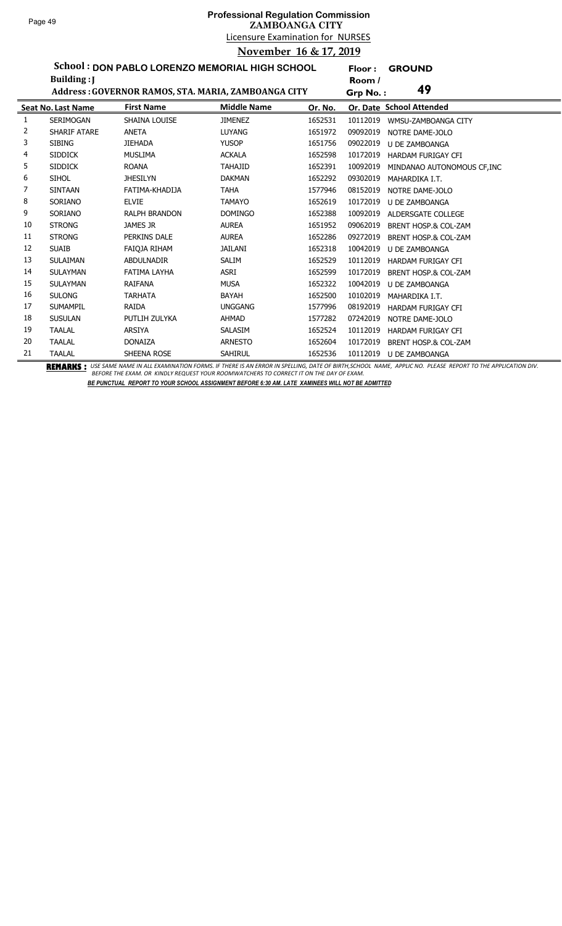**Floor : GROUND**

**School : DON PABLO LORENZO MEMORIAL HIGH SCHOOL Building :J**

|    | Building:                 |                                                     |                    |         | Room /                                      |  |
|----|---------------------------|-----------------------------------------------------|--------------------|---------|---------------------------------------------|--|
|    |                           | Address: GOVERNOR RAMOS, STA. MARIA, ZAMBOANGA CITY |                    |         | 49<br>Grp No.:                              |  |
|    | <b>Seat No. Last Name</b> | <b>First Name</b>                                   | <b>Middle Name</b> | Or. No. | Or. Date School Attended                    |  |
| 1  | <b>SERIMOGAN</b>          | SHAINA LOUISE                                       | <b>JIMENEZ</b>     | 1652531 | 10112019<br>WMSU-ZAMBOANGA CITY             |  |
| 2  | <b>SHARIF ATARE</b>       | <b>ANETA</b>                                        | <b>LUYANG</b>      | 1651972 | 09092019<br>NOTRE DAME-JOLO                 |  |
| 3  | <b>SIBING</b>             | <b>JIEHADA</b>                                      | <b>YUSOP</b>       | 1651756 | 09022019<br><b>U DE ZAMBOANGA</b>           |  |
| 4  | <b>SIDDICK</b>            | <b>MUSLIMA</b>                                      | <b>ACKALA</b>      | 1652598 | 10172019<br><b>HARDAM FURIGAY CFI</b>       |  |
| 5  | <b>SIDDICK</b>            | <b>ROANA</b>                                        | <b>TAHAJID</b>     | 1652391 | 10092019<br>MINDANAO AUTONOMOUS CF, INC     |  |
| 6  | <b>SIHOL</b>              | <b>JHESILYN</b>                                     | <b>DAKMAN</b>      | 1652292 | 09302019<br>MAHARDIKA I.T.                  |  |
| 7  | <b>SINTAAN</b>            | FATIMA-KHADIJA                                      | <b>TAHA</b>        | 1577946 | 08152019<br>NOTRE DAME-JOLO                 |  |
| 8  | SORIANO                   | <b>ELVIE</b>                                        | <b>TAMAYO</b>      | 1652619 | 10172019<br><b>U DE ZAMBOANGA</b>           |  |
| 9  | SORIANO                   | <b>RALPH BRANDON</b>                                | <b>DOMINGO</b>     | 1652388 | 10092019<br>ALDERSGATE COLLEGE              |  |
| 10 | <b>STRONG</b>             | JAMES JR                                            | <b>AUREA</b>       | 1651952 | 09062019<br>BRENT HOSP.& COL-ZAM            |  |
| 11 | <b>STRONG</b>             | PERKINS DALE                                        | <b>AUREA</b>       | 1652286 | 09272019<br>BRENT HOSP.& COL-ZAM            |  |
| 12 | <b>SUAIB</b>              | FAIQJA RIHAM                                        | JAILANI            | 1652318 | 10042019<br>U DE ZAMBOANGA                  |  |
| 13 | <b>SULAIMAN</b>           | <b>ABDULNADIR</b>                                   | <b>SALIM</b>       | 1652529 | 10112019<br><b>HARDAM FURIGAY CFI</b>       |  |
| 14 | <b>SULAYMAN</b>           | <b>FATIMA LAYHA</b>                                 | ASRI               | 1652599 | 10172019<br><b>BRENT HOSP.&amp; COL-ZAM</b> |  |
| 15 | <b>SULAYMAN</b>           | <b>RAIFANA</b>                                      | <b>MUSA</b>        | 1652322 | 10042019<br>U DE ZAMBOANGA                  |  |
| 16 | <b>SULONG</b>             | <b>TARHATA</b>                                      | <b>BAYAH</b>       | 1652500 | 10102019<br>MAHARDIKA I.T.                  |  |
| 17 | <b>SUMAMPIL</b>           | <b>RAIDA</b>                                        | <b>UNGGANG</b>     | 1577996 | 08192019<br><b>HARDAM FURIGAY CFI</b>       |  |
| 18 | <b>SUSULAN</b>            | PUTLIH ZULYKA                                       | <b>AHMAD</b>       | 1577282 | 07242019<br>NOTRE DAME-JOLO                 |  |
| 19 | <b>TAALAL</b>             | <b>ARSIYA</b>                                       | SALASIM            | 1652524 | 10112019<br>HARDAM FURIGAY CFI              |  |
| 20 | <b>TAALAL</b>             | <b>DONAIZA</b>                                      | <b>ARNESTO</b>     | 1652604 | 10172019<br><b>BRENT HOSP.&amp; COL-ZAM</b> |  |
| 21 | <b>TAALAL</b>             | SHEENA ROSE                                         | <b>SAHIRUL</b>     | 1652536 | 10112019<br><b>U DE ZAMBOANGA</b>           |  |

BEMARKS : USE SAME NAME IN ALL EXAMINATION FORMS. IF THERE IS AN ERROR IN SPELLING, DATE OF BIRTH,SCHOOL NAME, APPLIC NO. PLEASE REPORT TO THE APPLICATION DIV.<br>BEFORE THE EXAM. OR KINDLY REQUEST YOUR ROOMWATCHERS TO CORREC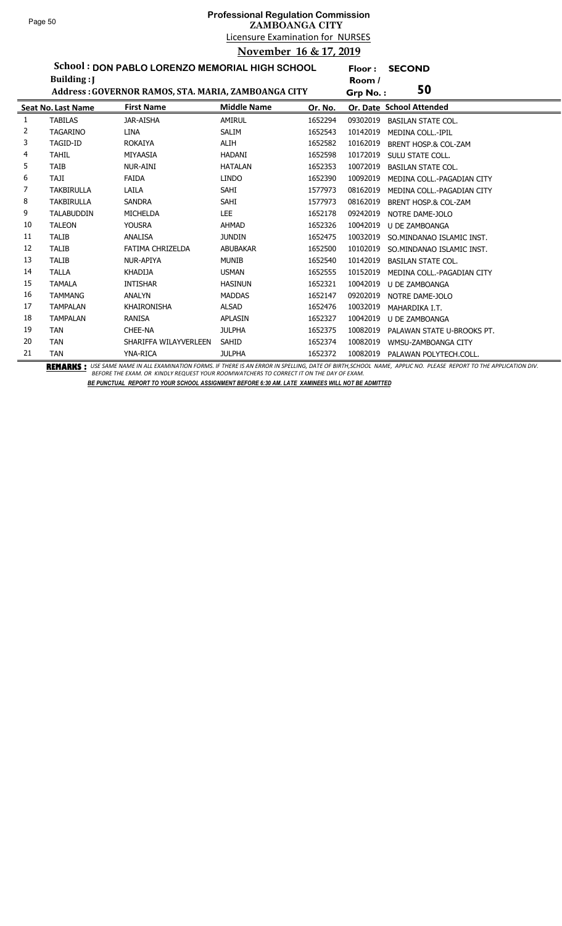**Floor : SECOND**

**School : DON PABLO LORENZO MEMORIAL HIGH SCHOOL**

|    | Building: J               |                                                     |                    |         | Room /   |                            |
|----|---------------------------|-----------------------------------------------------|--------------------|---------|----------|----------------------------|
|    |                           | Address: GOVERNOR RAMOS, STA. MARIA, ZAMBOANGA CITY |                    |         | Grp No.: | 50                         |
|    | <b>Seat No. Last Name</b> | <b>First Name</b>                                   | <b>Middle Name</b> | Or. No. |          | Or. Date School Attended   |
| 1  | <b>TABILAS</b>            | <b>JAR-AISHA</b>                                    | AMIRUL             | 1652294 | 09302019 | <b>BASILAN STATE COL.</b>  |
| 2  | <b>TAGARINO</b>           | <b>LINA</b>                                         | <b>SALIM</b>       | 1652543 | 10142019 | <b>MEDINA COLL.-IPIL</b>   |
| 3  | TAGID-ID                  | <b>ROKAIYA</b>                                      | ALIH               | 1652582 | 10162019 | BRENT HOSP.& COL-ZAM       |
| 4  | <b>TAHIL</b>              | MIYAASIA                                            | <b>HADANI</b>      | 1652598 | 10172019 | SULU STATE COLL.           |
| 5  | <b>TAIB</b>               | <b>NUR-AINI</b>                                     | <b>HATALAN</b>     | 1652353 | 10072019 | <b>BASILAN STATE COL.</b>  |
| 6  | <b>TAJI</b>               | <b>FAIDA</b>                                        | <b>LINDO</b>       | 1652390 | 10092019 | MEDINA COLL.-PAGADIAN CITY |
| 7  | <b>TAKBIRULLA</b>         | LAILA                                               | SAHI               | 1577973 | 08162019 | MEDINA COLL.-PAGADIAN CITY |
| 8  | <b>TAKBIRULLA</b>         | <b>SANDRA</b>                                       | <b>SAHI</b>        | 1577973 | 08162019 | BRENT HOSP.& COL-ZAM       |
| 9  | <b>TALABUDDIN</b>         | <b>MICHELDA</b>                                     | <b>LEE</b>         | 1652178 | 09242019 | NOTRE DAME-JOLO            |
| 10 | <b>TALEON</b>             | <b>YOUSRA</b>                                       | <b>AHMAD</b>       | 1652326 | 10042019 | <b>U DE ZAMBOANGA</b>      |
| 11 | <b>TALIB</b>              | ANALISA                                             | <b>JUNDIN</b>      | 1652475 | 10032019 | SO.MINDANAO ISLAMIC INST.  |
| 12 | <b>TALIB</b>              | <b>FATIMA CHRIZELDA</b>                             | <b>ABUBAKAR</b>    | 1652500 | 10102019 | SO.MINDANAO ISLAMIC INST.  |
| 13 | <b>TALIB</b>              | NUR-APIYA                                           | <b>MUNIB</b>       | 1652540 | 10142019 | <b>BASILAN STATE COL.</b>  |
| 14 | <b>TALLA</b>              | <b>KHADIJA</b>                                      | <b>USMAN</b>       | 1652555 | 10152019 | MEDINA COLL.-PAGADIAN CITY |
| 15 | <b>TAMALA</b>             | <b>INTISHAR</b>                                     | <b>HASINUN</b>     | 1652321 | 10042019 | <b>U DE ZAMBOANGA</b>      |
| 16 | <b>TAMMANG</b>            | <b>ANALYN</b>                                       | <b>MADDAS</b>      | 1652147 | 09202019 | NOTRE DAME-JOLO            |
| 17 | <b>TAMPALAN</b>           | <b>KHAIRONISHA</b>                                  | <b>ALSAD</b>       | 1652476 | 10032019 | MAHARDIKA I.T.             |
| 18 | <b>TAMPALAN</b>           | RANISA                                              | APLASIN            | 1652327 | 10042019 | U DE ZAMBOANGA             |
| 19 | <b>TAN</b>                | CHEE-NA                                             | <b>JULPHA</b>      | 1652375 | 10082019 | PALAWAN STATE U-BROOKS PT. |
| 20 | <b>TAN</b>                | SHARIFFA WILAYVERLEEN                               | <b>SAHID</b>       | 1652374 | 10082019 | WMSU-ZAMBOANGA CITY        |
| 21 | <b>TAN</b>                | YNA-RICA                                            | <b>JULPHA</b>      | 1652372 | 10082019 | PALAWAN POLYTECH.COLL.     |

BEMARKS : USE SAME NAME IN ALL EXAMINATION FORMS. IF THERE IS AN ERROR IN SPELLING, DATE OF BIRTH,SCHOOL NAME, APPLIC NO. PLEASE REPORT TO THE APPLICATION DIV.<br>BEFORE THE EXAM. OR KINDLY REQUEST YOUR ROOMWATCHERS TO CORREC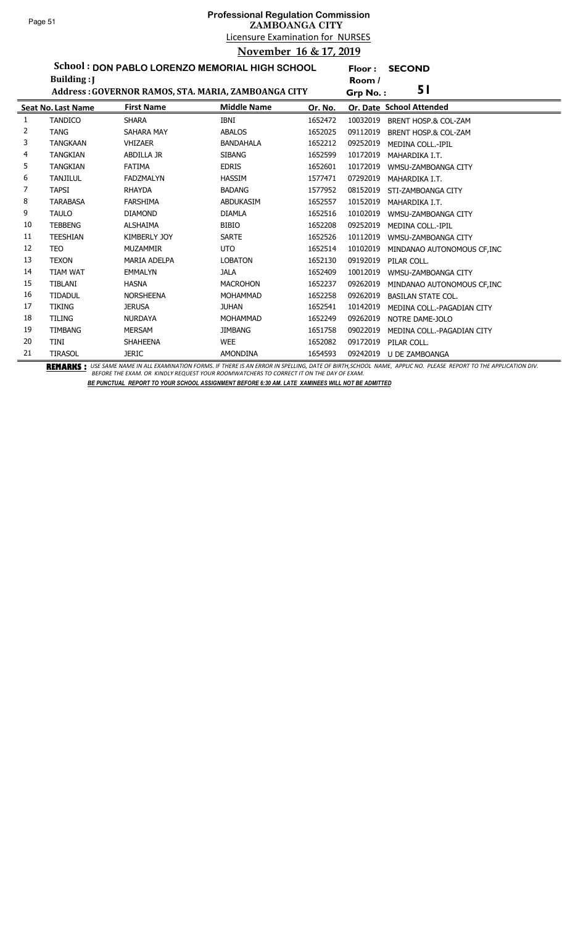l,

# Licensure Examination for NURSES **Professional Regulation Commission ZAMBOANGA CITY November 16 & 17, 2019**

**Floor : SECOND**

**School : DON PABLO LORENZO MEMORIAL HIGH SCHOOL**

|    | Building: J               |                                                     |                    |         | Room /   |                             |
|----|---------------------------|-----------------------------------------------------|--------------------|---------|----------|-----------------------------|
|    |                           | Address: GOVERNOR RAMOS, STA. MARIA, ZAMBOANGA CITY |                    |         | Grp No.: | 51                          |
|    | <b>Seat No. Last Name</b> | <b>First Name</b>                                   | <b>Middle Name</b> | Or. No. |          | Or. Date School Attended    |
| 1  | <b>TANDICO</b>            | <b>SHARA</b>                                        | <b>IBNI</b>        | 1652472 | 10032019 | BRENT HOSP.& COL-ZAM        |
| 2  | <b>TANG</b>               | SAHARA MAY                                          | <b>ABALOS</b>      | 1652025 | 09112019 | BRENT HOSP.& COL-ZAM        |
| 3  | <b>TANGKAAN</b>           | <b>VHIZAER</b>                                      | <b>BANDAHALA</b>   | 1652212 | 09252019 | MEDINA COLL.-IPIL           |
| 4  | <b>TANGKIAN</b>           | <b>ABDILLA JR</b>                                   | <b>SIBANG</b>      | 1652599 | 10172019 | MAHARDIKA I.T.              |
| 5  | <b>TANGKIAN</b>           | <b>FATIMA</b>                                       | <b>EDRIS</b>       | 1652601 | 10172019 | WMSU-ZAMBOANGA CITY         |
| 6  | <b>TANJILUL</b>           | <b>FADZMALYN</b>                                    | <b>HASSIM</b>      | 1577471 | 07292019 | MAHARDIKA I.T.              |
| 7  | <b>TAPSI</b>              | <b>RHAYDA</b>                                       | <b>BADANG</b>      | 1577952 | 08152019 | STI-ZAMBOANGA CITY          |
| 8  | <b>TARABASA</b>           | <b>FARSHIMA</b>                                     | <b>ABDUKASIM</b>   | 1652557 | 10152019 | MAHARDIKA I.T.              |
| 9  | <b>TAULO</b>              | <b>DIAMOND</b>                                      | <b>DIAMLA</b>      | 1652516 | 10102019 | WMSU-ZAMBOANGA CITY         |
| 10 | <b>TEBBENG</b>            | <b>ALSHAIMA</b>                                     | <b>BIBIO</b>       | 1652208 | 09252019 | <b>MEDINA COLL.-IPIL</b>    |
| 11 | <b>TEESHIAN</b>           | <b>KIMBERLY JOY</b>                                 | <b>SARTE</b>       | 1652526 | 10112019 | WMSU-ZAMBOANGA CITY         |
| 12 | <b>TEO</b>                | <b>MUZAMMIR</b>                                     | <b>UTO</b>         | 1652514 | 10102019 | MINDANAO AUTONOMOUS CF, INC |
| 13 | <b>TEXON</b>              | <b>MARIA ADELPA</b>                                 | <b>LOBATON</b>     | 1652130 | 09192019 | PILAR COLL.                 |
| 14 | <b>TIAM WAT</b>           | <b>EMMALYN</b>                                      | <b>JALA</b>        | 1652409 | 10012019 | WMSU-ZAMBOANGA CITY         |
| 15 | <b>TIBLANI</b>            | <b>HASNA</b>                                        | <b>MACROHON</b>    | 1652237 | 09262019 | MINDANAO AUTONOMOUS CF, INC |
| 16 | <b>TIDADUL</b>            | <b>NORSHEENA</b>                                    | <b>MOHAMMAD</b>    | 1652258 | 09262019 | <b>BASILAN STATE COL.</b>   |
| 17 | <b>TIKING</b>             | <b>JERUSA</b>                                       | <b>JUHAN</b>       | 1652541 | 10142019 | MEDINA COLL.-PAGADIAN CITY  |
| 18 | <b>TILING</b>             | <b>NURDAYA</b>                                      | MOHAMMAD           | 1652249 | 09262019 | NOTRE DAME-JOLO             |
| 19 | <b>TIMBANG</b>            | <b>MERSAM</b>                                       | <b>JIMBANG</b>     | 1651758 | 09022019 | MEDINA COLL.-PAGADIAN CITY  |
| 20 | <b>TINI</b>               | <b>SHAHEENA</b>                                     | <b>WEE</b>         | 1652082 | 09172019 | PILAR COLL.                 |
| 21 | <b>TIRASOL</b>            | <b>JERIC</b>                                        | <b>AMONDINA</b>    | 1654593 | 09242019 | <b>U DE ZAMBOANGA</b>       |

BEMARKS : USE SAME NAME IN ALL EXAMINATION FORMS. IF THERE IS AN ERROR IN SPELLING, DATE OF BIRTH,SCHOOL NAME, APPLIC NO. PLEASE REPORT TO THE APPLICATION DIV.<br>BEFORE THE EXAM. OR KINDLY REQUEST YOUR ROOMWATCHERS TO CORREC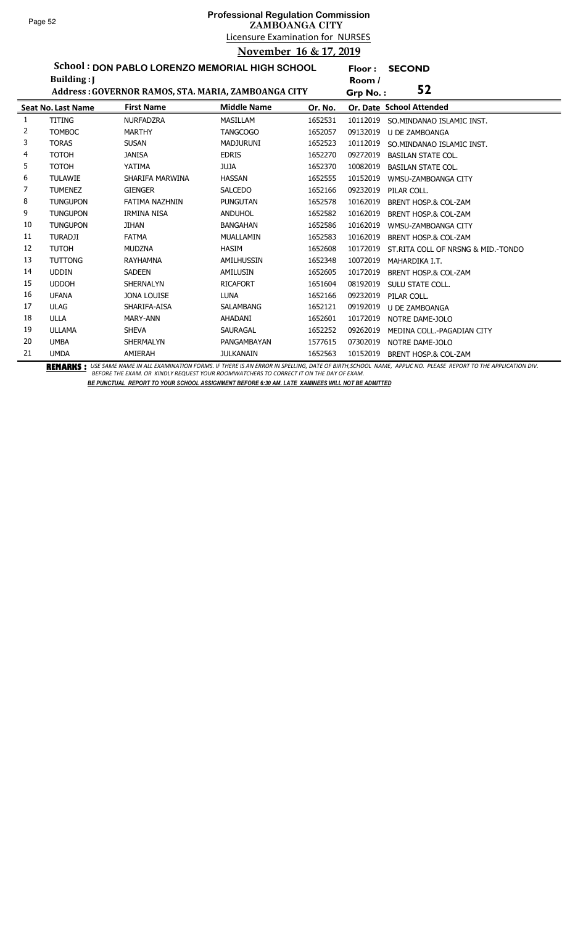**Floor : SECOND**

**School : DON PABLO LORENZO MEMORIAL HIGH SCHOOL Building :J**

|    | Building:                 |                                                     |                    |         | Room /   |                                                                                                                                                                                              |
|----|---------------------------|-----------------------------------------------------|--------------------|---------|----------|----------------------------------------------------------------------------------------------------------------------------------------------------------------------------------------------|
|    |                           | Address: GOVERNOR RAMOS, STA. MARIA, ZAMBOANGA CITY |                    |         | Grp No.: | 52                                                                                                                                                                                           |
|    | <b>Seat No. Last Name</b> | <b>First Name</b>                                   | <b>Middle Name</b> | Or. No. |          | Or. Date School Attended                                                                                                                                                                     |
|    | <b>TITING</b>             | <b>NURFADZRA</b>                                    | <b>MASILLAM</b>    | 1652531 | 10112019 | SO.MINDANAO ISLAMIC INST.                                                                                                                                                                    |
| 2  | <b>TOMBOC</b>             | <b>MARTHY</b>                                       | <b>TANGCOGO</b>    | 1652057 | 09132019 | <b>U DE ZAMBOANGA</b>                                                                                                                                                                        |
| 3  | <b>TORAS</b>              | <b>SUSAN</b>                                        | <b>MADJURUNI</b>   | 1652523 | 10112019 | SO. MINDANAO ISLAMIC INST.                                                                                                                                                                   |
| 4  | <b>TOTOH</b>              | <b>JANISA</b>                                       | <b>EDRIS</b>       | 1652270 | 09272019 | <b>BASILAN STATE COL.</b>                                                                                                                                                                    |
| 5  | <b>TOTOH</b>              | YATIMA                                              | <b>ALUL</b>        | 1652370 | 10082019 | <b>BASILAN STATE COL.</b>                                                                                                                                                                    |
| 6  | <b>TULAWIE</b>            | SHARIFA MARWINA                                     | <b>HASSAN</b>      | 1652555 | 10152019 | WMSU-ZAMBOANGA CITY                                                                                                                                                                          |
| 7  | <b>TUMENEZ</b>            | <b>GIENGER</b>                                      | <b>SALCEDO</b>     | 1652166 | 09232019 | PILAR COLL.                                                                                                                                                                                  |
| 8  | <b>TUNGUPON</b>           | FATIMA NAZHNIN                                      | <b>PUNGUTAN</b>    | 1652578 | 10162019 | BRENT HOSP.& COL-ZAM                                                                                                                                                                         |
| 9  | <b>TUNGUPON</b>           | IRMINA NISA                                         | <b>ANDUHOL</b>     | 1652582 | 10162019 | <b>BRENT HOSP.&amp; COL-ZAM</b>                                                                                                                                                              |
| 10 | <b>TUNGUPON</b>           | <b>JIHAN</b>                                        | <b>BANGAHAN</b>    | 1652586 | 10162019 | WMSU-ZAMBOANGA CITY                                                                                                                                                                          |
| 11 | <b>TURADJI</b>            | <b>FATMA</b>                                        | MUALLAMIN          | 1652583 | 10162019 | BRENT HOSP.& COL-ZAM                                                                                                                                                                         |
| 12 | <b>TUTOH</b>              | <b>MUDZNA</b>                                       | <b>HASIM</b>       | 1652608 | 10172019 | ST.RITA COLL OF NRSNG & MID.-TONDO                                                                                                                                                           |
| 13 | <b>TUTTONG</b>            | RAYHAMNA                                            | AMILHUSSIN         | 1652348 | 10072019 | MAHARDIKA I.T.                                                                                                                                                                               |
| 14 | <b>UDDIN</b>              | <b>SADEEN</b>                                       | AMILUSIN           | 1652605 | 10172019 | <b>BRENT HOSP.&amp; COL-ZAM</b>                                                                                                                                                              |
| 15 | <b>UDDOH</b>              | SHERNALYN                                           | <b>RICAFORT</b>    | 1651604 | 08192019 | SULU STATE COLL.                                                                                                                                                                             |
| 16 | <b>UFANA</b>              | <b>JONA LOUISE</b>                                  | <b>LUNA</b>        | 1652166 | 09232019 | PILAR COLL.                                                                                                                                                                                  |
| 17 | <b>ULAG</b>               | SHARIFA-AISA                                        | <b>SALAMBANG</b>   | 1652121 | 09192019 | U DE ZAMBOANGA                                                                                                                                                                               |
| 18 | <b>ULLA</b>               | MARY-ANN                                            | AHADANI            | 1652601 | 10172019 | NOTRE DAME-JOLO                                                                                                                                                                              |
| 19 | <b>ULLAMA</b>             | <b>SHEVA</b>                                        | SAURAGAL           | 1652252 | 09262019 | MEDINA COLL.-PAGADIAN CITY                                                                                                                                                                   |
| 20 | <b>UMBA</b>               | <b>SHERMALYN</b>                                    | PANGAMBAYAN        | 1577615 | 07302019 | NOTRE DAME-JOLO                                                                                                                                                                              |
| 21 | <b>UMDA</b>               | AMIERAH                                             | <b>JULKANAIN</b>   | 1652563 | 10152019 | <b>BRENT HOSP.&amp; COL-ZAM</b><br>REMARIIA . UCCCAME NAME IN AU EVAMINATION CORME IE TUEDE IC AN ERROR IN CREUINC. RATE OF RIRTU CCUOOL NAME ARRUCANO, RIFACE RERORT TO TUE ARRUCATION RILL |

BEMARKS : USE SAME NAME IN ALL EXAMINATION FORMS. IF THERE IS AN ERROR IN SPELLING, DATE OF BIRTH,SCHOOL NAME, APPLIC NO. PLEASE REPORT TO THE APPLICATION DIV.<br>BEFORE THE EXAM. OR KINDLY REQUEST YOUR ROOMWATCHERS TO CORREC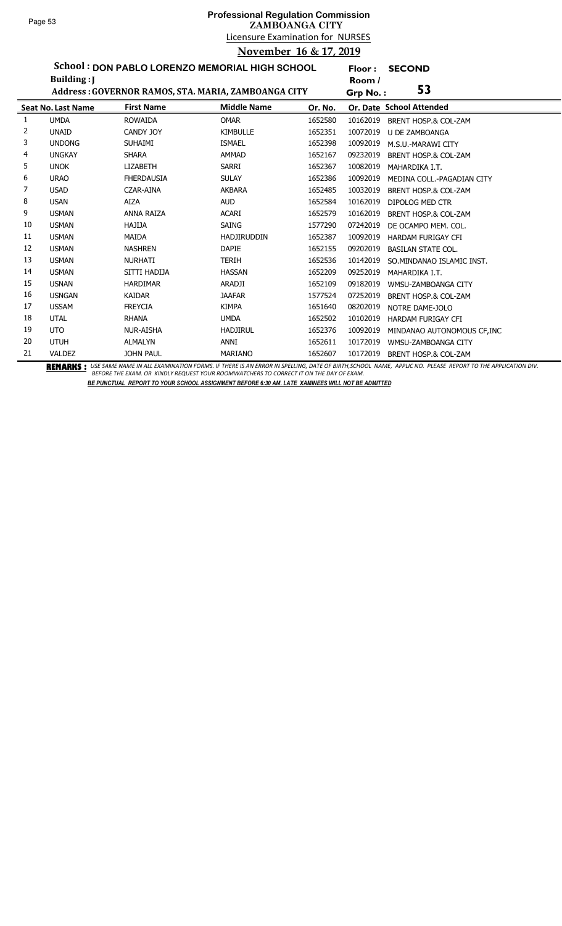l,

# Licensure Examination for NURSES **Professional Regulation Commission ZAMBOANGA CITY November 16 & 17, 2019**

**Floor : SECOND**

**School : DON PABLO LORENZO MEMORIAL HIGH SCHOOL**

|    | Building: J               |                                                                            |                    |         | Room /                                                                                                                                                   |  |
|----|---------------------------|----------------------------------------------------------------------------|--------------------|---------|----------------------------------------------------------------------------------------------------------------------------------------------------------|--|
|    |                           | Address: GOVERNOR RAMOS, STA. MARIA, ZAMBOANGA CITY                        |                    |         | 53<br>Grp No.:                                                                                                                                           |  |
|    | <b>Seat No. Last Name</b> | <b>First Name</b>                                                          | <b>Middle Name</b> | Or. No. | Or. Date School Attended                                                                                                                                 |  |
| 1  | <b>UMDA</b>               | <b>ROWAIDA</b>                                                             | <b>OMAR</b>        | 1652580 | 10162019<br>BRENT HOSP.& COL-ZAM                                                                                                                         |  |
| 2  | <b>UNAID</b>              | CANDY JOY                                                                  | <b>KIMBULLE</b>    | 1652351 | 10072019<br>U DE ZAMBOANGA                                                                                                                               |  |
| 3  | <b>UNDONG</b>             | <b>SUHAIMI</b>                                                             | <b>ISMAEL</b>      | 1652398 | 10092019<br>M.S.U.-MARAWI CITY                                                                                                                           |  |
| 4  | <b>UNGKAY</b>             | <b>SHARA</b>                                                               | <b>AMMAD</b>       | 1652167 | 09232019<br>BRENT HOSP.& COL-ZAM                                                                                                                         |  |
| 5  | <b>UNOK</b>               | <b>LIZABETH</b>                                                            | SARRI              | 1652367 | 10082019<br>MAHARDIKA I.T.                                                                                                                               |  |
| 6  | <b>URAO</b>               | <b>FHERDAUSIA</b>                                                          | <b>SULAY</b>       | 1652386 | 10092019<br>MEDINA COLL.-PAGADIAN CITY                                                                                                                   |  |
| 7  | <b>USAD</b>               | CZAR-AINA                                                                  | <b>AKBARA</b>      | 1652485 | 10032019<br><b>BRENT HOSP.&amp; COL-ZAM</b>                                                                                                              |  |
| 8  | <b>USAN</b>               | AIZA                                                                       | <b>AUD</b>         | 1652584 | 10162019<br>DIPOLOG MED CTR                                                                                                                              |  |
| 9  | <b>USMAN</b>              | <b>ANNA RAIZA</b>                                                          | <b>ACARI</b>       | 1652579 | 10162019<br>BRENT HOSP.& COL-ZAM                                                                                                                         |  |
| 10 | <b>USMAN</b>              | HAJIJA                                                                     | SAING              | 1577290 | 07242019<br>DE OCAMPO MEM. COL.                                                                                                                          |  |
| 11 | <b>USMAN</b>              | MAIDA                                                                      | <b>HADJIRUDDIN</b> | 1652387 | 10092019<br><b>HARDAM FURIGAY CFI</b>                                                                                                                    |  |
| 12 | <b>USMAN</b>              | <b>NASHREN</b>                                                             | <b>DAPIE</b>       | 1652155 | 09202019<br><b>BASILAN STATE COL.</b>                                                                                                                    |  |
| 13 | <b>USMAN</b>              | <b>NURHATI</b>                                                             | <b>TERIH</b>       | 1652536 | 10142019<br>SO.MINDANAO ISLAMIC INST.                                                                                                                    |  |
| 14 | <b>USMAN</b>              | SITTI HADIJA                                                               | <b>HASSAN</b>      | 1652209 | 09252019<br>MAHARDIKA I.T.                                                                                                                               |  |
| 15 | <b>USNAN</b>              | <b>HARDIMAR</b>                                                            | ARADJI             | 1652109 | 09182019<br>WMSU-ZAMBOANGA CITY                                                                                                                          |  |
| 16 | <b>USNGAN</b>             | <b>KAIDAR</b>                                                              | <b>JAAFAR</b>      | 1577524 | 07252019<br><b>BRENT HOSP.&amp; COL-ZAM</b>                                                                                                              |  |
| 17 | <b>USSAM</b>              | <b>FREYCIA</b>                                                             | <b>KIMPA</b>       | 1651640 | 08202019<br>NOTRE DAME-JOLO                                                                                                                              |  |
| 18 | <b>UTAL</b>               | <b>RHANA</b>                                                               | <b>UMDA</b>        | 1652502 | 10102019<br><b>HARDAM FURIGAY CFI</b>                                                                                                                    |  |
| 19 | UTO                       | <b>NUR-AISHA</b>                                                           | <b>HADJIRUL</b>    | 1652376 | 10092019<br>MINDANAO AUTONOMOUS CF.INC                                                                                                                   |  |
| 20 | <b>UTUH</b>               | <b>ALMALYN</b>                                                             | ANNI               | 1652611 | 10172019<br>WMSU-ZAMBOANGA CITY                                                                                                                          |  |
| 21 | <b>VALDEZ</b>             | <b>JOHN PAUL</b><br><b>BEMERIA</b> . UCC CANCINAME IN AU CYANUM TION CODAG | <b>MARIANO</b>     | 1652607 | 10172019<br><b>BRENT HOSP.&amp; COL-ZAM</b><br>IF TUEBE IS AN ERROR IN CREUING BATE OF BIRTH COUOQUANANT, ARRUGANG, BUEACE, BERGRETO TUE ARRUGATION BILL |  |

BEMARKS : USE SAME NAME IN ALL EXAMINATION FORMS. IF THERE IS AN ERROR IN SPELLING, DATE OF BIRTH,SCHOOL NAME, APPLIC NO. PLEASE REPORT TO THE APPLICATION DIV.<br>BEFORE THE EXAM. OR KINDLY REQUEST YOUR ROOMWATCHERS TO CORREC